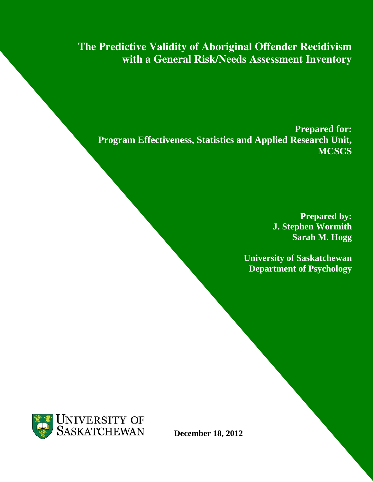**The Predictive Validity of Aboriginal Offender Recidivism with a General Risk/Needs Assessment Inventory**

**Prepared for: Program Effectiveness, Statistics and Applied Research Unit, MCSCS**

> **Prepared by: J. Stephen Wormith Sarah M. Hogg**

**University of Saskatchewan Department of Psychology**



**December 18, 2012**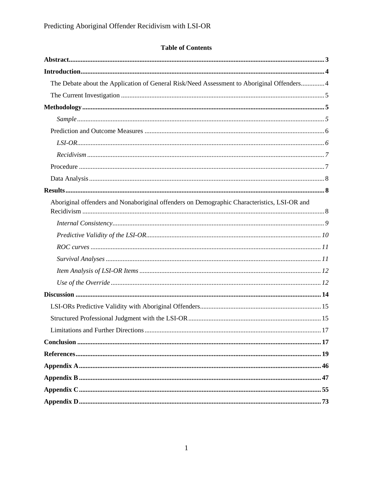# **Table of Contents**

| The Debate about the Application of General Risk/Need Assessment to Aboriginal Offenders 4  |
|---------------------------------------------------------------------------------------------|
|                                                                                             |
|                                                                                             |
|                                                                                             |
|                                                                                             |
|                                                                                             |
|                                                                                             |
|                                                                                             |
|                                                                                             |
|                                                                                             |
| Aboriginal offenders and Nonaboriginal offenders on Demographic Characteristics, LSI-OR and |
|                                                                                             |
|                                                                                             |
|                                                                                             |
|                                                                                             |
|                                                                                             |
|                                                                                             |
|                                                                                             |
|                                                                                             |
|                                                                                             |
|                                                                                             |
|                                                                                             |
|                                                                                             |
|                                                                                             |
|                                                                                             |
|                                                                                             |
|                                                                                             |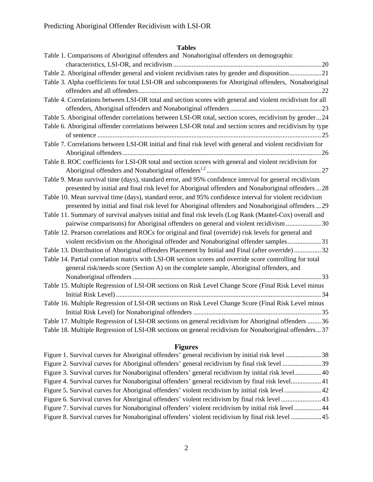# **Tables**

# **Figures**

| Figure 1. Survival curves for Aboriginal offenders' general recidivism by initial risk level 38     |  |
|-----------------------------------------------------------------------------------------------------|--|
| Figure 2. Survival curves for Aboriginal offenders' general recidivism by final risk level  39      |  |
| Figure 3. Survival curves for Nonaboriginal offenders' general recidivism by initial risk level 40  |  |
| Figure 4. Survival curves for Nonaboriginal offenders' general recidivism by final risk level 41    |  |
|                                                                                                     |  |
|                                                                                                     |  |
| Figure 7. Survival curves for Nonaboriginal offenders' violent recidivism by initial risk level  44 |  |
| Figure 8. Survival curves for Nonaboriginal offenders' violent recidivism by final risk level  45   |  |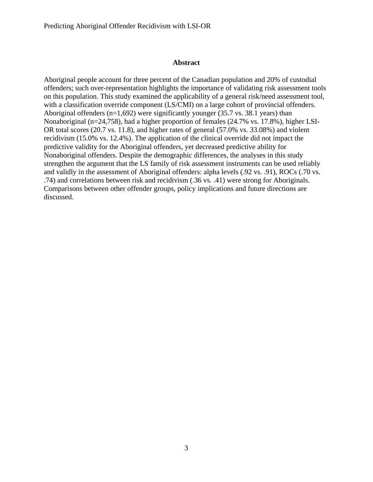#### **Abstract**

Aboriginal people account for three percent of the Canadian population and 20% of custodial offenders; such over-representation highlights the importance of validating risk assessment tools on this population. This study examined the applicability of a general risk/need assessment tool, with a classification override component (LS/CMI) on a large cohort of provincial offenders. Aboriginal offenders (n=1,692) were significantly younger (35.7 vs. 38.1 years) than Nonaboriginal (n=24,758), had a higher proportion of females (24.7% vs. 17.8%), higher LSI-OR total scores (20.7 vs. 11.8), and higher rates of general (57.0% vs. 33.08%) and violent recidivism (15.0% vs. 12.4%). The application of the clinical override did not impact the predictive validity for the Aboriginal offenders, yet decreased predictive ability for Nonaboriginal offenders. Despite the demographic differences, the analyses in this study strengthen the argument that the LS family of risk assessment instruments can be used reliably and validly in the assessment of Aboriginal offenders: alpha levels (.92 vs. .91), ROCs (.70 vs. .74) and correlations between risk and recidivism (.36 vs. .41) were strong for Aboriginals. Comparisons between other offender groups, policy implications and future directions are discussed.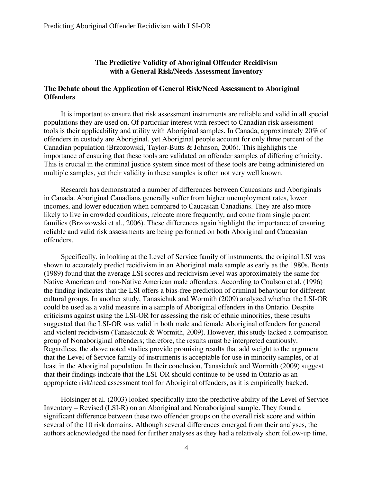#### **The Predictive Validity of Aboriginal Offender Recidivism with a General Risk/Needs Assessment Inventory**

#### **The Debate about the Application of General Risk/Need Assessment to Aboriginal Offenders**

 It is important to ensure that risk assessment instruments are reliable and valid in all special populations they are used on. Of particular interest with respect to Canadian risk assessment tools is their applicability and utility with Aboriginal samples. In Canada, approximately 20% of offenders in custody are Aboriginal, yet Aboriginal people account for only three percent of the Canadian population (Brzozowski, Taylor-Butts & Johnson, 2006). This highlights the importance of ensuring that these tools are validated on offender samples of differing ethnicity. This is crucial in the criminal justice system since most of these tools are being administered on multiple samples, yet their validity in these samples is often not very well known.

Research has demonstrated a number of differences between Caucasians and Aboriginals in Canada. Aboriginal Canadians generally suffer from higher unemployment rates, lower incomes, and lower education when compared to Caucasian Canadians. They are also more likely to live in crowded conditions, relocate more frequently, and come from single parent families (Brzozowski et al., 2006). These differences again highlight the importance of ensuring reliable and valid risk assessments are being performed on both Aboriginal and Caucasian offenders.

 Specifically, in looking at the Level of Service family of instruments, the original LSI was shown to accurately predict recidivism in an Aboriginal male sample as early as the 1980s. Bonta (1989) found that the average LSI scores and recidivism level was approximately the same for Native American and non-Native American male offenders. According to Coulson et al. (1996) the finding indicates that the LSI offers a bias-free prediction of criminal behaviour for different cultural groups. In another study, Tanasichuk and Wormith (2009) analyzed whether the LSI-OR could be used as a valid measure in a sample of Aboriginal offenders in the Ontario. Despite criticisms against using the LSI-OR for assessing the risk of ethnic minorities, these results suggested that the LSI-OR was valid in both male and female Aboriginal offenders for general and violent recidivism (Tanasichuk & Wormith, 2009). However, this study lacked a comparison group of Nonaboriginal offenders; therefore, the results must be interpreted cautiously. Regardless, the above noted studies provide promising results that add weight to the argument that the Level of Service family of instruments is acceptable for use in minority samples, or at least in the Aboriginal population. In their conclusion, Tanasichuk and Wormith (2009) suggest that their findings indicate that the LSI-OR should continue to be used in Ontario as an appropriate risk/need assessment tool for Aboriginal offenders, as it is empirically backed.

 Holsinger et al. (2003) looked specifically into the predictive ability of the Level of Service Inventory – Revised (LSI-R) on an Aboriginal and Nonaboriginal sample. They found a significant difference between these two offender groups on the overall risk score and within several of the 10 risk domains. Although several differences emerged from their analyses, the authors acknowledged the need for further analyses as they had a relatively short follow-up time,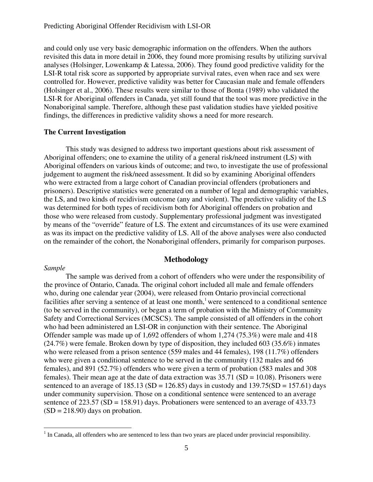and could only use very basic demographic information on the offenders. When the authors revisited this data in more detail in 2006, they found more promising results by utilizing survival analyses (Holsinger, Lowenkamp & Latessa, 2006). They found good predictive validity for the LSI-R total risk score as supported by appropriate survival rates, even when race and sex were controlled for. However, predictive validity was better for Caucasian male and female offenders (Holsinger et al., 2006). These results were similar to those of Bonta (1989) who validated the LSI-R for Aboriginal offenders in Canada, yet still found that the tool was more predictive in the Nonaboriginal sample. Therefore, although these past validation studies have yielded positive findings, the differences in predictive validity shows a need for more research.

#### **The Current Investigation**

This study was designed to address two important questions about risk assessment of Aboriginal offenders; one to examine the utility of a general risk/need instrument (LS) with Aboriginal offenders on various kinds of outcome; and two, to investigate the use of professional judgement to augment the risk/need assessment. It did so by examining Aboriginal offenders who were extracted from a large cohort of Canadian provincial offenders (probationers and prisoners). Descriptive statistics were generated on a number of legal and demographic variables, the LS, and two kinds of recidivism outcome (any and violent). The predictive validity of the LS was determined for both types of recidivism both for Aboriginal offenders on probation and those who were released from custody. Supplementary professional judgment was investigated by means of the "override" feature of LS. The extent and circumstances of its use were examined as was its impact on the predictive validity of LS. All of the above analyses were also conducted on the remainder of the cohort, the Nonaboriginal offenders, primarily for comparison purposes.

### **Methodology**

#### *Sample*

 $\overline{a}$ 

 The sample was derived from a cohort of offenders who were under the responsibility of the province of Ontario, Canada. The original cohort included all male and female offenders who, during one calendar year (2004), were released from Ontario provincial correctional facilities after serving a sentence of at least one month,<sup>1</sup> were sentenced to a conditional sentence (to be served in the community), or began a term of probation with the Ministry of Community Safety and Correctional Services (MCSCS). The sample consisted of all offenders in the cohort who had been administered an LSI-OR in conjunction with their sentence. The Aboriginal Offender sample was made up of 1,692 offenders of whom 1,274 (75.3%) were male and 418 (24.7%) were female. Broken down by type of disposition, they included 603 (35.6%) inmates who were released from a prison sentence (559 males and 44 females), 198 (11.7%) offenders who were given a conditional sentence to be served in the community (132 males and 66 females), and 891 (52.7%) offenders who were given a term of probation (583 males and 308 females). Their mean age at the date of data extraction was  $35.71$  (SD = 10.08). Prisoners were sentenced to an average of  $185.13$  (SD =  $126.85$ ) days in custody and  $139.75(SD = 157.61)$  days under community supervision. Those on a conditional sentence were sentenced to an average sentence of 223.57 (SD = 158.91) days. Probationers were sentenced to an average of 433.73  $(SD = 218.90)$  days on probation.

 $<sup>1</sup>$  In Canada, all offenders who are sentenced to less than two years are placed under provincial responsibility.</sup>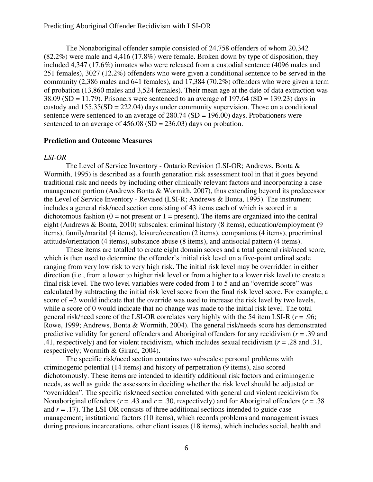The Nonaboriginal offender sample consisted of 24,758 offenders of whom 20,342 (82.2%) were male and 4,416 (17.8%) were female. Broken down by type of disposition, they included 4,347 (17.6%) inmates who were released from a custodial sentence (4096 males and 251 females), 3027 (12.2%) offenders who were given a conditional sentence to be served in the community (2,386 males and 641 females), and 17,384 (70.2%) offenders who were given a term of probation (13,860 males and 3,524 females). Their mean age at the date of data extraction was  $38.09$  (SD = 11.79). Prisoners were sentenced to an average of 197.64 (SD = 139.23) days in custody and  $155.35(SD = 222.04)$  days under community supervision. Those on a conditional sentence were sentenced to an average of  $280.74$  (SD = 196.00) days. Probationers were sentenced to an average of  $456.08$  (SD = 236.03) days on probation.

#### **Prediction and Outcome Measures**

#### *LSI-OR*

The Level of Service Inventory - Ontario Revision (LSI-OR; Andrews, Bonta & Wormith, 1995) is described as a fourth generation risk assessment tool in that it goes beyond traditional risk and needs by including other clinically relevant factors and incorporating a case management portion (Andrews Bonta & Wormith, 2007), thus extending beyond its predecessor the Level of Service Inventory - Revised (LSI-R; Andrews & Bonta, 1995). The instrument includes a general risk/need section consisting of 43 items each of which is scored in a dichotomous fashion  $(0 = not present or 1 = present)$ . The items are organized into the central eight (Andrews & Bonta, 2010) subscales: criminal history (8 items), education/employment (9 items), family/marital (4 items), leisure/recreation (2 items), companions (4 items), procriminal attitude/orientation (4 items), substance abuse (8 items), and antisocial pattern (4 items).

These items are totalled to create eight domain scores and a total general risk/need score, which is then used to determine the offender's initial risk level on a five-point ordinal scale ranging from very low risk to very high risk. The initial risk level may be overridden in either direction (i.e., from a lower to higher risk level or from a higher to a lower risk level) to create a final risk level. The two level variables were coded from 1 to 5 and an "override score" was calculated by subtracting the initial risk level score from the final risk level score. For example, a score of +2 would indicate that the override was used to increase the risk level by two levels, while a score of 0 would indicate that no change was made to the initial risk level. The total general risk/need score of the LSI-OR correlates very highly with the 54 item LSI-R (*r* = .96; Rowe, 1999; Andrews, Bonta & Wormith, 2004). The general risk/needs score has demonstrated predictive validity for general offenders and Aboriginal offenders for any recidivism (*r* = .39 and .41, respectively) and for violent recidivism, which includes sexual recidivism (*r* = .28 and .31, respectively; Wormith & Girard, 2004).

The specific risk/need section contains two subscales: personal problems with criminogenic potential (14 items) and history of perpetration (9 items), also scored dichotomously. These items are intended to identify additional risk factors and criminogenic needs, as well as guide the assessors in deciding whether the risk level should be adjusted or "overridden". The specific risk/need section correlated with general and violent recidivism for Nonaboriginal offenders ( $r = .43$  and  $r = .30$ , respectively) and for Aboriginal offenders ( $r = .38$ ) and  $r = .17$ ). The LSI-OR consists of three additional sections intended to guide case management; institutional factors (10 items), which records problems and management issues during previous incarcerations, other client issues (18 items), which includes social, health and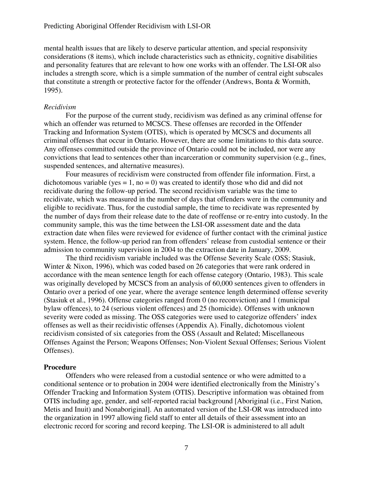mental health issues that are likely to deserve particular attention, and special responsivity considerations (8 items), which include characteristics such as ethnicity, cognitive disabilities and personality features that are relevant to how one works with an offender. The LSI-OR also includes a strength score, which is a simple summation of the number of central eight subscales that constitute a strength or protective factor for the offender (Andrews, Bonta & Wormith, 1995).

#### *Recidivism*

 For the purpose of the current study, recidivism was defined as any criminal offense for which an offender was returned to MCSCS. These offenses are recorded in the Offender Tracking and Information System (OTIS), which is operated by MCSCS and documents all criminal offenses that occur in Ontario. However, there are some limitations to this data source. Any offenses committed outside the province of Ontario could not be included, nor were any convictions that lead to sentences other than incarceration or community supervision (e.g., fines, suspended sentences, and alternative measures).

 Four measures of recidivism were constructed from offender file information. First, a dichotomous variable (yes = 1, no = 0) was created to identify those who did and did not recidivate during the follow-up period. The second recidivism variable was the time to recidivate, which was measured in the number of days that offenders were in the community and eligible to recidivate. Thus, for the custodial sample, the time to recidivate was represented by the number of days from their release date to the date of reoffense or re-entry into custody. In the community sample, this was the time between the LSI-OR assessment date and the data extraction date when files were reviewed for evidence of further contact with the criminal justice system. Hence, the follow-up period ran from offenders' release from custodial sentence or their admission to community supervision in 2004 to the extraction date in January, 2009.

 The third recidivism variable included was the Offense Severity Scale (OSS; Stasiuk, Winter & Nixon, 1996), which was coded based on 26 categories that were rank ordered in accordance with the mean sentence length for each offense category (Ontario, 1983). This scale was originally developed by MCSCS from an analysis of 60,000 sentences given to offenders in Ontario over a period of one year, where the average sentence length determined offense severity (Stasiuk et al., 1996). Offense categories ranged from 0 (no reconviction) and 1 (municipal bylaw offences), to 24 (serious violent offences) and 25 (homicide). Offenses with unknown severity were coded as missing. The OSS categories were used to categorize offenders' index offenses as well as their recidivistic offenses (Appendix A). Finally, dichotomous violent recidivism consisted of six categories from the OSS (Assault and Related; Miscellaneous Offenses Against the Person; Weapons Offenses; Non-Violent Sexual Offenses; Serious Violent Offenses).

#### **Procedure**

 Offenders who were released from a custodial sentence or who were admitted to a conditional sentence or to probation in 2004 were identified electronically from the Ministry's Offender Tracking and Information System (OTIS). Descriptive information was obtained from OTIS including age, gender, and self-reported racial background [Aboriginal (i.e., First Nation, Metis and Inuit) and Nonaboriginal]. An automated version of the LSI-OR was introduced into the organization in 1997 allowing field staff to enter all details of their assessment into an electronic record for scoring and record keeping. The LSI-OR is administered to all adult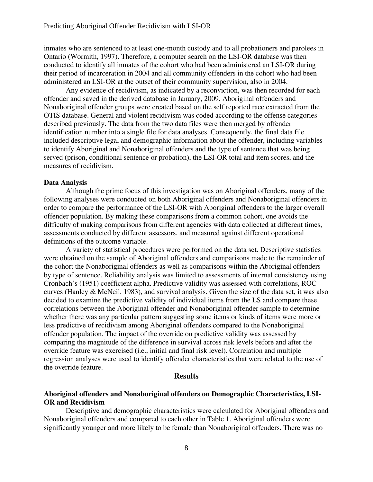inmates who are sentenced to at least one-month custody and to all probationers and parolees in Ontario (Wormith, 1997). Therefore, a computer search on the LSI-OR database was then conducted to identify all inmates of the cohort who had been administered an LSI-OR during their period of incarceration in 2004 and all community offenders in the cohort who had been administered an LSI-OR at the outset of their community supervision, also in 2004.

 Any evidence of recidivism, as indicated by a reconviction, was then recorded for each offender and saved in the derived database in January, 2009. Aboriginal offenders and Nonaboriginal offender groups were created based on the self reported race extracted from the OTIS database. General and violent recidivism was coded according to the offense categories described previously. The data from the two data files were then merged by offender identification number into a single file for data analyses. Consequently, the final data file included descriptive legal and demographic information about the offender, including variables to identify Aboriginal and Nonaboriginal offenders and the type of sentence that was being served (prison, conditional sentence or probation), the LSI-OR total and item scores, and the measures of recidivism.

#### **Data Analysis**

 Although the prime focus of this investigation was on Aboriginal offenders, many of the following analyses were conducted on both Aboriginal offenders and Nonaboriginal offenders in order to compare the performance of the LSI-OR with Aboriginal offenders to the larger overall offender population. By making these comparisons from a common cohort, one avoids the difficulty of making comparisons from different agencies with data collected at different times, assessments conducted by different assessors, and measured against different operational definitions of the outcome variable.

 A variety of statistical procedures were performed on the data set. Descriptive statistics were obtained on the sample of Aboriginal offenders and comparisons made to the remainder of the cohort the Nonaboriginal offenders as well as comparisons within the Aboriginal offenders by type of sentence. Reliability analysis was limited to assessments of internal consistency using Cronbach's (1951) coefficient alpha. Predictive validity was assessed with correlations, ROC curves (Hanley & McNeil, 1983), and survival analysis. Given the size of the data set, it was also decided to examine the predictive validity of individual items from the LS and compare these correlations between the Aboriginal offender and Nonaboriginal offender sample to determine whether there was any particular pattern suggesting some items or kinds of items were more or less predictive of recidivism among Aboriginal offenders compared to the Nonaboriginal offender population. The impact of the override on predictive validity was assessed by comparing the magnitude of the difference in survival across risk levels before and after the override feature was exercised (i.e., initial and final risk level). Correlation and multiple regression analyses were used to identify offender characteristics that were related to the use of the override feature.

#### **Results**

# **Aboriginal offenders and Nonaboriginal offenders on Demographic Characteristics, LSI-OR and Recidivism**

 Descriptive and demographic characteristics were calculated for Aboriginal offenders and Nonaboriginal offenders and compared to each other in Table 1. Aboriginal offenders were significantly younger and more likely to be female than Nonaboriginal offenders. There was no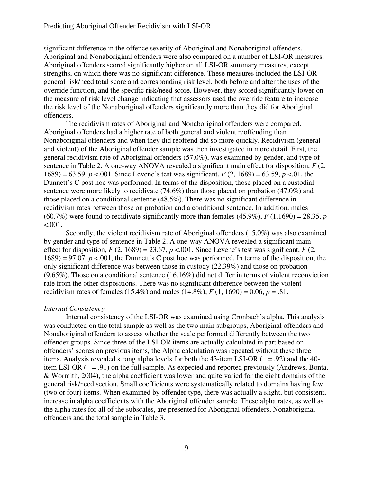significant difference in the offence severity of Aboriginal and Nonaboriginal offenders. Aboriginal and Nonaboriginal offenders were also compared on a number of LSI-OR measures. Aboriginal offenders scored significantly higher on all LSI-OR summary measures, except strengths, on which there was no significant difference. These measures included the LSI-OR general risk/need total score and corresponding risk level, both before and after the uses of the override function, and the specific risk/need score. However, they scored significantly lower on the measure of risk level change indicating that assessors used the override feature to increase the risk level of the Nonaboriginal offenders significantly more than they did for Aboriginal offenders.

 The recidivism rates of Aboriginal and Nonaboriginal offenders were compared. Aboriginal offenders had a higher rate of both general and violent reoffending than Nonaboriginal offenders and when they did reoffend did so more quickly. Recidivism (general and violent) of the Aboriginal offender sample was then investigated in more detail. First, the general recidivism rate of Aboriginal offenders (57.0%), was examined by gender, and type of sentence in Table 2. A one-way ANOVA revealed a significant main effect for disposition, *F* (2, 1689) = 63.59, *p* <.001. Since Levene's test was significant, *F* (2, 1689) = 63.59, *p* <.01, the Dunnett's C post hoc was performed. In terms of the disposition, those placed on a custodial sentence were more likely to recidivate (74.6%) than those placed on probation (47.0%) and those placed on a conditional sentence (48.5%). There was no significant difference in recidivism rates between those on probation and a conditional sentence. In addition, males  $(60.7\%)$  were found to recidivate significantly more than females  $(45.9\%)$ ,  $F(1,1690) = 28.35$ , *p*  $< 0.001$ .

 Secondly, the violent recidivism rate of Aboriginal offenders (15.0%) was also examined by gender and type of sentence in Table 2. A one-way ANOVA revealed a significant main effect for disposition,  $F(2, 1689) = 23.67$ ,  $p < .001$ . Since Levene's test was significant,  $F(2, 1689) = 23.67$ ,  $p < .001$ . Since Levene's test was significant,  $F(2, 1689) = .001$ .  $1689$ ) = 97.07,  $p < 0.001$ , the Dunnett's C post hoc was performed. In terms of the disposition, the only significant difference was between those in custody (22.39%) and those on probation (9.65%). Those on a conditional sentence (16.16%) did not differ in terms of violent reconviction rate from the other dispositions. There was no significant difference between the violent recidivism rates of females (15.4%) and males (14.8%), *F* (1, 1690) = 0.06, *p* = .81.

#### *Internal Consistency*

 Internal consistency of the LSI-OR was examined using Cronbach's alpha. This analysis was conducted on the total sample as well as the two main subgroups, Aboriginal offenders and Nonaboriginal offenders to assess whether the scale performed differently between the two offender groups. Since three of the LSI-OR items are actually calculated in part based on offenders' scores on previous items, the Alpha calculation was repeated without these three items. Analysis revealed strong alpha levels for both the 43-item LSI-OR  $( = .92)$  and the 40item LSI-OR  $( = .91)$  on the full sample. As expected and reported previously (Andrews, Bonta, & Wormith, 2004), the alpha coefficient was lower and quite varied for the eight domains of the general risk/need section. Small coefficients were systematically related to domains having few (two or four) items. When examined by offender type, there was actually a slight, but consistent, increase in alpha coefficients with the Aboriginal offender sample. These alpha rates, as well as the alpha rates for all of the subscales, are presented for Aboriginal offenders, Nonaboriginal offenders and the total sample in Table 3.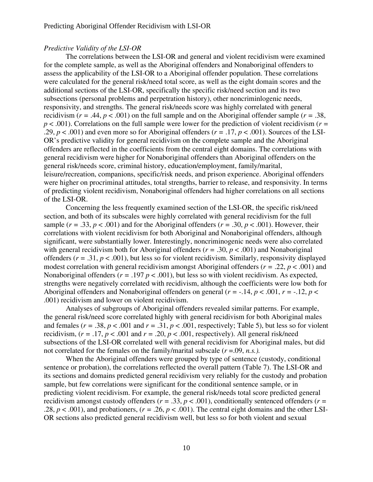#### *Predictive Validity of the LSI-OR*

 The correlations between the LSI-OR and general and violent recidivism were examined for the complete sample, as well as the Aboriginal offenders and Nonaboriginal offenders to assess the applicability of the LSI-OR to a Aboriginal offender population. These correlations were calculated for the general risk/need total score, as well as the eight domain scores and the additional sections of the LSI-OR, specifically the specific risk/need section and its two subsections (personal problems and perpetration history), other noncriminlogenic needs, responsivity, and strengths. The general risk/needs score was highly correlated with general recidivism ( $r = .44$ ,  $p < .001$ ) on the full sample and on the Aboriginal offender sample ( $r = .38$ , *p* < .001). Correlations on the full sample were lower for the prediction of violent recidivism (*r =*  .29,  $p < .001$ ) and even more so for Aboriginal offenders ( $r = .17$ ,  $p < .001$ ). Sources of the LSI-OR's predictive validity for general recidivism on the complete sample and the Aboriginal offenders are reflected in the coefficients from the central eight domains. The correlations with general recidivism were higher for Nonaboriginal offenders than Aboriginal offenders on the general risk/needs score, criminal history, education/employment, family/marital, leisure/recreation, companions, specific/risk needs, and prison experience. Aboriginal offenders were higher on procriminal attitudes, total strengths, barrier to release, and responsivity. In terms of predicting violent recidivism, Nonaboriginal offenders had higher correlations on all sections of the LSI-OR.

 Concerning the less frequently examined section of the LSI-OR, the specific risk/need section, and both of its subscales were highly correlated with general recidivism for the full sample ( $r = .33$ ,  $p < .001$ ) and for the Aboriginal offenders ( $r = .30$ ,  $p < .001$ ). However, their correlations with violent recidivism for both Aboriginal and Nonaboriginal offenders, although significant, were substantially lower. Interestingly, noncriminogenic needs were also correlated with general recidivism both for Aboriginal offenders ( $r = .30$ ,  $p < .001$ ) and Nonaboriginal offenders ( $r = .31$ ,  $p < .001$ ), but less so for violent recidivism. Similarly, responsivity displayed modest correlation with general recidivism amongst Aboriginal offenders (*r =* .22, *p* < .001) and Nonaboriginal offenders ( $r = .197$   $p < .001$ ), but less so with violent recidivism. As expected, strengths were negatively correlated with recidivism, although the coefficients were low both for Aboriginal offenders and Nonaboriginal offenders on general ( $r = -.14$ ,  $p < .001$ ,  $r = -.12$ ,  $p <$ .001) recidivism and lower on violent recidivism.

 Analyses of subgroups of Aboriginal offenders revealed similar patterns. For example, the general risk/need score correlated highly with general recidivism for both Aboriginal males and females ( $r = .38$ ,  $p < .001$  and  $r = .31$ ,  $p < .001$ , respectively; Table 5), but less so for violent recidivism,  $(r = .17, p < .001$  and  $r = .20, p < .001$ , respectively). All general risk/need subsections of the LSI-OR correlated well with general recidivism for Aboriginal males, but did not correlated for the females on the family/marital subscale (*r* =.09, *n.s.).* 

 When the Aboriginal offenders were grouped by type of sentence (custody, conditional sentence or probation), the correlations reflected the overall pattern (Table 7). The LSI-OR and its sections and domains predicted general recidivism very reliably for the custody and probation sample, but few correlations were significant for the conditional sentence sample, or in predicting violent recidivism. For example, the general risk/needs total score predicted general recidivism amongst custody offenders ( $r = .33$ ,  $p < .001$ ), conditionally sentenced offenders ( $r =$ .28,  $p < .001$ ), and probationers, ( $r = .26$ ,  $p < .001$ ). The central eight domains and the other LSI-OR sections also predicted general recidivism well, but less so for both violent and sexual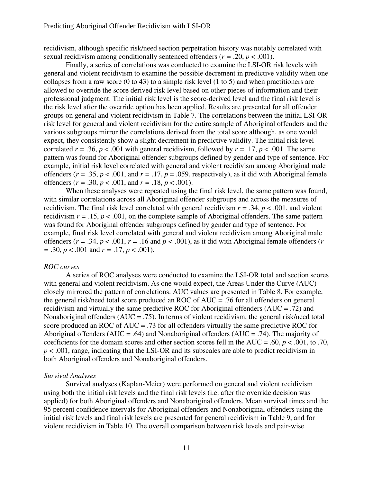recidivism, although specific risk/need section perpetration history was notably correlated with sexual recidivism among conditionally sentenced offenders ( $r = .20$ ,  $p < .001$ ).

Finally, a series of correlations was conducted to examine the LSI-OR risk levels with general and violent recidivism to examine the possible decrement in predictive validity when one collapses from a raw score  $(0 \text{ to } 43)$  to a simple risk level  $(1 \text{ to } 5)$  and when practitioners are allowed to override the score derived risk level based on other pieces of information and their professional judgment. The initial risk level is the score-derived level and the final risk level is the risk level after the override option has been applied. Results are presented for all offender groups on general and violent recidivism in Table 7. The correlations between the initial LSI-OR risk level for general and violent recidivism for the entire sample of Aboriginal offenders and the various subgroups mirror the correlations derived from the total score although, as one would expect, they consistently show a slight decrement in predictive validity. The initial risk level correlated  $r = .36$ ,  $p < .001$  with general recidivism, followed by  $r = .17$ ,  $p < .001$ . The same pattern was found for Aboriginal offender subgroups defined by gender and type of sentence. For example, initial risk level correlated with general and violent recidivism among Aboriginal male offenders ( $r = .35$ ,  $p < .001$ , and  $r = .17$ ,  $p = .059$ , respectively), as it did with Aboriginal female offenders ( $r = .30$ ,  $p < .001$ , and  $r = .18$ ,  $p < .001$ ).

 When these analyses were repeated using the final risk level, the same pattern was found, with similar correlations across all Aboriginal offender subgroups and across the measures of recidivism. The final risk level correlated with general recidivism  $r = .34$ ,  $p < .001$ , and violent recidivism  $r = .15$ ,  $p < .001$ , on the complete sample of Aboriginal offenders. The same pattern was found for Aboriginal offender subgroups defined by gender and type of sentence. For example, final risk level correlated with general and violent recidivism among Aboriginal male offenders ( $r = .34$ ,  $p < .001$ ,  $r = .16$  and  $p < .001$ ), as it did with Aboriginal female offenders ( $r = .24$ ) *=* .30, *p* < .001 and *r =* .17, *p* < .001).

#### *ROC curves*

 A series of ROC analyses were conducted to examine the LSI-OR total and section scores with general and violent recidivism. As one would expect, the Areas Under the Curve (AUC) closely mirrored the pattern of correlations. AUC values are presented in Table 8. For example, the general risk/need total score produced an ROC of AUC = .76 for all offenders on general recidivism and virtually the same predictive ROC for Aboriginal offenders (AUC = .72) and Nonaboriginal offenders  $(AUC = .75)$ . In terms of violent recidivism, the general risk/need total score produced an ROC of AUC = .73 for all offenders virtually the same predictive ROC for Aboriginal offenders (AUC = .64) and Nonaboriginal offenders (AUC = .74). The majority of coefficients for the domain scores and other section scores fell in the  $AUC = .60, p < .001$ , to .70, *p* < .001, range, indicating that the LSI-OR and its subscales are able to predict recidivism in both Aboriginal offenders and Nonaboriginal offenders.

#### *Survival Analyses*

Survival analyses (Kaplan-Meier) were performed on general and violent recidivism using both the initial risk levels and the final risk levels (i.e. after the override decision was applied) for both Aboriginal offenders and Nonaboriginal offenders. Mean survival times and the 95 percent confidence intervals for Aboriginal offenders and Nonaboriginal offenders using the initial risk levels and final risk levels are presented for general recidivism in Table 9, and for violent recidivism in Table 10. The overall comparison between risk levels and pair-wise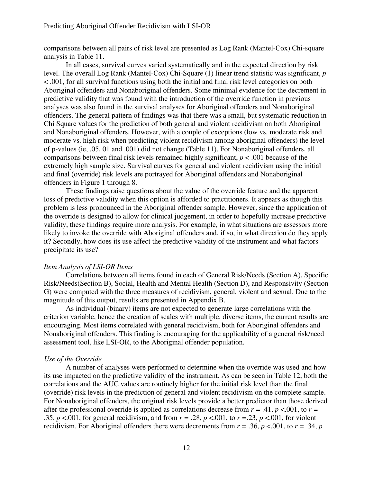comparisons between all pairs of risk level are presented as Log Rank (Mantel-Cox) Chi-square analysis in Table 11.

In all cases, survival curves varied systematically and in the expected direction by risk level. The overall Log Rank (Mantel-Cox) Chi-Square (1) linear trend statistic was significant, *p* < .001, for all survival functions using both the initial and final risk level categories on both Aboriginal offenders and Nonaboriginal offenders. Some minimal evidence for the decrement in predictive validity that was found with the introduction of the override function in previous analyses was also found in the survival analyses for Aboriginal offenders and Nonaboriginal offenders. The general pattern of findings was that there was a small, but systematic reduction in Chi Square values for the prediction of both general and violent recidivism on both Aboriginal and Nonaboriginal offenders. However, with a couple of exceptions (low vs. moderate risk and moderate vs. high risk when predicting violent recidivism among aboriginal offenders) the level of p-values (ie, .05, 01 and .001) did not change (Table 11). For Nonaboriginal offenders, all comparisons between final risk levels remained highly significant,  $p < .001$  because of the extremely high sample size. Survival curves for general and violent recidivism using the initial and final (override) risk levels are portrayed for Aboriginal offenders and Nonaboriginal offenders in Figure 1 through 8.

These findings raise questions about the value of the override feature and the apparent loss of predictive validity when this option is afforded to practitioners. It appears as though this problem is less pronounced in the Aboriginal offender sample. However, since the application of the override is designed to allow for clinical judgement, in order to hopefully increase predictive validity, these findings require more analysis. For example, in what situations are assessors more likely to invoke the override with Aboriginal offenders and, if so, in what direction do they apply it? Secondly, how does its use affect the predictive validity of the instrument and what factors precipitate its use?

#### *Item Analysis of LSI-OR Items*

Correlations between all items found in each of General Risk/Needs (Section A), Specific Risk/Needs(Section B), Social, Health and Mental Health (Section D), and Responsivity (Section G) were computed with the three measures of recidivism, general, violent and sexual. Due to the magnitude of this output, results are presented in Appendix B.

As individual (binary) items are not expected to generate large correlations with the criterion variable, hence the creation of scales with multiple, diverse items, the current results are encouraging. Most items correlated with general recidivism, both for Aboriginal offenders and Nonaboriginal offenders. This finding is encouraging for the applicability of a general risk/need assessment tool, like LSI-OR, to the Aboriginal offender population.

#### *Use of the Override*

 A number of analyses were performed to determine when the override was used and how its use impacted on the predictive validity of the instrument. As can be seen in Table 12, both the correlations and the AUC values are routinely higher for the initial risk level than the final (override) risk levels in the prediction of general and violent recidivism on the complete sample. For Nonaboriginal offenders, the original risk levels provide a better predictor than those derived after the professional override is applied as correlations decrease from  $r = .41$ ,  $p < .001$ , to  $r =$ .35,  $p < .001$ , for general recidivism, and from  $r = .28$ ,  $p < .001$ , to  $r = .23$ ,  $p < .001$ , for violent recidivism. For Aboriginal offenders there were decrements from  $r = .36$ ,  $p < .001$ , to  $r = .34$ ,  $p$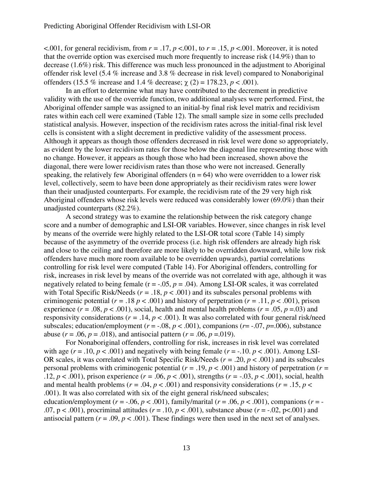<.001, for general recidivism, from  $r = .17$ ,  $p < .001$ , to  $r = .15$ ,  $p < .001$ . Moreover, it is noted that the override option was exercised much more frequently to increase risk (14.9%) than to decrease (1.6%) risk. This difference was much less pronounced in the adjustment to Aboriginal offender risk level (5.4 % increase and 3.8 % decrease in risk level) compared to Nonaboriginal offenders (15.5 % increase and 1.4 % decrease;  $\chi$  (2) = 178.23, *p* < .001).

 In an effort to determine what may have contributed to the decrement in predictive validity with the use of the override function, two additional analyses were performed. First, the Aboriginal offender sample was assigned to an initial-by final risk level matrix and recidivism rates within each cell were examined (Table 12). The small sample size in some cells precluded statistical analysis. However, inspection of the recidivism rates across the initial-final risk level cells is consistent with a slight decrement in predictive validity of the assessment process. Although it appears as though those offenders decreased in risk level were done so appropriately, as evident by the lower recidivism rates for those below the diagonal line representing those with no change. However, it appears as though those who had been increased, shown above the diagonal, there were lower recidivism rates than those who were not increased. Generally speaking, the relatively few Aboriginal offenders ( $n = 64$ ) who were overridden to a lower risk level, collectively, seem to have been done appropriately as their recidivism rates were lower than their unadjusted counterparts. For example, the recidivism rate of the 29 very high risk Aboriginal offenders whose risk levels were reduced was considerably lower (69.0%) than their unadjusted counterparts (82.2%).

 A second strategy was to examine the relationship between the risk category change score and a number of demographic and LSI-OR variables. However, since changes in risk level by means of the override were highly related to the LSI-OR total score (Table 14) simply because of the asymmetry of the override process (i.e. high risk offenders are already high risk and close to the ceiling and therefore are more likely to be overridden downward, while low risk offenders have much more room available to be overridden upwards), partial correlations controlling for risk level were computed (Table 14). For Aboriginal offenders, controlling for risk, increases in risk level by means of the override was not correlated with age, although it was negatively related to being female ( $r = -0.05$ ,  $p = 0.04$ ). Among LSI-OR scales, it was correlated with Total Specific Risk/Needs ( $r = .18$ ,  $p < .001$ ) and its subscales personal problems with criminogenic potential ( $r = .18$   $p < .001$ ) and history of perpetration ( $r = .11$ ,  $p < .001$ ), prison experience ( $r = .08$ ,  $p < .001$ ), social, health and mental health problems ( $r = .05$ ,  $p = .03$ ) and responsivity considerations ( $r = .14$ ,  $p < .001$ ). It was also correlated with four general risk/need subscales; education/employment ( $r = -0.08$ ,  $p < .001$ ), companions ( $r = -0.07$ ,  $p = .006$ ), substance abuse ( $r = .06$ ,  $p = .018$ ), and antisocial pattern ( $r = .06$ ,  $p = .019$ ).

 For Nonaboriginal offenders, controlling for risk, increases in risk level was correlated with age ( $r = .10$ ,  $p < .001$ ) and negatively with being female ( $r = .10$ .  $p < .001$ ). Among LSI-OR scales, it was correlated with Total Specific Risk/Needs (*r =* .20, *p* < .001) and its subscales personal problems with criminogenic potential ( $r = .19$ ,  $p < .001$ ) and history of perpetration ( $r =$ .12,  $p < .001$ ), prison experience ( $r = .06$ ,  $p < .001$ ), strengths ( $r = -.03$ ,  $p < .001$ ), social, health and mental health problems ( $r = .04$ ,  $p < .001$ ) and responsivity considerations ( $r = .15$ ,  $p <$ .001). It was also correlated with six of the eight general risk/need subscales; education/employment ( $r = -.06$ ,  $p < .001$ ), family/marital ( $r = .06$ ,  $p < .001$ ), companions ( $r = -$ 

.07,  $p < .001$ ), procriminal attitudes ( $r = .10$ ,  $p < .001$ ), substance abuse ( $r = .02$ ,  $p < .001$ ) and antisocial pattern  $(r = .09, p < .001)$ . These findings were then used in the next set of analyses.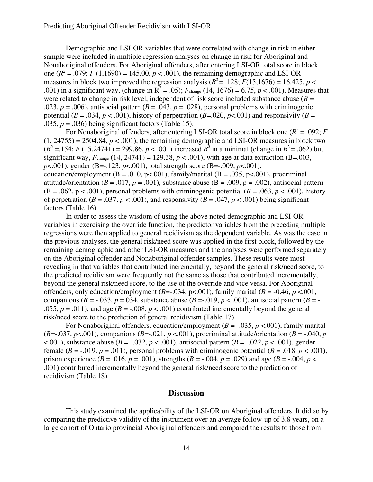Demographic and LSI-OR variables that were correlated with change in risk in either sample were included in multiple regression analyses on change in risk for Aboriginal and Nonaboriginal offenders. For Aboriginal offenders, after entering LSI-OR total score in block one  $(R^2 = .079; F(1,1690) = 145.00, p < .001)$ , the remaining demographic and LSI-OR measures in block two improved the regression analysis ( $R^2$  = .128;  $F(15,1676)$  = 16.425,  $p$  < .001) in a significant way, (change in  $R^2 = .05$ );  $F_{change}$  (14, 1676) = 6.75,  $p < .001$ ). Measures that were related to change in risk level, independent of risk score included substance abuse  $(B =$ .023,  $p = .006$ ), antisocial pattern ( $B = .043$ ,  $p = .028$ ), personal problems with criminogenic potential ( $B = .034$ ,  $p < .001$ ), history of perpetration ( $B = .020$ ,  $p < .001$ ) and responsivity ( $B =$ .035,  $p = .036$ ) being significant factors (Table 15).

For Nonaboriginal offenders, after entering LSI-OR total score in block one ( $R^2 = .092$ ; *F*  $(1, 24755) = 2504.84$ ,  $p < .001$ ), the remaining demographic and LSI-OR measures in block two  $(R^2 = 0.154; F(15,24741) = 299.86, p < .001)$  increased  $R^2$  in a minimal (change in  $R^2 = .062$ ) but significant way,  $F_{change}$  (14, 24741) = 129.38,  $p < .001$ ), with age at data extraction (B=.003, *p*<.001), gender (B=-.123, *p*<.001), total strength score (B=-.009, *p*<.001), education/employment ( $B = .010$ ,  $p < .001$ ), family/marital ( $B = .035$ ,  $p < .001$ ), procriminal attitude/orientation ( $B = .017$ ,  $p = .001$ ), substance abuse ( $B = .009$ ,  $p = .002$ ), antisocial pattern  $(B = .062, p < .001)$ , personal problems with criminogenic potential  $(B = .063, p < .001)$ , history of perpetration ( $B = .037$ ,  $p < .001$ ), and responsivity ( $B = .047$ ,  $p < .001$ ) being significant factors (Table 16).

 In order to assess the wisdom of using the above noted demographic and LSI-OR variables in exercising the override function, the predictor variables from the preceding multiple regressions were then applied to general recidivism as the dependent variable. As was the case in the previous analyses, the general risk/need score was applied in the first block, followed by the remaining demographic and other LSI-OR measures and the analyses were performed separately on the Aboriginal offender and Nonaboriginal offender samples. These results were most revealing in that variables that contributed incrementally, beyond the general risk/need score, to the predicted recidivism were frequently not the same as those that contributed incrementally, beyond the general risk/need score, to the use of the override and vice versa. For Aboriginal offenders, only education/employment  $(B=-0.034, p<0.001)$ , family marital  $(B=-0.46, p<0.01)$ , companions ( $B = -0.033$ ,  $p = 0.034$ , substance abuse ( $B = -0.019$ ,  $p < 0.001$ ), antisocial pattern ( $B = -0.033$ ,  $p = 0.034$ , substance abuse ( $B = -0.019$ ,  $p < 0.001$ ), antisocial pattern .055,  $p = .011$ ), and age ( $B = -.008$ ,  $p < .001$ ) contributed incrementally beyond the general risk/need score to the prediction of general recidivism (Table 17).

For Nonaboriginal offenders, education/employment  $(B = -0.035, p < 0.001)$ , family marital (*B*=-.037, *p*<.001), companions (*B*=-.021, *p* <.001), procriminal attitude/orientation (*B* = -.040, *p*  $(0.001)$ , substance abuse ( $B = -0.032$ ,  $p < 0.001$ ), antisocial pattern ( $B = -0.022$ ,  $p < 0.001$ ), genderfemale ( $B = -0.019$ ,  $p = 0.011$ ), personal problems with criminogenic potential ( $B = 0.018$ ,  $p < 0.001$ ), prison experience ( $B = .016$ ,  $p = .001$ ), strengths ( $B = -.004$ ,  $p = .029$ ) and age ( $B = -.004$ ,  $p <$ .001) contributed incrementally beyond the general risk/need score to the prediction of recidivism (Table 18).

# **Discussion**

This study examined the applicability of the LSI-OR on Aboriginal offenders. It did so by comparing the predictive validity of the instrument over an average follow-up of 3.8 years, on a large cohort of Ontario provincial Aboriginal offenders and compared the results to those from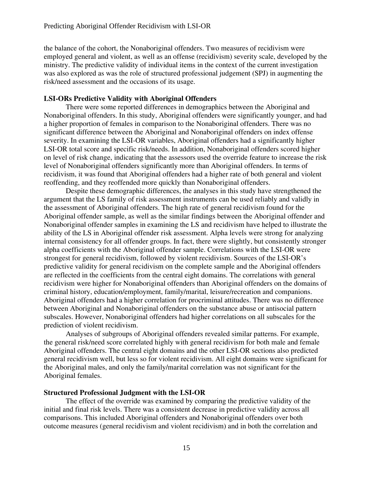the balance of the cohort, the Nonaboriginal offenders. Two measures of recidivism were employed general and violent, as well as an offense (recidivism) severity scale, developed by the ministry. The predictive validity of individual items in the context of the current investigation was also explored as was the role of structured professional judgement (SPJ) in augmenting the risk/need assessment and the occasions of its usage.

#### **LSI-ORs Predictive Validity with Aboriginal Offenders**

 There were some reported differences in demographics between the Aboriginal and Nonaboriginal offenders. In this study, Aboriginal offenders were significantly younger, and had a higher proportion of females in comparison to the Nonaboriginal offenders. There was no significant difference between the Aboriginal and Nonaboriginal offenders on index offense severity. In examining the LSI-OR variables, Aboriginal offenders had a significantly higher LSI-OR total score and specific risk/needs. In addition, Nonaboriginal offenders scored higher on level of risk change, indicating that the assessors used the override feature to increase the risk level of Nonaboriginal offenders significantly more than Aboriginal offenders. In terms of recidivism, it was found that Aboriginal offenders had a higher rate of both general and violent reoffending, and they reoffended more quickly than Nonaboriginal offenders.

Despite these demographic differences, the analyses in this study have strengthened the argument that the LS family of risk assessment instruments can be used reliably and validly in the assessment of Aboriginal offenders. The high rate of general recidivism found for the Aboriginal offender sample, as well as the similar findings between the Aboriginal offender and Nonaboriginal offender samples in examining the LS and recidivism have helped to illustrate the ability of the LS in Aboriginal offender risk assessment. Alpha levels were strong for analyzing internal consistency for all offender groups. In fact, there were slightly, but consistently stronger alpha coefficients with the Aboriginal offender sample. Correlations with the LSI-OR were strongest for general recidivism, followed by violent recidivism. Sources of the LSI-OR's predictive validity for general recidivism on the complete sample and the Aboriginal offenders are reflected in the coefficients from the central eight domains. The correlations with general recidivism were higher for Nonaboriginal offenders than Aboriginal offenders on the domains of criminal history, education/employment, family/marital, leisure/recreation and companions. Aboriginal offenders had a higher correlation for procriminal attitudes. There was no difference between Aboriginal and Nonaboriginal offenders on the substance abuse or antisocial pattern subscales. However, Nonaboriginal offenders had higher correlations on all subscales for the prediction of violent recidivism.

Analyses of subgroups of Aboriginal offenders revealed similar patterns. For example, the general risk/need score correlated highly with general recidivism for both male and female Aboriginal offenders. The central eight domains and the other LSI-OR sections also predicted general recidivism well, but less so for violent recidivism. All eight domains were significant for the Aboriginal males, and only the family/marital correlation was not significant for the Aboriginal females.

#### **Structured Professional Judgment with the LSI-OR**

The effect of the override was examined by comparing the predictive validity of the initial and final risk levels. There was a consistent decrease in predictive validity across all comparisons. This included Aboriginal offenders and Nonaboriginal offenders over both outcome measures (general recidivism and violent recidivism) and in both the correlation and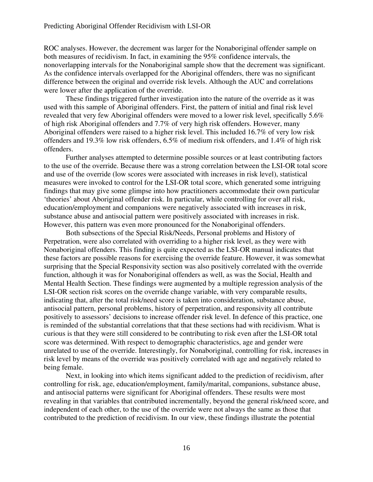#### Predicting Aboriginal Offender Recidivism with LSI-OR

ROC analyses. However, the decrement was larger for the Nonaboriginal offender sample on both measures of recidivism. In fact, in examining the 95% confidence intervals, the nonoverlapping intervals for the Nonaboriginal sample show that the decrement was significant. As the confidence intervals overlapped for the Aboriginal offenders, there was no significant difference between the original and override risk levels. Although the AUC and correlations were lower after the application of the override.

These findings triggered further investigation into the nature of the override as it was used with this sample of Aboriginal offenders. First, the pattern of initial and final risk level revealed that very few Aboriginal offenders were moved to a lower risk level, specifically 5.6% of high risk Aboriginal offenders and 7.7% of very high risk offenders. However, many Aboriginal offenders were raised to a higher risk level. This included 16.7% of very low risk offenders and 19.3% low risk offenders, 6.5% of medium risk offenders, and 1.4% of high risk offenders.

Further analyses attempted to determine possible sources or at least contributing factors to the use of the override. Because there was a strong correlation between the LSI-OR total score and use of the override (low scores were associated with increases in risk level), statistical measures were invoked to control for the LSI-OR total score, which generated some intriguing findings that may give some glimpse into how practitioners accommodate their own particular 'theories' about Aboriginal offender risk. In particular, while controlling for over all risk, education/employment and companions were negatively associated with increases in risk, substance abuse and antisocial pattern were positively associated with increases in risk. However, this pattern was even more pronounced for the Nonaboriginal offenders.

Both subsections of the Special Risk/Needs, Personal problems and History of Perpetration, were also correlated with overriding to a higher risk level, as they were with Nonaboriginal offenders. This finding is quite expected as the LSI-OR manual indicates that these factors are possible reasons for exercising the override feature. However, it was somewhat surprising that the Special Responsivity section was also positively correlated with the override function, although it was for Nonaboriginal offenders as well, as was the Social, Health and Mental Health Section. These findings were augmented by a multiple regression analysis of the LSI-OR section risk scores on the override change variable, with very comparable results, indicating that, after the total risk/need score is taken into consideration, substance abuse, antisocial pattern, personal problems, history of perpetration, and responsivity all contribute positively to assessors' decisions to increase offender risk level. In defence of this practice, one is reminded of the substantial correlations that that these sections had with recidivism. What is curious is that they were still considered to be contributing to risk even after the LSI-OR total score was determined. With respect to demographic characteristics, age and gender were unrelated to use of the override. Interestingly, for Nonaboriginal, controlling for risk, increases in risk level by means of the override was positively correlated with age and negatively related to being female.

Next, in looking into which items significant added to the prediction of recidivism, after controlling for risk, age, education/employment, family/marital, companions, substance abuse, and antisocial patterns were significant for Aboriginal offenders. These results were most revealing in that variables that contributed incrementally, beyond the general risk/need score, and independent of each other, to the use of the override were not always the same as those that contributed to the prediction of recidivism. In our view, these findings illustrate the potential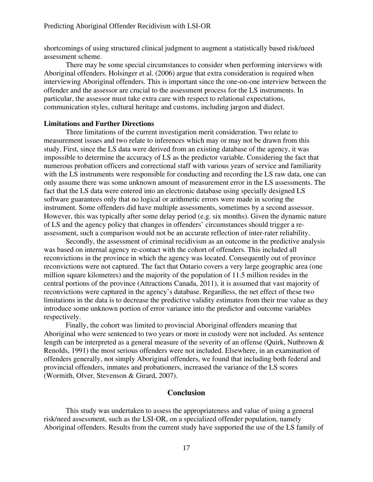shortcomings of using structured clinical judgment to augment a statistically based risk/need assessment scheme.

There may be some special circumstances to consider when performing interviews with Aboriginal offenders. Holsinger et al. (2006) argue that extra consideration is required when interviewing Aboriginal offenders. This is important since the one-on-one interview between the offender and the assessor are crucial to the assessment process for the LS instruments. In particular, the assessor must take extra care with respect to relational expectations, communication styles, cultural heritage and customs, including jargon and dialect.

#### **Limitations and Further Directions**

Three limitations of the current investigation merit consideration. Two relate to measurement issues and two relate to inferences which may or may not be drawn from this study. First, since the LS data were derived from an existing database of the agency, it was impossible to determine the accuracy of LS as the predictor variable. Considering the fact that numerous probation officers and correctional staff with various years of service and familiarity with the LS instruments were responsible for conducting and recording the LS raw data, one can only assume there was some unknown amount of measurement error in the LS assessments. The fact that the LS data were entered into an electronic database using specially designed LS software guarantees only that no logical or arithmetic errors were made in scoring the instrument. Some offenders did have multiple assessments, sometimes by a second assessor. However, this was typically after some delay period (e.g. six months). Given the dynamic nature of LS and the agency policy that changes in offenders' circumstances should trigger a reassessment, such a comparison would not be an accurate reflection of inter-rater reliability.

 Secondly, the assessment of criminal recidivism as an outcome in the predictive analysis was based on internal agency re-contact with the cohort of offenders. This included all reconvictions in the province in which the agency was located. Consequently out of province reconvictions were not captured. The fact that Ontario covers a very large geographic area (one million square kilometres) and the majority of the population of 11.5 million resides in the central portions of the province (Attractions Canada, 2011), it is assumed that vast majority of reconvictions were captured in the agency's database. Regardless, the net effect of these two limitations in the data is to decrease the predictive validity estimates from their true value as they introduce some unknown portion of error variance into the predictor and outcome variables respectively.

 Finally, the cohort was limited to provincial Aboriginal offenders meaning that Aboriginal who were sentenced to two years or more in custody were not included. As sentence length can be interpreted as a general measure of the severity of an offense (Quirk, Nutbrown & Renolds, 1991) the most serious offenders were not included. Elsewhere, in an examination of offenders generally, not simply Aboriginal offenders, we found that including both federal and provincial offenders, inmates and probationers, increased the variance of the LS scores (Wormith, Olver, Stevenson & Girard, 2007).

# **Conclusion**

 This study was undertaken to assess the appropriateness and value of using a general risk/need assessment, such as the LSI-OR, on a specialized offender population, namely Aboriginal offenders. Results from the current study have supported the use of the LS family of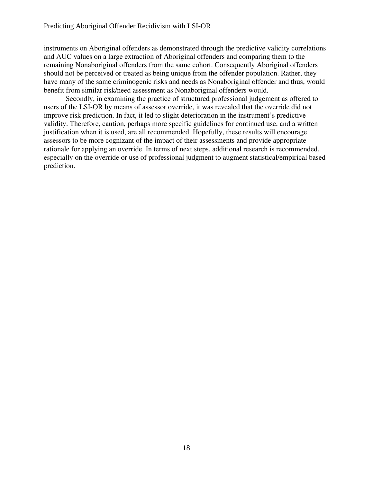instruments on Aboriginal offenders as demonstrated through the predictive validity correlations and AUC values on a large extraction of Aboriginal offenders and comparing them to the remaining Nonaboriginal offenders from the same cohort. Consequently Aboriginal offenders should not be perceived or treated as being unique from the offender population. Rather, they have many of the same criminogenic risks and needs as Nonaboriginal offender and thus, would benefit from similar risk/need assessment as Nonaboriginal offenders would.

Secondly, in examining the practice of structured professional judgement as offered to users of the LSI-OR by means of assessor override, it was revealed that the override did not improve risk prediction. In fact, it led to slight deterioration in the instrument's predictive validity. Therefore, caution, perhaps more specific guidelines for continued use, and a written justification when it is used, are all recommended. Hopefully, these results will encourage assessors to be more cognizant of the impact of their assessments and provide appropriate rationale for applying an override. In terms of next steps, additional research is recommended, especially on the override or use of professional judgment to augment statistical/empirical based prediction.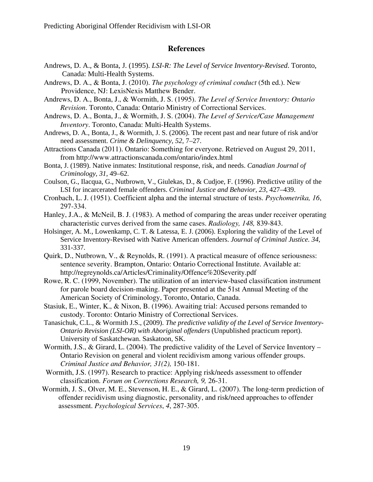# **References**

- Andrews, D. A., & Bonta, J. (1995). *LSI-R: The Level of Service Inventory-Revised*. Toronto, Canada: Multi-Health Systems.
- Andrews, D. A., & Bonta, J. (2010). *The psychology of criminal conduct* (5th ed.). New Providence, NJ: LexisNexis Matthew Bender.
- Andrews, D. A., Bonta, J., & Wormith, J. S. (1995). *The Level of Service Inventory: Ontario Revision*. Toronto, Canada: Ontario Ministry of Correctional Services.
- Andrews, D. A., Bonta, J., & Wormith, J. S. (2004). *The Level of Service/Case Management Inventory*. Toronto, Canada: Multi-Health Systems.
- Andrews, D. A., Bonta, J., & Wormith, J. S. (2006). The recent past and near future of risk and/or need assessment. *Crime & Delinquency, 52,* 7–27.
- Attractions Canada (2011). Ontario: Something for everyone. Retrieved on August 29, 2011, from http://www.attractionscanada.com/ontario/index.html
- Bonta, J. (1989). Native inmates: Institutional response, risk, and needs. *Canadian Journal of Criminology, 31*, 49–62.
- Coulson, G., Ilacqua, G., Nutbrown, V., Giulekas, D., & Cudjoe, F. (1996). Predictive utility of the LSI for incarcerated female offenders. *Criminal Justice and Behavior, 23,* 427–439.
- Cronbach, L. J. (1951). Coefficient alpha and the internal structure of tests. *Psychometrika, 16*, 297-334.
- Hanley, J.A., & McNeil, B. J. (1983). A method of comparing the areas under receiver operating characteristic curves derived from the same cases. *Radiology, 148,* 839-843.
- Holsinger, A. M., Lowenkamp, C. T. & Latessa, E. J. (2006). Exploring the validity of the Level of Service Inventory-Revised with Native American offenders. *Journal of Criminal Justice. 34*, 331-337.
- Quirk, D., Nutbrown, V., & Reynolds, R. (1991). A practical measure of offence seriousness: sentence severity. Brampton, Ontario: Ontario Correctional Institute. Available at: http://regreynolds.ca/Articles/Criminality/Offence%20Severity.pdf
- Rowe, R. C. (1999, November). The utilization of an interview-based classification instrument for parole board decision-making. Paper presented at the 51st Annual Meeting of the American Society of Criminology, Toronto, Ontario, Canada.
- Stasiuk, E., Winter, K., & Nixon, B. (1996). Awaiting trial: Accused persons remanded to custody. Toronto: Ontario Ministry of Correctional Services.
- Tanasichuk, C.L., & Wormith J.S., (2009). *The predictive validity of the Level of Service Inventory-Ontario Revision (LSI-OR) with Aboriginal offenders* (Unpublished practicum report). University of Saskatchewan. Saskatoon, SK.
- Wormith, J.S., & Girard, L. (2004). The predictive validity of the Level of Service Inventory Ontario Revision on general and violent recidivism among various offender groups. *Criminal Justice and Behavior, 31(2),* 150-181.
- Wormith, J.S. (1997). Research to practice: Applying risk/needs assessment to offender classification. *Forum on Corrections Research, 9,* 26-31.
- Wormith, J. S., Olver, M. E., Stevenson, H. E., & Girard, L. (2007). The long-term prediction of offender recidivism using diagnostic, personality, and risk/need approaches to offender assessment. *Psychological Services*, *4*, 287-305.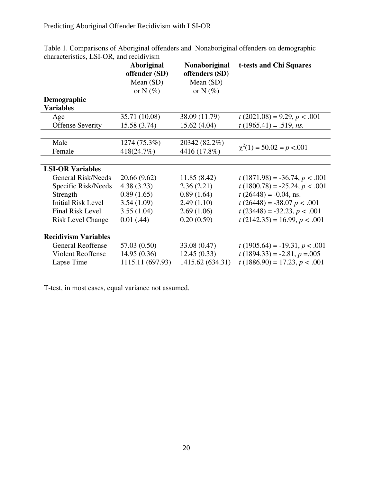|                             | <b>Aboriginal</b> | Nonaboriginal    | t-tests and Chi Squares         |
|-----------------------------|-------------------|------------------|---------------------------------|
|                             | offender (SD)     | offenders (SD)   |                                 |
|                             | Mean (SD)         | Mean (SD)        |                                 |
|                             | or N $(\%)$       | or N $(\%)$      |                                 |
| Demographic                 |                   |                  |                                 |
| <b>Variables</b>            |                   |                  |                                 |
| Age                         | 35.71 (10.08)     | 38.09 (11.79)    | $t(2021.08) = 9.29, p < .001$   |
| <b>Offense Severity</b>     | 15.58 (3.74)      | 15.62 (4.04)     | $t(1965.41) = .519$ , ns.       |
|                             |                   |                  |                                 |
| Male                        | 1274 (75.3%)      | 20342 (82.2%)    |                                 |
| Female                      | 418(24.7%)        | 4416 (17.8%)     | $\chi^2(1) = 50.02 = p < .001$  |
|                             |                   |                  |                                 |
| <b>LSI-OR Variables</b>     |                   |                  |                                 |
| <b>General Risk/Needs</b>   | 20.66 (9.62)      | 11.85 (8.42)     | $t(1871.98) = -36.74, p < .001$ |
| Specific Risk/Needs         | 4.38(3.23)        | 2.36(2.21)       | $t(1800.78) = -25.24, p < .001$ |
| Strength                    | 0.89(1.65)        | 0.89(1.64)       | $t(26448) = -0.04$ , ns.        |
| <b>Initial Risk Level</b>   | 3.54(1.09)        | 2.49(1.10)       | $t(26448) = -38.07 p < .001$    |
| <b>Final Risk Level</b>     | 3.55(1.04)        | 2.69(1.06)       | $t(23448) = -32.23, p < .001$   |
| <b>Risk Level Change</b>    | 0.01(0.44)        | 0.20(0.59)       | $t(2142.35) = 16.99, p < .001$  |
|                             |                   |                  |                                 |
| <b>Recidivism Variables</b> |                   |                  |                                 |
| <b>General Reoffense</b>    | 57.03 (0.50)      | 33.08 (0.47)     | $t(1905.64) = -19.31, p < .001$ |
| <b>Violent Reoffense</b>    | 14.95(0.36)       | 12.45(0.33)      | $t(1894.33) = -2.81, p = 0.005$ |
| Lapse Time                  | 1115.11 (697.93)  | 1415.62 (634.31) | $t(1886.90) = 17.23, p < .001$  |
|                             |                   |                  |                                 |

Table 1. Comparisons of Aboriginal offenders and Nonaboriginal offenders on demographic characteristics, LSI-OR, and recidivism

T-test, in most cases, equal variance not assumed.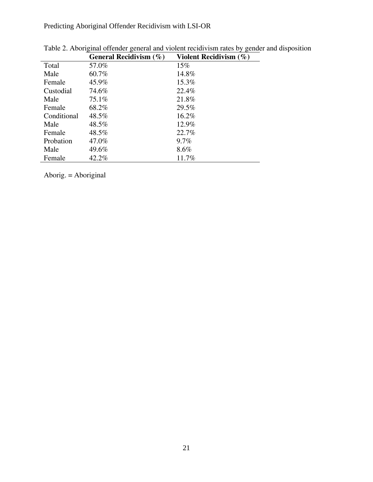Predicting Aboriginal Offender Recidivism with LSI-OR

|             | General Recidivism $(\% )$ | Violent Recidivism $(\% )$ |
|-------------|----------------------------|----------------------------|
| Total       | 57.0%                      | 15%                        |
| Male        | 60.7%                      | 14.8%                      |
| Female      | 45.9%                      | 15.3%                      |
| Custodial   | 74.6%                      | 22.4%                      |
| Male        | 75.1%                      | 21.8%                      |
| Female      | 68.2%                      | 29.5%                      |
| Conditional | 48.5%                      | 16.2%                      |
| Male        | 48.5%                      | 12.9%                      |
| Female      | 48.5%                      | 22.7%                      |
| Probation   | 47.0%                      | $9.7\%$                    |
| Male        | 49.6%                      | $8.6\%$                    |
| Female      | 42.2%                      | 11.7%                      |

| Table 2. Aboriginal offender general and violent recidivism rates by gender and disposition |                                                                                                                                                                                                                                 |  |  |
|---------------------------------------------------------------------------------------------|---------------------------------------------------------------------------------------------------------------------------------------------------------------------------------------------------------------------------------|--|--|
|                                                                                             | $\sim$ . The state of the state of the state of the state of the state of the state of the state of the state of the state of the state of the state of the state of the state of the state of the state of the state of the st |  |  |

Aborig. = Aboriginal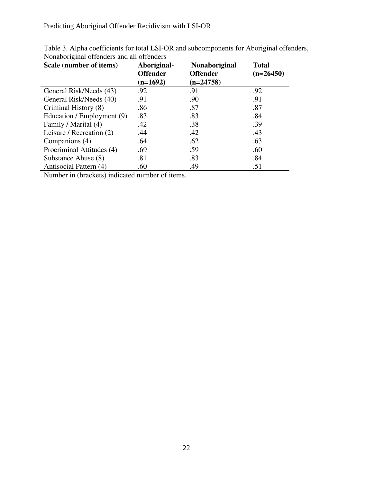Predicting Aboriginal Offender Recidivism with LSI-OR

| Scale (number of items)    | Aboriginal-<br><b>Offender</b><br>$(n=1692)$ | <b>Nonaboriginal</b><br><b>Offender</b><br>$(n=24758)$ | <b>Total</b><br>$(n=26450)$ |
|----------------------------|----------------------------------------------|--------------------------------------------------------|-----------------------------|
| General Risk/Needs (43)    | .92                                          | .91                                                    | .92                         |
| General Risk/Needs (40)    | .91                                          | .90                                                    | .91                         |
| Criminal History (8)       | .86                                          | .87                                                    | .87                         |
| Education / Employment (9) | .83                                          | .83                                                    | .84                         |
| Family / Marital (4)       | .42                                          | .38                                                    | .39                         |
| Leisure / Recreation (2)   | .44                                          | .42                                                    | .43                         |
| Companions (4)             | .64                                          | .62                                                    | .63                         |
| Procriminal Attitudes (4)  | .69                                          | .59                                                    | .60                         |
| Substance Abuse (8)        | .81                                          | .83                                                    | .84                         |
| Antisocial Pattern (4)     | .60                                          | .49                                                    | .51                         |

Table 3. Alpha coefficients for total LSI-OR and subcomponents for Aboriginal offenders, Nonaboriginal offenders and all offenders

Number in (brackets) indicated number of items.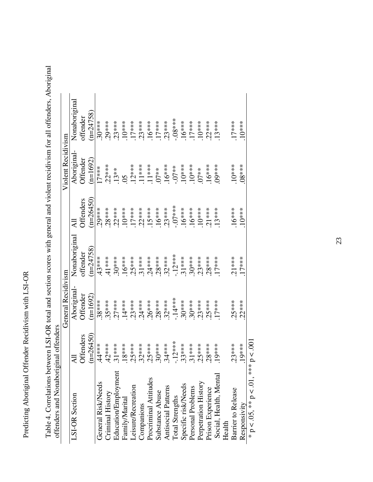Predicting Aboriginal Offender Recidivism with LSI-OR Predicting Aboriginal Offender Recidivism with LSI-OR

| offenders and Nonaboriginal offenders |                    |                    |                   |                  |                    |               |
|---------------------------------------|--------------------|--------------------|-------------------|------------------|--------------------|---------------|
|                                       |                    | General Recidivism |                   |                  | Violent Recidivism |               |
| LSI-OR Section                        | $\bar{\mathbf{z}}$ | Aboriginal-        | Nonaboriginal     | ミ                | Aboriginal-        | Nonaboriginal |
|                                       | ffenders           | Offender           | offender          | <b>Offenders</b> | Offender           | offender      |
|                                       | $(n=26450)$        | $(n=1692)$         | $(n=24758)$       | $n = 26450$      | $(n=1692)$         | $(n=24758)$   |
| General Risk/Needs                    | $44**$             | $.38***$           | $43***$           | $.29***$         | $17***$            | $30***$       |
| Criminal History                      | $.42***$           | $.35***$           | $.41***$          | $28***$          | $22***$            | $29***$       |
| Education/Employment                  | $.31***$           | $27***$            | $30***$           | $.22***$         | $13**$             | $23***$       |
| Family/Marital                        | $8***$             | $14***$            | $16***$           | $10***$          | $\overline{5}$     | $10***$       |
| <i>cisure/Recreation</i>              | $25***$            | $.23***$           |                   | $.17***$         |                    | $17***$       |
| Companions                            | $.32***$           | $.24***$           | $.25***$<br>31*** | $22***$          | $12***$<br>11***   | $23***$       |
| Procriminal Attitudes                 | $.25***$           | $.26***$           | $.24***$          | 15***            | $11***$            | $16***$       |
| Substance Abuse                       | $.30***$           | $28***$            | $28***$           | $16***$          | $07**$             | $17***$       |
| <b>Antisocial Patterns</b>            | $.34***$           | $.32***$           | $.32***$          | $23***$          | $16***$            | $23***$       |
| <b>Total Strengths</b>                | $-12***$           | $-14***$           | $-12***$          | $-0.07$ ***      | $-0.7**$           | $-08***$      |
| Specific risk/Needs                   | $.33***$           | $.30***$           | $.31***$          | $16***$          | $10***$            | $16***$       |
| Personal Problems                     | $.31***$           | $30***$            | $30***$           | $16***$          | $10***$            | $17***$       |
| Perpetration History                  | $25***$            | $.23***$           | $23***$           | $10***$          | $07**$             | $10***$       |
| Prison Experience                     | $28**$             | $25***$            | $28***$           | $21***$          | $16***$            | $22***$       |
| Social, Health, Mental                | 19****             | $17***$            | $17***$           | $13***$          | $09***$            | 13***         |
| Health                                |                    |                    |                   |                  |                    |               |
| Barrier to Release                    | $23***$            | $25***$            | $21***$           | $.16***$         | $10***$            | $.17***$      |
| Responsivity                          | 19****             | $.22***$           | $17***$           | $10***$          | $08***$            | $.10***$      |
| * $p < .05$ , ** $p < .01$ , *** $p$  | 00.<br>>           |                    |                   |                  |                    |               |

Table 4. Correlations between LSI-OR total and section scores with general and violent recidivism for all offenders, Aboriginal Table 4. Correlations between LSI-OR total and section scores with general and violent recidivism for all offenders, Aboriginal

23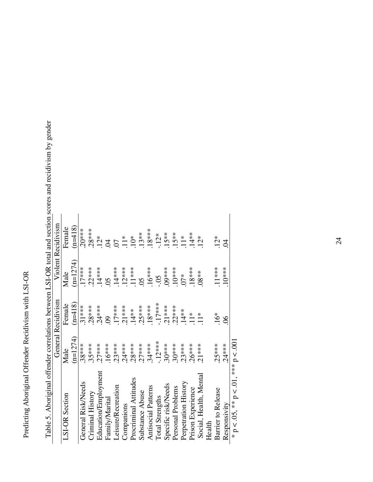| anic 5. Yong iking onicident control being the model with the section section solution and recited |            |                    |                   |                     |  |
|----------------------------------------------------------------------------------------------------|------------|--------------------|-------------------|---------------------|--|
|                                                                                                    |            | General Recidivism |                   | Violent Recidivism  |  |
| LSI-OR Section                                                                                     | Male       | Female             | Male              | Female              |  |
|                                                                                                    | $(n=1274)$ | $(n=418)$          | $(n=1274)$        | $(n=418)$           |  |
| General Risk/Needs                                                                                 | $.38***$   | $31***$            | $17***$           | $20***$             |  |
| Criminal History                                                                                   | $.35***$   | $.28***$           | $22***$           | $28***$             |  |
| Education/Employment                                                                               | $.27***$   | $.24***$           | $.14***$          |                     |  |
| Family/Marital                                                                                     | $.16***$   | $\overline{8}$     | $\overline{50}$   | $\frac{3}{2}$ 3     |  |
| Leisure/Recreation                                                                                 | $23***$    | $17***$            | $14***$           | $5 \stackrel{*}{=}$ |  |
| Companions                                                                                         | $.24***$   | $21***$            | $12***$           |                     |  |
| Procriminal Attitudes                                                                              | $28***$    | $14**$             | $11***$           | $10^*$              |  |
| Substance Abuse                                                                                    | $27***$    | $25***$            | $\overline{05}$   | $13**$              |  |
| <b>Antisocial Patterns</b>                                                                         | 34****     | $18***$            | $16***$           | $18***$             |  |
| <b>Total Strengths</b>                                                                             | $-12***$   | $-17***$           | $\ddot{5}$        | $.12*$              |  |
| Specific risk/Needs                                                                                | $30***$    | $21***$            | $09***$           | $15**$              |  |
| Personal Problems                                                                                  | $30***$    | $22***$            | $10***$           | $15**$              |  |
| Perpetration History                                                                               | $.23***$   | $14**$             | $\widetilde{U}^*$ | $\frac{*}{1}$       |  |
| Prison Experience                                                                                  | $26***$    | $\frac{1}{1}$      | $18***$           | 14**                |  |
| Social, Health, Mental                                                                             | $21***$    | $11*$              | $08**$            | $12*$               |  |
| Health                                                                                             |            |                    |                   |                     |  |
| Barrier to Release                                                                                 | $.25***$   | $16*$              | $.11***$          | $12*$               |  |
| Responsivity                                                                                       | $.24***$   | $\delta$           | $10***$           | Z                   |  |
| * $p < .05$ , ** $p < .01$ , *** $p < .001$                                                        |            |                    |                   |                     |  |

Table 5. Aboriginal offender correlations between LSI-OR total and section scores and recidivism by gender Table 5. Aboriginal offender correlations between LSI-OR total and section scores and recidivism by gender  $\begin{array}{c} \begin{array}{c} \begin{array}{c} \end{array} \end{array} \end{array}$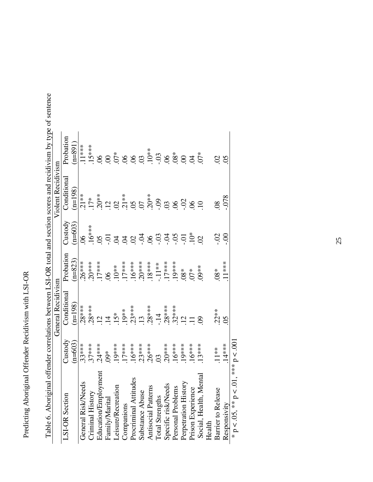# Predicting Aboriginal Offender Recidivism with LSI-OR Predicting Aboriginal Offender Recidivism with LSI-OR

| mond of the purpose        |                             |                    |           |                                                                                                             |                                                                                                                                                                                                                                                                                                                                                                                           |           |
|----------------------------|-----------------------------|--------------------|-----------|-------------------------------------------------------------------------------------------------------------|-------------------------------------------------------------------------------------------------------------------------------------------------------------------------------------------------------------------------------------------------------------------------------------------------------------------------------------------------------------------------------------------|-----------|
|                            |                             | General Recidivism |           |                                                                                                             | Violent Recidivism                                                                                                                                                                                                                                                                                                                                                                        |           |
| LSI-OR Section             | Justody                     | Conditional        | Probation | $\bigcirc$ ustody                                                                                           | Conditional                                                                                                                                                                                                                                                                                                                                                                               | Probation |
|                            | $(n=603)$                   | $(n=198)$          | $(n=823)$ | $n = 603$                                                                                                   | $(n=198)$                                                                                                                                                                                                                                                                                                                                                                                 | $(n=891)$ |
| General Risk/Needs         | $.33***$                    | $28***$            |           | $\infty$                                                                                                    |                                                                                                                                                                                                                                                                                                                                                                                           |           |
| Criminal History           | $.37***$                    |                    |           |                                                                                                             |                                                                                                                                                                                                                                                                                                                                                                                           |           |
| Education/Employment       | $.24***$                    |                    |           | $16$<br>$-16$<br>$-16$<br>$-16$<br>$-16$<br>$-16$<br>$-16$<br>$-16$<br>$-16$<br>$-16$<br>$-16$<br>$-16$<br> | $\begin{array}{ccccccccc}\n\ddot{a} & \ddot{a} & \ddot{a} & \ddot{a} & \ddot{a} & \ddot{a} & \ddot{a} & \ddot{a} & \ddot{a} & \ddot{a} & \dddot{a} & \dddot{a} & \dddot{a} & \dddot{a} & \dddot{a} & \dddot{a} & \dddot{a} & \dddot{a} & \dddot{a} & \dddot{a} & \dddot{a} & \dddot{a} & \dddot{a} & \dddot{a} & \dddot{a} & \dddot{a} & \dddot{a} & \dddot{a} & \dddot{a} & \dddot{a} &$ |           |
| Family/Marital             |                             |                    |           |                                                                                                             |                                                                                                                                                                                                                                                                                                                                                                                           |           |
| Leisure/Recreation         | $.19***$                    |                    |           |                                                                                                             |                                                                                                                                                                                                                                                                                                                                                                                           |           |
| Companions                 | $17***$                     |                    |           |                                                                                                             |                                                                                                                                                                                                                                                                                                                                                                                           |           |
| Procriminal Attitudes      |                             |                    |           |                                                                                                             |                                                                                                                                                                                                                                                                                                                                                                                           |           |
| Substance Abuse            |                             |                    |           |                                                                                                             |                                                                                                                                                                                                                                                                                                                                                                                           |           |
| <b>Antisocial Patterns</b> | $.16***$<br>23***<br>26**** |                    |           |                                                                                                             |                                                                                                                                                                                                                                                                                                                                                                                           |           |
| <b>Total Strengths</b>     | $\ddot{\text{C}}$           |                    |           |                                                                                                             |                                                                                                                                                                                                                                                                                                                                                                                           |           |
| Specific risk/Needs        | $20***$                     |                    |           |                                                                                                             |                                                                                                                                                                                                                                                                                                                                                                                           |           |
| Personal Problems          | $16***$                     |                    |           |                                                                                                             |                                                                                                                                                                                                                                                                                                                                                                                           |           |
| Perpetration History       | $19***$                     |                    |           |                                                                                                             |                                                                                                                                                                                                                                                                                                                                                                                           |           |
| Prison Experience          | $16***$                     |                    |           |                                                                                                             |                                                                                                                                                                                                                                                                                                                                                                                           |           |
| Social, Health, Menta      | $13***$                     | $\mathcal{S}$      | $09**$    |                                                                                                             |                                                                                                                                                                                                                                                                                                                                                                                           |           |
| Health                     |                             |                    |           |                                                                                                             |                                                                                                                                                                                                                                                                                                                                                                                           |           |
| <b>Barrier to Release</b>  | $.11***$                    | $22**$             | $08*$     | S                                                                                                           | $\overline{\infty}$                                                                                                                                                                                                                                                                                                                                                                       | 8S        |
| Responsivity               | $.14***$                    | $\overline{05}$    | $.11***$  | S.                                                                                                          | .078                                                                                                                                                                                                                                                                                                                                                                                      |           |
| * $p < 0.05$ , ** $p <$    | $0.01, **p < 0.001$         |                    |           |                                                                                                             |                                                                                                                                                                                                                                                                                                                                                                                           |           |

Table 6. Aboriginal offender correlations between LSI-OR total and section scores and recidivism by type of sentence Table 6. Aboriginal offender correlations between LSI-OR total and section scores and recidivism by type of sentence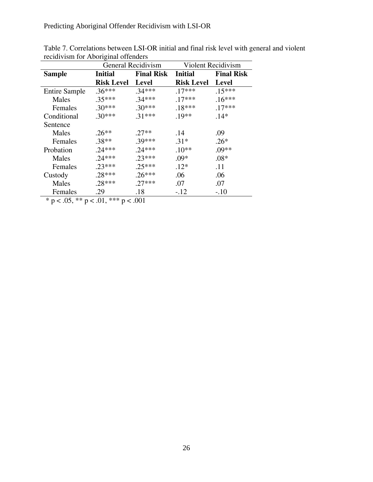Predicting Aboriginal Offender Recidivism with LSI-OR

|                      |                   | <b>General Recidivism</b> |                   | Violent Recidivism |
|----------------------|-------------------|---------------------------|-------------------|--------------------|
| <b>Sample</b>        | <b>Initial</b>    | <b>Final Risk</b>         | <b>Initial</b>    | <b>Final Risk</b>  |
|                      | <b>Risk Level</b> | <b>Level</b>              | <b>Risk Level</b> | Level              |
| <b>Entire Sample</b> | $.36***$          | $.34***$                  | $.17***$          | $.15***$           |
| Males                | $.35***$          | $.34***$                  | $.17***$          | $.16***$           |
| Females              | $.30***$          | $.30***$                  | $.18***$          | $.17***$           |
| Conditional          | $.30***$          | $.31***$                  | $.19**$           | $.14*$             |
| Sentence             |                   |                           |                   |                    |
| Males                | $.26**$           | .27**                     | .14               | .09                |
| Females              | $.38**$           | .39***                    | $.31*$            | $.26*$             |
| Probation            | $.24***$          | $.24***$                  | $.10**$           | $.09**$            |
| Males                | $.24***$          | $.23***$                  | $.09*$            | $.08*$             |
| Females              | $.23***$          | $.25***$                  | $.12*$            | .11                |
| Custody              | $.28***$          | $.26***$                  | .06               | .06                |
| Males                | $.28***$          | $.27***$                  | .07               | .07                |
| Females              | .29               | .18                       | $-.12$            | $-.10$             |
|                      |                   |                           |                   |                    |

Table 7. Correlations between LSI-OR initial and final risk level with general and violent recidivism for Aboriginal offenders

\* p < .05, \*\* p < .01, \*\*\* p < .001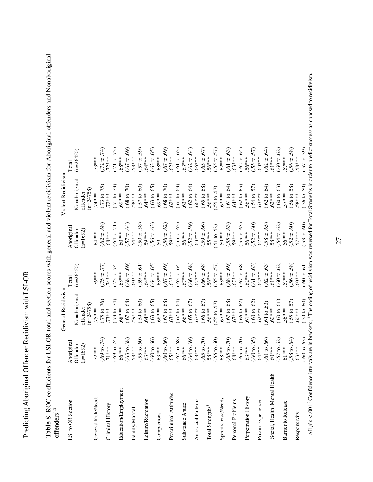Predicting Aboriginal Offender Recidivism with LSI-OR Predicting Aboriginal Offender Recidivism with LSI-OR

|                          | $(n=26450)$<br><b>Total</b> |                        |             | 73***              | $(72 \text{ to } 74)$                           | $.72***$         | $(71 \text{ to } 73)$ | $.68***$             | (60.67)                 | $.58***$       | $(57 \text{ to } 59)$   | $.64***$           | $(.63 \text{ to } .65)$                                                                                                                                                                                                                                                                               | $58***$    | $(.67 \text{ to } .69)$             | $.62***$              | $(.61 \text{ to } .63)$ | $.63***$                            | $(.62 \text{ to } .64)$              | $.66***$                            | (50.65) | 56***                            | $(.55 \text{ to } .57)$                                     | $.62***$                            | $(.61 \text{ to } .63)$                | $.63***$          | $(.62 \text{ to } .64)$                | $56***$              | $(.55 \text{ to } .57)$                | $.63***$          | $(.62 \text{ to } .64)$                | $.61***$                      | $(0.60 \text{ to } 0.62)$         | $57***$                                                                                                                                                                                                                                             | $(.56 \text{ to } .58)$             | $.58***$ |
|--------------------------|-----------------------------|------------------------|-------------|--------------------|-------------------------------------------------|------------------|-----------------------|----------------------|-------------------------|----------------|-------------------------|--------------------|-------------------------------------------------------------------------------------------------------------------------------------------------------------------------------------------------------------------------------------------------------------------------------------------------------|------------|-------------------------------------|-----------------------|-------------------------|-------------------------------------|--------------------------------------|-------------------------------------|---------|----------------------------------|-------------------------------------------------------------|-------------------------------------|----------------------------------------|-------------------|----------------------------------------|----------------------|----------------------------------------|-------------------|----------------------------------------|-------------------------------|-----------------------------------|-----------------------------------------------------------------------------------------------------------------------------------------------------------------------------------------------------------------------------------------------------|-------------------------------------|----------|
| Violent Recidivism       | Nonaboriginal               | offender               | $n = 24758$ | $74***$            | $(73 \text{ to } 75)$                           | $72***$          | (71 to 73)            | 69***                | (01.086)                | $.58***$       | $(.57 \text{ to } .60)$ | $.64***$           | $(.63 \text{ to } .65)$                                                                                                                                                                                                                                                                               | 69***      | (0.50, 0.86)                        | $.62***$              |                         | $(.61 \text{ to } .63)$<br>$.63***$ |                                      | $(.62 \text{ to } .64)$<br>$.66***$ |         | $(.65 \text{ to } .68)$<br>56*** |                                                             | $(.55 \text{ to } .57)$<br>$.62***$ | $(.61 \text{ to } .64)$                | $.64***$          | $(.62 \text{ to } .65)$                | $.56***$             | $(.54 \text{ to } .57)$<br>$.63***$    |                   | $(.62 \text{ to } .64)$<br>$.62***$    |                               | $(.60 \text{ to } .63)$           | $57***$                                                                                                                                                                                                                                             | $(.56 \text{ to } .58)$             | $.58***$ |
|                          | Aboriginal<br>Offender      | $n=1692$               |             | $.64***$           | $(.62 \text{ to } .68)$<br>$.68***$             |                  | (17.040, 71)          | $60***$              | $(.57 \text{ to } .64)$ | 54***          | $(.50 \text{ to } .58)$ | .59***             | $(.56 \text{ to } .63)$                                                                                                                                                                                                                                                                               | 59         | $(56 \text{ to } 62)$               | .59***                | $(.55 \text{ to } .63)$ | $.56***$                            |                                      | $(.52 \text{ to } .59)$<br>$.63***$ |         | $(.59 \text{ to } .66)$<br>55*** |                                                             | $(.51 \text{ to } .58)$<br>$.59***$ | $(.55 \text{ to } .63)$<br>$.59***$    |                   | $(.55 \text{ to } .63)$<br>56***       |                      | $(.52 \text{ to } .60)$<br>$.62***$    |                   | $(.58 \text{ to } .65)$                | $.58***$                      |                                   | $(.54 \text{ to } .62)$<br>$.56***$                                                                                                                                                                                                                 | $(.52 \text{ to } .60)$<br>$.57***$ |          |
|                          | $(n=26450)$<br>Total        |                        |             | $76***$            | $(75 \text{ to } 77)$                           | $.74***$         | $(73 \text{ to } 74)$ | $.68***$             | $(68 \text{ to } .69)$  | $-60***$       | $(59 \text{ to } .61)$  | $64***$            | $(.64 \text{ to } .65)$                                                                                                                                                                                                                                                                               | $-88***$   | $(.67 \text{ to } .69)$<br>$.63***$ |                       |                         | $(.63 \text{ to } .64)$<br>$.67***$ |                                      | $(0.66 \text{ to } 0.68)$ .         |         | $(.66 \text{ to } .68)$<br>56*** | $(.55 \text{ to } .57)$                                     | $.68***$                            | $(0.68 \text{ to } 0.69)$ .<br>$67***$ |                   | $(0.67 \text{ to } 0.68)$<br>$0.62***$ |                      | $(0.61 \text{ to } 0.63)$<br>$0.62***$ |                   | $(0.62 \text{ to } 0.63)$ .<br>$61***$ |                               | $(.60 \text{ to } .62)$<br>.57*** |                                                                                                                                                                                                                                                     | $(.56 \text{ to } .58)$             | $.60***$ |
| General Recidivism       | Nonaboriginal               | offender               | $(n=24758)$ | $75***$            | $(75 \text{ to } 76)$                           | $.73***$         | $(73 \text{ to } 74)$ | $.68***$             | $(.67 \text{ to } .68)$ | .59***         | $(59 \text{ to } .60)$  | $.64***$           | $(.63 \text{ to } .65)$                                                                                                                                                                                                                                                                               | $.68***$   | $(0.67 \text{ to } 0.68)$           |                       |                         | $(.62 \text{ to } .64)$<br>$.66***$ | $(0.65 \text{ to } 0.67)$<br>$67***$ |                                     |         | $(.66 \text{ to } .67)$<br>56*** |                                                             | $(.55 \text{ to } .57)$<br>$.67***$ | $(0.67 \text{ to } 0.68)$<br>$67***$   |                   | $(0.66 \text{ to } 0.67)$              |                      | $(0.60 \text{ to } 0.62)$<br>$62***$   |                   | (61 to .63)                            | $.60***$                      |                                   | $(.60 \text{ to } .61)$<br>.56***                                                                                                                                                                                                                   | $(.55 \text{ to } .57)$             | $.60***$ |
|                          | Aboriginal<br>Offender      | 692)<br>$\overline{a}$ |             |                    | $(\frac{1}{2} \cdot 0, 6)$<br>*** $\frac{2}{2}$ |                  |                       |                      |                         |                |                         |                    | 71***<br>$(0.9 \text{ to } 74)$<br>$(6.9 \text{ to } 34)$<br>$6.6$ ***<br>$5.8$ ***<br>$5.9$<br>$5.9$ ***<br>$5.9$<br>$6.9$<br>$6.9$<br>$6.9$<br>$6.9$<br>$6.9$<br>$6.9$<br>$6.9$<br>$6.9$<br>$6.9$<br>$6.9$<br>$6.9$<br>$6.9$<br>$6.9$<br>$6.9$<br>$6.9$<br>$6.9$<br>$6.9$<br>$6.9$<br>$6.9$<br>$6.$ |            |                                     |                       |                         |                                     |                                      |                                     |         |                                  | $(00, 69)$<br>$(08***\n(05 to .70)\n.58***\n.58***\n.68***$ |                                     |                                        |                   |                                        |                      |                                        |                   |                                        |                               |                                   | $\begin{array}{l} (0.65~\text{ to } .70) \\ .68*** \\ .68*** \\ .65~\text{ to } .70) \\ .650~\text{ to } .65 \\ .60~\text{ to } .65 \\ .64*** \\ .60~\text{ to } .60 \\ .60*** \\ .61~\text{ to } .62 \\ .67~\text{ to } .62 \\ .61*** \end{array}$ | $(.58 \text{ to } .64)$             |          |
| offenders <sup>1,2</sup> | LSI to OR Section           |                        |             | General Risk/Needs |                                                 | Criminal History |                       | Education/Employment |                         | Family/Marital |                         | Leisure/Recreation |                                                                                                                                                                                                                                                                                                       | Companions |                                     | Procriminal Attitudes |                         | Substance Abuse                     |                                      | Antisocial Patterns                 |         | Total Strengths <sup>3</sup>     |                                                             | Specific risk/Needs                 |                                        | Personal Problems |                                        | Perpetration History |                                        | Prison Experience |                                        | Social, Health, Mental Health |                                   | Barrier to Release                                                                                                                                                                                                                                  |                                     |          |

Table 8. ROC coefficients for LSI-OR total and section scores with general and violent recidivism for Aboriginal offenders and Nonaboriginal Table 8. ROC coefficients for LSI-OR total and section scores with general and violent recidivism for Aboriginal offenders and Nonaboriginal

 $1$  All  $p$ 's < .001.<sup>2</sup> Confidence intervals are in brackets; <sup>3</sup> The coding of recidivism was reversed for Total Strengths in order to predict success as opposed to recidivism. 1 All *p*'s < .001.2 Confidence intervals are in brackets; 3 The coding of recidivism was reversed for Total Strengths in order to predict success as opposed to recidivism.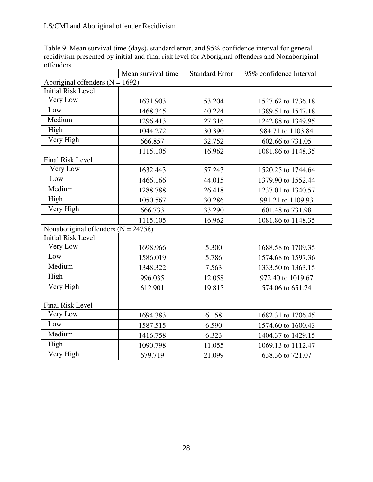Table 9. Mean survival time (days), standard error, and 95% confidence interval for general recidivism presented by initial and final risk level for Aboriginal offenders and Nonaboriginal offenders

|                                       | Mean survival time | <b>Standard Error</b> | 95% confidence Interval |
|---------------------------------------|--------------------|-----------------------|-------------------------|
| Aboriginal offenders $(N = 1692)$     |                    |                       |                         |
| <b>Initial Risk Level</b>             |                    |                       |                         |
| Very Low                              | 1631.903           | 53.204                | 1527.62 to 1736.18      |
| Low                                   | 1468.345           | 40.224                | 1389.51 to 1547.18      |
| Medium                                | 1296.413           | 27.316                | 1242.88 to 1349.95      |
| High                                  | 1044.272           | 30.390                | 984.71 to 1103.84       |
| Very High                             | 666.857            | 32.752                | 602.66 to 731.05        |
|                                       | 1115.105           | 16.962                | 1081.86 to 1148.35      |
| <b>Final Risk Level</b>               |                    |                       |                         |
| Very Low                              | 1632.443           | 57.243                | 1520.25 to 1744.64      |
| Low                                   | 1466.166           | 44.015                | 1379.90 to 1552.44      |
| Medium                                | 1288.788           | 26.418                | 1237.01 to 1340.57      |
| High                                  | 1050.567           | 30.286                | 991.21 to 1109.93       |
| Very High                             | 666.733            | 33.290                | 601.48 to 731.98        |
|                                       | 1115.105           | 16.962                | 1081.86 to 1148.35      |
| Nonaboriginal offenders $(N = 24758)$ |                    |                       |                         |
| <b>Initial Risk Level</b>             |                    |                       |                         |
| Very Low                              | 1698.966           | 5.300                 | 1688.58 to 1709.35      |
| Low                                   | 1586.019           | 5.786                 | 1574.68 to 1597.36      |
| Medium                                | 1348.322           | 7.563                 | 1333.50 to 1363.15      |
| High                                  | 996.035            | 12.058                | 972.40 to 1019.67       |
| Very High                             | 612.901            | 19.815                | 574.06 to 651.74        |
|                                       |                    |                       |                         |
| <b>Final Risk Level</b>               |                    |                       |                         |
| Very Low                              | 1694.383           | 6.158                 | 1682.31 to 1706.45      |
| Low                                   | 1587.515           | 6.590                 | 1574.60 to 1600.43      |
| Medium                                | 1416.758           | 6.323                 | 1404.37 to 1429.15      |
| High                                  | 1090.798           | 11.055                | 1069.13 to 1112.47      |
| Very High                             | 679.719            | 21.099                | 638.36 to 721.07        |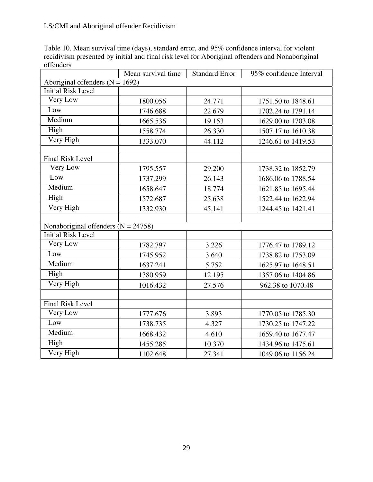Table 10. Mean survival time (days), standard error, and 95% confidence interval for violent recidivism presented by initial and final risk level for Aboriginal offenders and Nonaboriginal offenders

|                                       | Mean survival time | <b>Standard Error</b> | 95% confidence Interval |
|---------------------------------------|--------------------|-----------------------|-------------------------|
| Aboriginal offenders $(N = 1692)$     |                    |                       |                         |
| <b>Initial Risk Level</b>             |                    |                       |                         |
| Very Low                              | 1800.056           | 24.771                | 1751.50 to 1848.61      |
| Low                                   | 1746.688           | 22.679                | 1702.24 to 1791.14      |
| Medium                                | 1665.536           | 19.153                | 1629.00 to 1703.08      |
| High                                  | 1558.774           | 26.330                | 1507.17 to 1610.38      |
| Very High                             | 1333.070           | 44.112                | 1246.61 to 1419.53      |
|                                       |                    |                       |                         |
| <b>Final Risk Level</b>               |                    |                       |                         |
| Very Low                              | 1795.557           | 29.200                | 1738.32 to 1852.79      |
| Low                                   | 1737.299           | 26.143                | 1686.06 to 1788.54      |
| Medium                                | 1658.647           | 18.774                | 1621.85 to 1695.44      |
| High                                  | 1572.687           | 25.638                | 1522.44 to 1622.94      |
| Very High                             | 1332.930           | 45.141                | 1244.45 to 1421.41      |
|                                       |                    |                       |                         |
| Nonaboriginal offenders $(N = 24758)$ |                    |                       |                         |
| <b>Initial Risk Level</b>             |                    |                       |                         |
| Very Low                              | 1782.797           | 3.226                 | 1776.47 to 1789.12      |
| Low                                   | 1745.952           | 3.640                 | 1738.82 to 1753.09      |
| Medium                                | 1637.241           | 5.752                 | 1625.97 to 1648.51      |
| High                                  | 1380.959           | 12.195                | 1357.06 to 1404.86      |
| Very High                             | 1016.432           | 27.576                | 962.38 to 1070.48       |
|                                       |                    |                       |                         |
| <b>Final Risk Level</b>               |                    |                       |                         |
| Very Low                              | 1777.676           | 3.893                 | 1770.05 to 1785.30      |
| Low                                   | 1738.735           | 4.327                 | 1730.25 to 1747.22      |
| Medium                                | 1668.432           | 4.610                 | 1659.40 to 1677.47      |
| High                                  | 1455.285           | 10.370                | 1434.96 to 1475.61      |
| Very High                             | 1102.648           | 27.341                | 1049.06 to 1156.24      |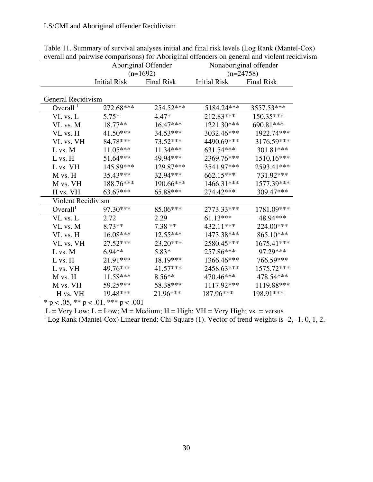|                      |                     | Aboriginal Offender             | Nonaboriginal offender<br>$(n=24758)$ |                   |  |
|----------------------|---------------------|---------------------------------|---------------------------------------|-------------------|--|
|                      | <b>Initial Risk</b> | $(n=1692)$<br><b>Final Risk</b> | <b>Initial Risk</b>                   | <b>Final Risk</b> |  |
|                      |                     |                                 |                                       |                   |  |
| General Recidivism   |                     |                                 |                                       |                   |  |
| Overall $1$          | 272.68***           | 254.52***                       | 5184.24***                            | 3557.53***        |  |
| VL vs. L             | $5.75*$             | $4.47*$                         | 212.83***                             | $150.35***$       |  |
| VL vs. M             | $18.77**$           | 16.47***                        | 1221.30***                            | 690.81***         |  |
| VL vs. H             | 41.50***            | 34.53***                        | 3032.46***                            | 1922.74***        |  |
| VL vs. VH            | 84.78***            | 73.52***                        | 4490.69***                            | 3176.59***        |  |
| L vs. M              | $11.05***$          | 11.34***                        | 631.54***                             | 301.81***         |  |
| L vs. H              | 51.64***            | 49.94***                        | 2369.76***                            | 1510.16***        |  |
| L vs. VH             | 145.89***           | 129.87***                       | 3541.97***                            | 2593.41***        |  |
| M vs. H              | 35.43***            | 32.94***                        | 662.15***                             | 731.92***         |  |
| M vs. VH             | 188.76***           | 190.66***                       | 1466.31***                            | 1577.39***        |  |
| H vs. VH             | 63.67***            | 65.88***                        | 274.42***                             | 309.47***         |  |
| Violent Recidivism   |                     |                                 |                                       |                   |  |
| Overall <sup>1</sup> | 97.30***            | 85.06***                        | 2773.33***                            | 1781.09***        |  |
| VL vs. L             | 2.72                | 2.29                            | $61.13***$                            | 48.94***          |  |
| VL vs. M             | $8.73**$            | $7.38**$                        | 432.11***                             | 224.00***         |  |
| VL vs. H             | 16.08***            | 12.55***                        | 1473.38***                            | 865.10***         |  |
| VL vs. VH            | 27.52***            | 23.20***                        | 2580.45***                            | 1675.41***        |  |
| L vs. M              | $6.94**$            | $5.83*$                         | 257.86***                             | 97.29***          |  |
| $L$ vs. $H$          | 21.91***            | 18.19***                        | 1366.46***                            | 766.59***         |  |
| L vs. VH             | 49.76***            | 41.57***                        | 2458.63***                            | 1575.72***        |  |
| M vs. H              | 11.58***            | $8.56**$                        | 470.46***                             | 478.54***         |  |
| M vs. VH             | 59.25***            | 58.38***                        | 1117.92***                            | 1119.88***        |  |
| H vs. VH             | 19.48***            | 21.96***                        | 187.96***                             | 198.91***         |  |

Table 11. Summary of survival analyses initial and final risk levels (Log Rank (Mantel-Cox) overall and pairwise comparisons) for Aboriginal offenders on general and violent recidivism

\* p < .05, \*\* p < .01, \*\*\* p < .001

 $L = \text{Very Low}; L = \text{Low}; M = \text{ Medium}; H = \text{High}; \text{ VH} = \text{Very High}; \text{ vs. } = \text{versus}$ 

<sup>1</sup> Log Rank (Mantel-Cox) Linear trend: Chi-Square (1). Vector of trend weights is -2, -1, 0, 1, 2.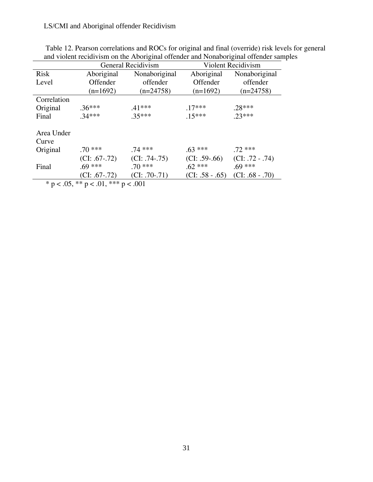# LS/CMI and Aboriginal offender Recidivism

|                     | General Recidivism<br>Violent Recidivism |                 |                   |                   |
|---------------------|------------------------------------------|-----------------|-------------------|-------------------|
| <b>Risk</b>         | Aboriginal                               | Nonaboriginal   | Aboriginal        | Nonaboriginal     |
| Level               | Offender                                 | offender        | Offender          | offender          |
|                     | $(n=1692)$                               | $(n=24758)$     | $(n=1692)$        | $(n=24758)$       |
| Correlation         |                                          |                 |                   |                   |
| Original            | $.36***$                                 | $.41***$        | $.17***$          | $.28***$          |
| Final               | $.34***$                                 | $.35***$        | $.15***$          | $.23***$          |
| Area Under<br>Curve |                                          |                 |                   |                   |
| Original            | $.70***$                                 | $.74***$        | $.63***$          | $.72***$          |
|                     | $(CI: .67-.72)$                          | $(CI: .74-.75)$ | $(CI: .59-.66)$   | $(CI: .72 - .74)$ |
| Final               | $.69***$                                 | $.70***$        | $.62***$          | $.69***$          |
|                     | $(CI: .67-.72)$                          | $(CI: .70-.71)$ | $(CI: .58 - .65)$ | $(CI: .68 - .70)$ |
|                     | * n ∠ በ5 ** n ∠ በ1 *** n ∠ በበ1           |                 |                   |                   |

| Table 12. Pearson correlations and ROCs for original and final (override) risk levels for general |  |
|---------------------------------------------------------------------------------------------------|--|
| and violent recidivism on the Aboriginal offender and Nonaboriginal offender samples              |  |

 $p < .05$ , \*\*  $p < .01$ , \*\*\*  $p < .001$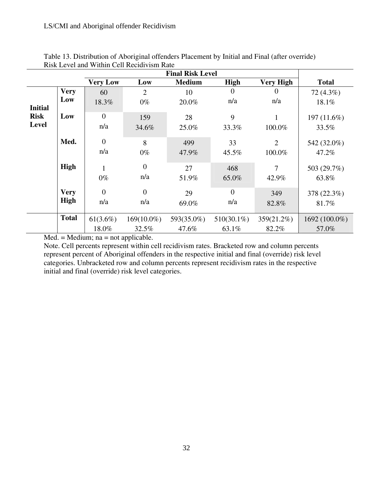|                |              |                 |                | <b>Final Risk Level</b> |                |                  |               |
|----------------|--------------|-----------------|----------------|-------------------------|----------------|------------------|---------------|
|                |              | <b>Very Low</b> | Low            | <b>Medium</b>           | High           | <b>Very High</b> | <b>Total</b>  |
|                | <b>Very</b>  | 60              | $\overline{2}$ | 10                      |                |                  | 72 (4.3%)     |
| <b>Initial</b> | Low          | 18.3%           | $0\%$          | 20.0%                   | n/a            | n/a              | 18.1%         |
| <b>Risk</b>    | Low          | $\overline{0}$  | 159            | 28                      | 9              | 1                | 197 $(11.6%)$ |
| <b>Level</b>   |              | n/a             | 34.6%          | 25.0%                   | 33.3%          | 100.0%           | 33.5%         |
|                | Med.         | $\overline{0}$  | 8              | 499                     | 33             | $\overline{2}$   | 542 (32.0%)   |
|                |              | n/a             | $0\%$          | 47.9%                   | 45.5%          | 100.0%           | 47.2%         |
|                | High         |                 | $\overline{0}$ | 27                      | 468            | 7                | 503 (29.7%)   |
|                |              | $0\%$           | n/a            | 51.9%                   | 65.0%          | 42.9%            | 63.8%         |
|                | <b>Very</b>  | $\Omega$        | $\overline{0}$ | 29                      | $\overline{0}$ | 349              | 378 (22.3%)   |
|                | High         | n/a             | n/a            | 69.0%                   | n/a            | 82.8%            | 81.7%         |
|                | <b>Total</b> | $61(3.6\%)$     | $169(10.0\%)$  | 593(35.0%)              | $510(30.1\%)$  | 359(21.2%)       | 1692 (100.0%) |
|                |              | 18.0%           | 32.5%          | 47.6%                   | 63.1%          | 82.2%            | 57.0%         |

Table 13. Distribution of Aboriginal offenders Placement by Initial and Final (after override) Risk Level and Within Cell Recidivism Rate

Med. = Medium; na = not applicable.

Note. Cell percents represent within cell recidivism rates. Bracketed row and column percents represent percent of Aboriginal offenders in the respective initial and final (override) risk level categories. Unbracketed row and column percents represent recidivism rates in the respective initial and final (override) risk level categories.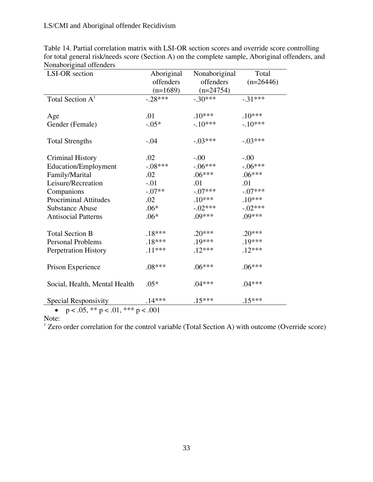| <b>LSI-OR</b> section                               | Aboriginal | Nonaboriginal | Total       |
|-----------------------------------------------------|------------|---------------|-------------|
|                                                     | offenders  | offenders     | $(n=26446)$ |
|                                                     | $(n=1689)$ | $(n=24754)$   |             |
| Total Section A <sup>1</sup>                        | $-.28***$  | $-.30***$     | $-31***$    |
|                                                     |            |               |             |
| Age                                                 | .01        | $.10***$      | $.10***$    |
| Gender (Female)                                     | $-.05*$    | $-.10***$     | $-.10***$   |
|                                                     |            |               |             |
| <b>Total Strengths</b>                              | $-.04$     | $-.03***$     | $-.03***$   |
|                                                     |            |               |             |
| <b>Criminal History</b>                             | .02        | $-00$         | $-00.$      |
| Education/Employment                                | $-.08***$  | $-.06***$     | $-.06***$   |
| Family/Marital                                      | .02        | $.06***$      | $.06***$    |
| Leisure/Recreation                                  | $-.01$     | .01           | .01         |
| Companions                                          | $-.07**$   | $-.07***$     | $-.07***$   |
| <b>Procriminal Attitudes</b>                        | .02        | $.10***$      | $.10***$    |
| <b>Substance Abuse</b>                              | $.06*$     | $-.02***$     | $-.02***$   |
| <b>Antisocial Patterns</b>                          | $.06*$     | .09***        | $.09***$    |
|                                                     |            |               |             |
| <b>Total Section B</b>                              | $.18***$   | $.20***$      | $.20***$    |
| <b>Personal Problems</b>                            | $.18***$   | .19***        | .19***      |
| Perpetration History                                | $.11***$   | $.12***$      | $.12***$    |
|                                                     |            |               |             |
| Prison Experience                                   | $.08***$   | $.06***$      | $.06***$    |
|                                                     |            |               |             |
| Social, Health, Mental Health                       | $.05*$     | $.04***$      | $.04***$    |
|                                                     |            |               |             |
| Special Responsivity                                | $.14***$   | $.15***$      | $.15***$    |
| $1.05 \times 10^{11}$ $1.01 \times 10^{11}$ $1.001$ |            |               |             |

Table 14. Partial correlation matrix with LSI-OR section scores and override score controlling for total general risk/needs score (Section A) on the complete sample, Aboriginal offenders, and Nonaboriginal offenders

•  $p < .05$ , \*\*  $p < .01$ , \*\*\*  $p < .001$ 

Note:

<sup>1</sup> Zero order correlation for the control variable (Total Section A) with outcome (Override score)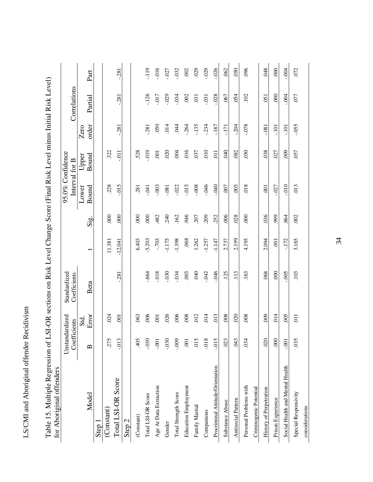| l                    |
|----------------------|
| I                    |
| ----------<br>i      |
|                      |
| טאוני שיט            |
| $\ddot{\phantom{0}}$ |
|                      |
|                      |
| ;<br>י               |
|                      |
|                      |

Table 15. Multiple Regression of LSI-OR sections on Risk Level Change Score (Final Risk Level minus Initial Risk Level) Table 15. Multiple Regression of LSI-OR sections on Risk Level Change Score (Final Risk Level minus Initial Risk Level)<br>for Aboriginal offenders 95.0% Confidence Standardized Unstandardized for Aboriginal offenders

|                                  | Unstandardized |                | Standardized |                          |                                                   |                | 95.0% Confidence |          |              |         |
|----------------------------------|----------------|----------------|--------------|--------------------------|---------------------------------------------------|----------------|------------------|----------|--------------|---------|
|                                  | Coefficients   |                | Coefficients |                          |                                                   |                | Interval for B   |          | Correlations |         |
|                                  |                | Std.           |              |                          |                                                   | Lower          | Upper            | Zero     |              |         |
| Model                            | $\mathbf{p}$   | Error          | Beta         | $\overline{\phantom{0}}$ | $\overline{\mathbf{g}}$ <sub>i</sub> $\mathbf{S}$ | Bound          | <b>Bound</b>     | order    | Partial      | Part    |
| Step 1                           |                |                |              |                          |                                                   |                |                  |          |              |         |
| (Constant)                       | 275            | 024            |              | 11.381                   | $\frac{8}{2}$                                     | 228            | 322              |          |              |         |
| Total LSI-OR Score               | $-0.013$       | $\overline{5}$ | $-281$       | $-12.041$                | $\overline{000}$                                  | $-015$         | $-0.01$          | $-281$   | $-281$       | $-281$  |
| Step 2                           |                |                |              |                          |                                                   |                |                  |          |              |         |
| (Constant)                       | 405            | 063            |              | 6.403                    | 800                                               | 281            | 528              |          |              |         |
| Total LSI-OR Score               | $-0.030$       | 006            | $-664$       | $-5.203$                 | 000                                               | $-041$         | $-019$           | $-281$   | $-126$       | $-119$  |
| Age At Data Extraction           | $-0.001$       | $\overline{5}$ | $-0.018$     | $-703$                   | 482                                               | $-003$         | $\overline{5}$   | 050      | .017         | 016     |
| Gender                           | $030 -$        | 026            | $-0.030$     | $-1.175$                 | 240                                               | $-0.81$        | .020             | .014     | .029         | $-027$  |
| Total Strength Score             | $-0.009$       | 006            | $-0.34$      | $-1.398$                 | 162                                               | $-022$         | 604              | .044     | $-034$       | $-0.32$ |
| <b>Education Employment</b>      | $\overline{5}$ | 008            | 003          | .068                     | 946                                               | $-015$         | .016             | .264     | .002         | .002    |
| Family Marital                   | 015            | 012            | 940          | 1.262                    | 207                                               | $000$ .        | .037             | $-135$   | .031         | 029     |
| Companions                       | $-0.018$       | 014            | $-042$       | $-1.257$                 | 209                                               | $-046$         | 010              | $-234$   | $-0.31$      | $-029$  |
| Procriminal Attitude/Orientation | $-0.015$       | 013            | 046          | $-1.147$                 | 252                                               | 040            | $\overline{11}$  | $-187$   | $-0.028$     | $-026$  |
| Substance Abuse                  | 023            | 008            | .125         | 2.737                    | .006                                              | 007            | <b>940</b>       | -171     | .067         | .062    |
| Antisocial Pattern               | 043            | 020            | 113          | 2.199                    | .028                                              | 005            | .082             | $-204$   | .054         | 050     |
| Personal Problems with           | 034            | 008            | .163         | 4.195                    | $\overline{000}$                                  | 018            | 050              | $-0.078$ | 102          | 096     |
| Criminogenic Potential           |                |                |              |                          |                                                   |                |                  |          |              |         |
| History of Perpetration          | 020            | 000            | 068          | 2.094                    | 036                                               | $\overline{5}$ | 038              | $-0.81$  | $-051$       | 048     |
| Prison Experience                | 000            | 014            | 000          | $\overline{0}$           | 999                                               | $-027$         | .027             | $-101$   | 000          | 000     |
| Social Health and Mental Health  | $-0.001$       | 005            | $-005$       | $-172$                   | 864                                               | $-010$         | .009             | $-101$   | $-004$       | $-004$  |
| Special Responsivity             | 035            | $\overline{0}$ | .103         | 3.165                    | .002                                              | .013           | .057             | $-0.055$ | 077          | .072    |
| considerations                   |                |                |              |                          |                                                   |                |                  |          |              |         |

34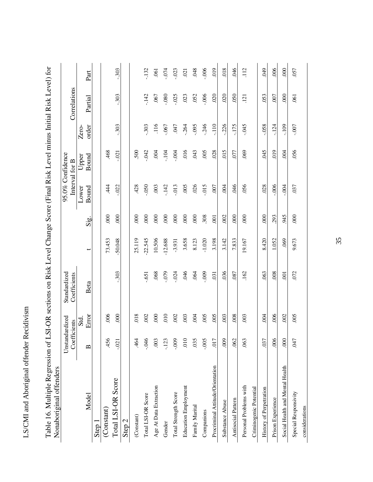| ֧֧֢ׅ֧֧֦֦֧֚֚֚֚֚֚֚֚֚֚֚֚֚֚֚֚֚֚֚֚֚֬֝֓֓֟֓֡֟֓֡֟֓<br>ו<br>ו |
|------------------------------------------------------|
| ĺ                                                    |
| $-7.50 - 1.5$<br>'<br>י                              |
|                                                      |
| こくしょう<br>ز<br>ا                                      |
| Ş                                                    |
|                                                      |
|                                                      |
|                                                      |

.048  $-006$  $019$  $018$  $112$  $000$ .057  $-303$  $-074$  $-023$  $021$ .046 **049** .006 Total LSI-OR Score -.021 .000 -.303 -50.048 .000 -.022 -.021 -.303 -.303 -.303  $-132$ Total LSI-OR Score -.046 .002 -.651 -22.545 .000 -.050 -.042 -.303 -.142 -.132 .061 I Data Age At Data Age At Data Age At Data Age Age 2001 .000 .000 .000 .000 .000 .000 .004 .004 .004 .004 .004 t20, 080, t90, t01, 2t1, 000. 88921, 6L0, 0I0 c71, t01, Total Strength Score -.009 .002 -.024 -3.931 .000 -.013 -.004 .047 -.025 -.023 r.co. et al. and the state of the state of the state of the state of the state of the state of the state of the state of the state of the state of the state of the state of the state of the state of the state of the state المبادي المسلم المسلم المسلم المسلم المسلم المسلم المسلم المسلم المسلم المسلم المسلم المسلم المسلم المسلم المس<br>المسلم المسلم المسلم المسلم المسلم المسلم المسلم المسلم المسلم المسلم المسلم المسلم المسلم المسلم المسلم المسل 900: 900: 942: 500: 510: 806: 0201: 600: 500: 500: 30 Procriminal Attitude/Orientation .017 .0131 .0131 .005 .005 .005 .017 .028 .028 .0131 .028 .028 .028 Substance Abuse .009 .003 .036 3.142 .002 .004 .015 -.226 .020 .018 Antisocial Pattern .062 .008 .087 7.833 .000 .046 .077 -.175 .050 .046 .063 .003 .162 19.167 .000 .056 .069 -.045 .121 .112 ofo. 650. 850. 540. 870. 870. 000. 07t% 690. t tol 1.kg. t tol cometration assum Prison Experience .006 .006 .008 1.052 .293 -.006 .019 -.124 .007 .006 OOCial And Mental Health and Mental Health and Mental And Mental And Mental And Mental And 2001 .0001 .0001 .000<br>Social contract and the contract and the contract of the contract of the contract of the contract of the cont .047 .005 .072 9.673 .000 .037 .056 -.007 .061 .057 Part order Partial Part Interval for B Correlations Correlations  $-.303$  $-142$ .080  $-025$ .023 .052  $-006$ .020  $000$ .067  $020$  $050$ .053 007 Partial  $.121$ .061 order  $-0.303$ .303  $116$ **CFO**  $-264$  $-0.095$  $-0.246$  $-110$  $-0.45$  $-109$  $-007$  $-067$  $-0.226$  $-175$  $-0.58$  $-124$ Zero-(Constant) .456 .006 .005. 73.453 .000 .006 .468 (Latastic set) .61 .61 .624 .624 .625.12 .625.12 .625.12 .625.12 .625.12 .625.12 .625.12 .625.12 .625.12 .625.1 468 500  $-042$  $.004$  $-104$  $-004$  $016$ .043  $.005$ .028  $019$  $.004$ .056  $-021$  $015$ 077 .069  $045$ 95.0% Confidence 95.0% Confidence Upper Bound Interval for B  $015$ 444  $-022$ 428 .050 .003  $-142$ .013  $005$  $.026$  $007$ 946 .056 .028  $-0.006$  $-004$ .037 Lower Bound  $004$  $000$  $000$  $000$ .  $000$  $000$  $.000$  $000$  $000$  $000$ . .308  $000$  $000$  $000$ 293 945  $000$  $.001$ 002 t Sig. Sig. 73.453  $-50.048$ 25.119  $-22.545$ 10.506  $-12.688$ 3.658 8.123  $-1.020$ 3.198 7.833 19.167 8.420 9.673 3.142 1.052 .069  $-3.931$  $\leftarrow$ Standardized  $-.303$ .068  $.079$  $.024$  $046$  $.064$ .009 .031 .036 .072 Standardized Coefficients Coefficients .087 162 063 .008  $\overline{5}$  $.651$ Beta Error Beta  $000$  $010$  $.006$  $000$  $018$  $005$  $005$ .008  $.002$  $005$ Error .002 .002 .003  $.004$ .003 .003  $.004$  $.006$ Unstandardized Unstandardized Std. Coefficients **Coefficients** 456 .464  $046$ .003 -.123  $-000$  $010$ .035  $-005$  $017$ 009 .062 006  $000$ **CFO** .063  $-0.021$ .037  $\mathbf{\Omega}$ Nonaboriginal offenders Social Health and Mental Health Nonaboriginal offenders Procriminal Attitude/Orientation Total LSI-OR Score Personal Problems with Age At Data Extraction **Education Employment** Personal Problems with Criminogenic Potential Criminogenic Potential History of Perpetration Special Responsivity Total Strength Score Special Responsivity Model Total LSI-OR Score Prison Experience Antisocial Pattern Substance Abuse Family Marital considerations (Constant) Companions  $(Constant)$ Step 2 Step 1 Gender

Table 16. Multiple Regression of LSI-OR sections on Risk Level Change Score (Final Risk Level minus Initial Risk Level) for Table 16. Multiple Regression of LSI-OR sections on Risk Level Change Score (Final Risk Level minus Initial Risk Level) for

35

considerations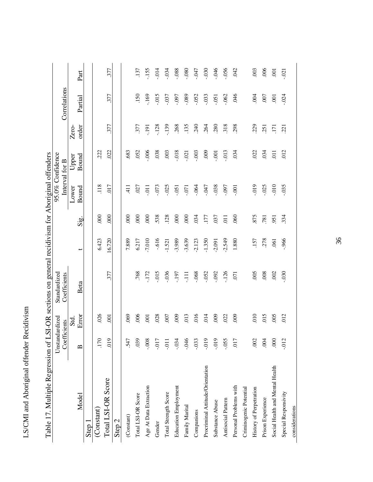| -----------          |
|----------------------|
| こうしょく トイナー<br>י<br>י |
| $\sim$               |
| ؟<br>أ               |
|                      |

|                                  | Unstandardized |                          | Standardized   |          |                  |                | 95.0% Confidence |             |                 |                |
|----------------------------------|----------------|--------------------------|----------------|----------|------------------|----------------|------------------|-------------|-----------------|----------------|
|                                  | Coefficients   |                          | Coefficients   |          |                  |                | Interval for B   |             | Correlations    |                |
|                                  |                | Std.                     |                |          |                  | Lower          | Upper            | Zero-       |                 |                |
| Model                            | മ              | Error                    | Beta           | ↔        | Sig.             | Bound          | <b>Bound</b>     | order       | Partial         | Part           |
| Step 1                           |                |                          |                |          |                  |                |                  |             |                 |                |
| (Constant)                       | 170            | .026                     |                | 6.423    | 600              | 118            | .222             |             |                 |                |
| Total LSI-OR Score               | 019            | $\overline{\mathrm{SO}}$ | 377            | 0.720    | 600              | 017            | 022              | 377         | 377             | 377            |
| Step 2                           |                |                          |                |          |                  |                |                  |             |                 |                |
| (Constant)                       | 547            | 69                       |                | 7.889    | 800              | $\frac{1}{4}$  | 683              |             |                 |                |
| Total LSI-OR Score               | .039           | .006                     | .768           | 6.217    | 800              | .027           | .052             | 377         | 150             | .137           |
| Age At Data Extraction           | $-0.008$       | $\overline{5}$           | $-172$         | $-7.010$ | $\overline{000}$ | $\overline{5}$ | $000$ .          | <u>i6i'</u> | $-169$          | $-155$         |
| Gender                           | $-0.07$        | .028                     | $-015$         | $-0.616$ | 538              | .073           | .038             | .128        | 015             | $-0.14$        |
| Total Strength Score             | $-0.1$         | 007                      | $-0.036$       | $-1.521$ | .128             | $-0.025$       | 003              | $-139$      | $-0.037$        | $-0.34$        |
| <b>Education Employment</b>      | $-0.34$        | 600                      | $-197$         | $-3.989$ | 8 <sup>o</sup>   | $-0.51$        | .018             | .268        | $-0.097$        | .088           |
| Family Marital                   | $-046$         | 013                      | Ę              | $-3.639$ | $\overline{000}$ | $-0.07$        | $-021$           | .135        | .089            | $080 -$        |
| Companions                       | $-0.033$       | 016                      | .068           | $-2.123$ | 034              | $-064$         | $-003$           | 240         | $-0.52$         | F19.           |
| Procriminal Attitude/Orientation | $-0.019$       | 014                      | $-0.052$       | $-1.350$ | 177              | F19.7          | 600              | .264        | $-0.033$        | $-0.30$        |
| Substance Abuse                  | $-0.019$       | 000                      | $-0.92$        | $-2.091$ | 037              | $-0.038$       | $-00$            | 280         | $-0.51$         | 046            |
| Antisocial Pattern               | $-0.055$       | .022                     | $-126$         | $-2.549$ | $\overline{11}$  | $-0.97$        | $-0.013$         | 318         | $-062$          | $-0.056$       |
| Personal Problems with           | 017            | 600                      | $\overline{5}$ | 1.880    | 060              | $-001$         | 034              | 298         | 946             | <b>CRO</b>     |
| Criminogenic Potential           |                |                          |                |          |                  |                |                  |             |                 |                |
| History of Perpetration          | .002           | 010                      | 005            | .157     | 875              | 0.019          | .022             | 229         | .004            | .003           |
| Prison Experience                | 604            | 015                      | .008           | .278     | .781             | $-0.025$       | .034             | 251         | .007            | 006            |
| Social Health and Mental Health  | 000            | 005                      | .002           | .061     | .951             | 010.           | $\overline{0}$   | Ξ           | $\overline{0}0$ | $\overline{5}$ |
| Special Responsivity             | $-0.012$       | 012                      | $030 -$        | $-966$   | 334              | $-0.035$       | 012              | 221         | $-024$          | $-021$         |
| considerations                   |                |                          |                |          |                  |                |                  |             |                 |                |

Table 17. Multiple Regression of LSI-OR sections on general recidivism for Aboriginal offenders Table 17. Multiple Regression of LSI-OR sections on general recidivism for Aboriginal offenders

36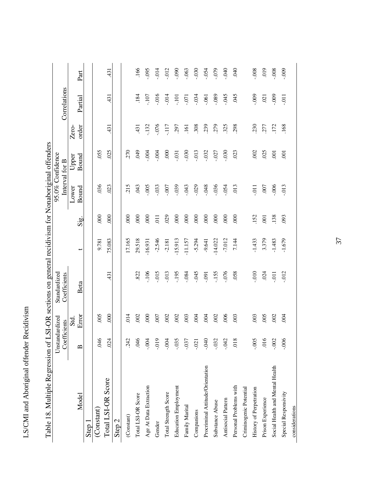| i                 |
|-------------------|
| ſ                 |
| antennal offendar |
|                   |
|                   |
|                   |
| `<br>په<br>į      |
|                   |
|                   |
| ì                 |
|                   |

|                                  | Unstandardized |               | Standardized           |           |                  |          | 95.0% Confidence |        |              |          |
|----------------------------------|----------------|---------------|------------------------|-----------|------------------|----------|------------------|--------|--------------|----------|
|                                  | Coefficients   |               | Coefficients           |           |                  |          | Interval for B   |        | Correlations |          |
|                                  |                | Std.          |                        |           |                  | Lower    | Upper            | Zero-  |              |          |
| Model                            | മ              | Error         | Beta                   | ↔         | Sig.             | Bound    | <b>Bound</b>     | order  | Partial      | Part     |
| Step 1                           |                |               |                        |           |                  |          |                  |        |              |          |
| (Constant)                       | 940            | 005           |                        | 9.781     | 600              | .036     | .055             |        |              |          |
| Total LSI-OR Score               | 024            | 800           | 431                    | 75.083    | 600              | 023      | 025              | 431    | 431          | 431      |
| Step <sub>2</sub>                |                |               |                        |           |                  |          |                  |        |              |          |
| (Constant)                       | 242            | $\frac{4}{1}$ |                        | 17.165    | 8 <sup>o</sup>   | 215      | 270              |        |              |          |
| Total LSI-OR Score               | 046            | 002           | 822                    | 29.518    | 800              | 043      | 600              | 431    | .184         | .166     |
| Age At Data Extraction           | $-0.004$       | 800           | $-106$                 | $-16.931$ | 80               | $000$ .  | $-004$           | $-132$ | $-107$       | .095     |
| Gender                           | $-0.019$       | 007           | $-015$                 | $-2.546$  | $\overline{11}$  | $-0.33$  | $-004$           | 076    | .016         | .014     |
| Total Strength Score             | $-0.004$       | 002           | $-0.013$               | $-2.181$  | .029             | $-007$   | $\overline{000}$ | $-117$ | .014         | $-012$   |
| <b>Education Employment</b>      | $-0.035$       | 002           | $-195$                 | $-15.913$ | 800              | .039     | $-031$           | 297    | $-101$       | .090     |
| Family Marital                   | $-0.37$        | 003           | $-084$                 | $-11.157$ | 800              | $-043$   | .030             | 161    | $-0.07$      | .063     |
| Companions                       | $-021$         | 004           | $-045$                 | $-5.294$  | $\overline{000}$ | $-0.029$ | .013             | 308    | $-0.34$      | $-0.30$  |
| Procriminal Attitude/Orientation | $0+0-$         | 69            | <b>160<sup>-</sup></b> | $-9.641$  | 800              | $-048$   | $-032$           | 239    | $-061$       | $-0.54$  |
| Substance Abuse                  | $-0.032$       | 002           | $-155$                 | $-14.022$ | $\overline{000}$ | .036     | .027             | 279    | $-089$       | $-079$   |
| Antisocial Pattern               | $-042$         | 006           | $-076$                 | $-7.012$  | 800              | $-0.54$  | 030              | 325    | $-045$       | $-040$   |
| Personal Problems with           | 018            | 003           | .058                   | 7.144     | 8 <sup>o</sup>   | 013      | 023              | 298    | 045          | 940      |
| Criminogenic Potential           |                |               |                        |           |                  |          |                  |        |              |          |
| History of Perpetration          | $-0.005$       | 003           | $-0.010$               | $-1.433$  | 152              | .011     | .002             | 230    | $-009$       | .008     |
| Prison Experience                | 016            | 005           | .024                   | 3.379     | $\overline{5}$   | .007     | .025             | .277   | .021         | 019      |
| Social Health and Mental Health  | $-0.002$       | 002           | $-0.1$                 | $-1.483$  | .138             | $-006$   | $\overline{5}$   | .172   | $-0.009$     | $-0.008$ |
| Special Responsivity             | $-006$         | 604           | $-012$                 | $-1.679$  | 093              | $-0.013$ | $\overline{5}$   | .168   | $-0.1$       | $-009$   |
| considerations                   |                |               |                        |           |                  |          |                  |        |              |          |

Table 18. Multiple Regression of LSI-OR sections on general recidivism for Nonaboriginal offenders Table 18. Multiple Regression of LSI-OR sections on general recidivism for Nonaboriginal offenders

37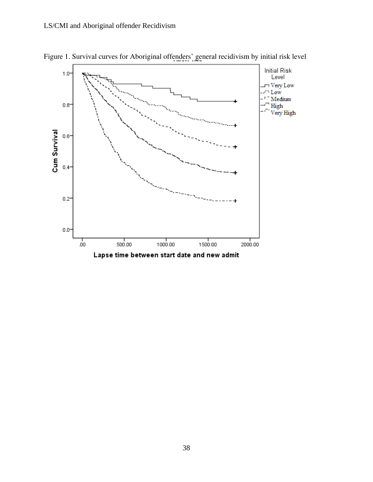

Figure 1. Survival curves for Aboriginal offenders' general recidivism by initial risk level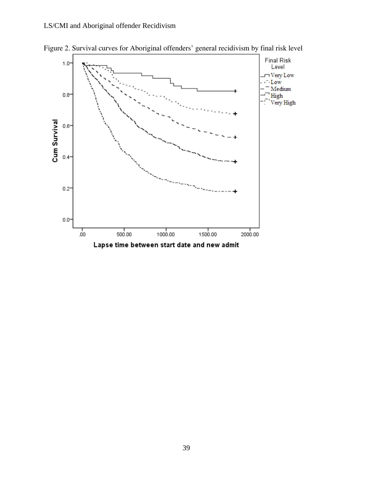

Figure 2. Survival curves for Aboriginal offenders' general recidivism by final risk level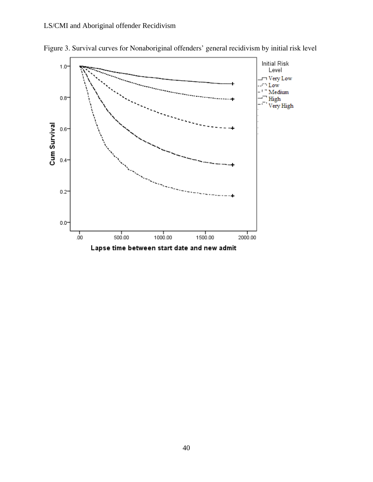

Figure 3. Survival curves for Nonaboriginal offenders' general recidivism by initial risk level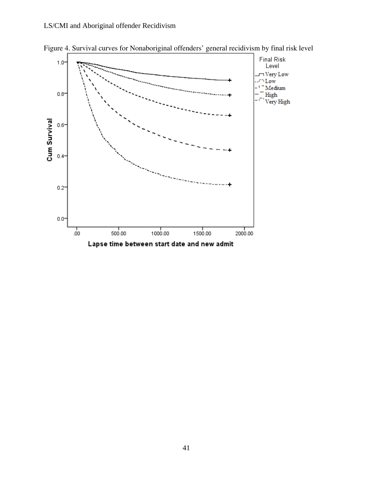

Figure 4. Survival curves for Nonaboriginal offenders' general recidivism by final risk level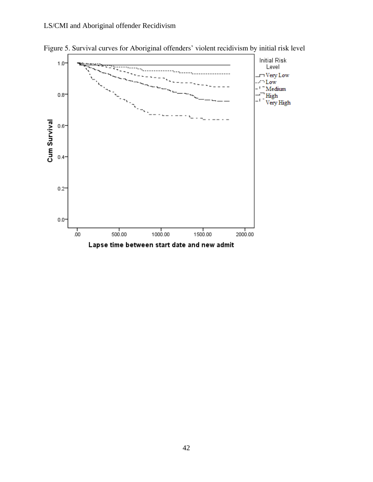

Figure 5. Survival curves for Aboriginal offenders' violent recidivism by initial risk level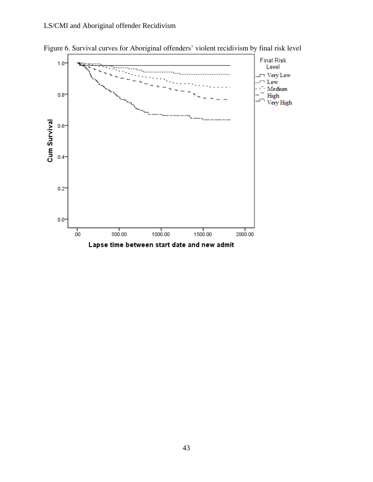

Figure 6. Survival curves for Aboriginal offenders' violent recidivism by final risk level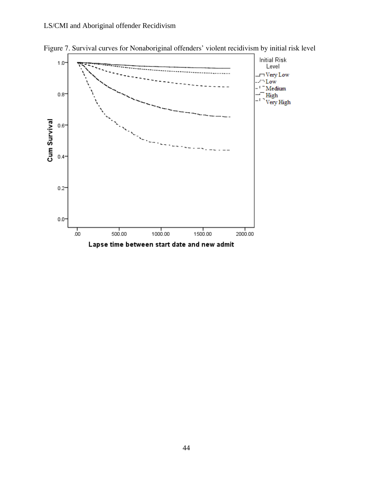

Figure 7. Survival curves for Nonaboriginal offenders' violent recidivism by initial risk level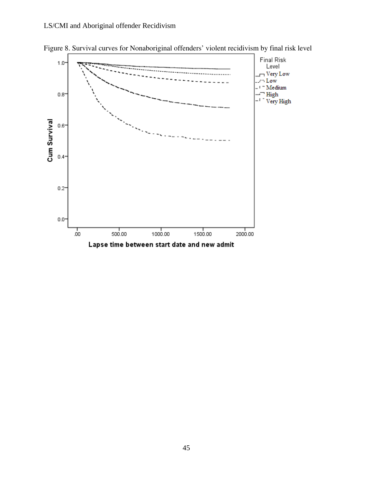

Figure 8. Survival curves for Nonaboriginal offenders' violent recidivism by final risk level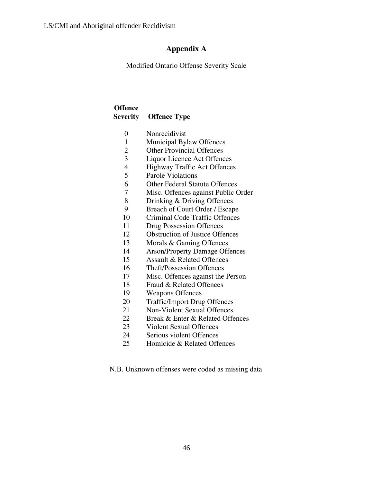## **Appendix A**

Modified Ontario Offense Severity Scale

| <b>Offence</b><br><b>Severity</b> | <b>Offence Type</b>                    |
|-----------------------------------|----------------------------------------|
| 0                                 | Nonrecidivist                          |
| 1                                 | Municipal Bylaw Offences               |
| $\overline{2}$                    | <b>Other Provincial Offences</b>       |
| $\overline{3}$                    | <b>Liquor Licence Act Offences</b>     |
| $\overline{4}$                    | <b>Highway Traffic Act Offences</b>    |
| 5                                 | Parole Violations                      |
| 6                                 | <b>Other Federal Statute Offences</b>  |
| 7                                 | Misc. Offences against Public Order    |
| 8                                 | Drinking & Driving Offences            |
| 9                                 | Breach of Court Order / Escape         |
| 10                                | Criminal Code Traffic Offences         |
| 11                                | <b>Drug Possession Offences</b>        |
| 12                                | <b>Obstruction of Justice Offences</b> |
| 13                                | Morals & Gaming Offences               |
| 14                                | <b>Arson/Property Damage Offences</b>  |
| 15                                | <b>Assault &amp; Related Offences</b>  |
| 16                                | <b>Theft/Possession Offences</b>       |
| 17                                | Misc. Offences against the Person      |
| 18                                | Fraud & Related Offences               |
| 19                                | <b>Weapons Offences</b>                |
| 20                                | <b>Traffic/Import Drug Offences</b>    |
| 21                                | <b>Non-Violent Sexual Offences</b>     |
| 22                                | Break & Enter & Related Offences       |
| 23                                | <b>Violent Sexual Offences</b>         |
| 24                                | Serious violent Offences               |
| 25                                | Homicide & Related Offences            |

N.B. Unknown offenses were coded as missing data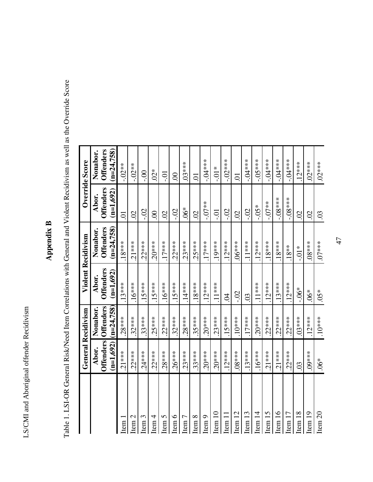# Appendix B **Appendix B**

Table 1. LSI-OR General Risk/Need Item Correlations with General and Violent Recidivism as well as the Override Score Table 1. LSI-OR General Risk/Need Item Correlations with General and Violent Recidivism as well as the Override Score

|                    | <b>General Recidivism</b> |                     |                  | <b>Violent Recidivism</b> | Override Score   |                  |
|--------------------|---------------------------|---------------------|------------------|---------------------------|------------------|------------------|
|                    | Abor.                     | Nonabor.            | Abor.            | Nonabor.                  | Abor.            | Nonabor.         |
|                    |                           | Offenders Offenders | <b>Offenders</b> | <b>Offenders</b>          | <b>Offenders</b> | <b>Offenders</b> |
|                    | $(n=1,692)$               | $(n=24,758)$        | $(n=1,692)$      | $(n=24,758)$              | $(n=1,692)$      | $(n=24,758)$     |
| tem.               | $.21***$                  | $.28***$            | $.13***$         | $.18***$                  | Ξ.               | $-0.02**$        |
| Item <sub>2</sub>  | $.22***$                  | $.32***$            | $.16***$         | $.21***$                  | $\mathcal{O}$    | $-0.02**$        |
| Item $3$           | $.24***$                  | $.33***$            | $.15***$         | $.22***$                  | <u>50</u>        | $00$ .           |
| Item 4             | $22***$                   | $.25***$            | $.15***$         | $.20***$                  | $\odot$          | $02*$            |
| Item $5$           | $.28***$                  | $22***$             | $.16***$         | $.17***$                  | $\mathcal{S}$    | Ξ.               |
| Item $6$           | $.26***$                  | $.32***$            | $.15***$         | $.22***$                  | S.               | $\odot$          |
| Item <sub>7</sub>  | $.23***$                  | $28***$             | $.14***$         | $.23***$                  | $6*$             | $.03***$         |
| Item $8$           | $.33***$                  | $.35***$            | $.18***$         | $.25***$                  | $\mathcal{S}$    | S                |
| Item 9             | $.20***$                  | $.20***$            | $.12***$         | $.17***$                  | $-0.07**$        | $-0.04***$       |
| tem 10             | $.20***$                  | $.23***$            | $.11***$         | $.19***$                  | io-              | $-0.01*$         |
| tem 11             | $.12***$                  | $.15***$            | $\overline{5}$   | $.12***$                  | $-0$ .           | $-02***$         |
| Item <sub>12</sub> | $.08***$                  | $10***$             | <u>Si</u>        | $.06***$                  | $\mathcal{O}$    | S                |
| tcm 13             | $.13***$                  | $17***$             | $\overline{0}$   | $.11***$                  | <u>S</u>         | -.04****         |
| tem 14             | $.16***$                  | $.20***$            | $11***$          | $.12***$                  | $*50$ .          | $-05***$         |
| tem 15             | $.21***$                  | $.22***$            | $.12***$         | $.18***$                  | $-0.07**$        | $-0.04***$       |
| Item 16            | $.21***$                  | $.22***$            | $.13***$         | $.18***$                  | $-08***$         | $-0.04***$       |
| tem 17             | $.22***$                  | $.22***$            | $.12***$         | $.18**$                   | $-08***$         | $-0.4***$        |
| tem 18             | $\overline{0}$            | $.03***$            | $-0.06*$         | $-0.01*$                  | $\Omega$         | $.12***$         |
| tem <sub>19</sub>  | $.09***$                  | $12***$             | $6*$             | $.08***$                  | $\Omega$         | $02***$          |
| Item <sub>20</sub> | $-6*$                     | $10***$             | $05*$            | 0.6                       | $\overline{0}$   | $.02***$         |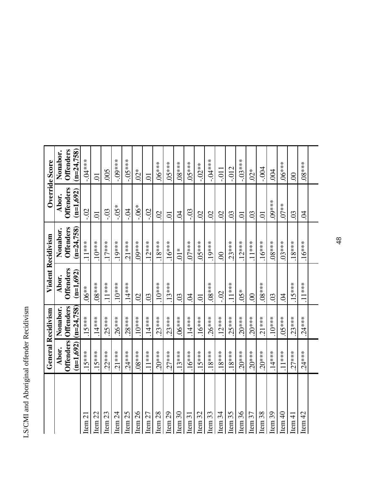|                    |             | <b>General Recidivism</b> |                  | <b>Violent Recidivism</b> | Override Score   |                       |
|--------------------|-------------|---------------------------|------------------|---------------------------|------------------|-----------------------|
|                    | Abor.       | Nonabor.                  | Abor.            | Nonabor.                  | Abor.            | Nonabor.              |
|                    |             | Offenders Offenders       | <b>Offenders</b> | <b>Offenders</b>          | <b>Offenders</b> | <b>Offenders</b>      |
|                    | $(n=1,692)$ | $(n=24,758)$              | $(n=1,692)$      | $(n=24,758)$              | $(n=1,692)$      | $(n=24.758)$          |
| Item <sub>21</sub> | $.15***$    | $.15***$                  | $.06**$          | $11***$                   | <u>Si</u>        | $-0.04***$            |
| Item <sub>22</sub> | $.15***$    | $.14***$                  | $.08***$         | $.10***$                  | $\Xi$            | $\overline{0}$        |
| Item <sub>23</sub> | $.22***$    | $.25***$                  | $.11***$         | $.17***$                  | $-0.5$           | 005                   |
| Item $24$          | $.21***$    | $.26***$                  | $.10***$         | $.19***$                  | $*50 -$          | -.09***               |
| Item <sub>25</sub> | $.24***$    | $.28***$                  | $.14***$         | $.21***$                  | г.<br>Ч          | $-05***$              |
| Item <sub>26</sub> | $.08***$    | $.10***$                  | $\Omega$         | $.09***$                  | $-0.06*$         | $\stackrel{*}{\rm O}$ |
| Item <sub>27</sub> | $.11***$    | $.14***$                  | $\overline{0}$   | $12***$                   | <u>50</u>        | Ξ.                    |
| Item <sub>28</sub> | $20***$     | $.23***$                  | $.10***$         | $.18***$                  | $\Omega$         | $.06***$              |
| Item <sub>29</sub> | $.27***$    | $.23***$                  | $.13***$         | $.16***$                  | Ξ.               | $05***$               |
| Item 30            | $.13***$    | $5.16$ ***                | $\overline{0}$   | $\sum_{i=1}^{n}$          | S.               | $8***$                |
| Item 31            | $.16***$    | $.14***$                  | S.               | $.07***$                  | $-0.3$           | 5.183                 |
| Item 32            | $.15***$    | $.16***$                  | $\overline{C}$   | $05***$                   | $\mathcal{S}$    | $-0.02**$             |
| Item 33            | $.18***$    | $.26***$                  | $.08***$         | $19****$                  | $\mathcal{S}$    | $-0.04***$            |
| Item 34            | $.18***$    | $.12***$                  | $-5$             | $\infty$                  | $\Omega$         | $-011$                |
| Item <sub>35</sub> | $.18***$    | $.25***$                  | $.11***$         | $.23***$                  | $\overline{0}$   | $-0.012$              |
| Item 36            | $.20***$    | $.20***$                  | $05*$            | $.12***$                  | $\overline{C}$   | $-03***$              |
| Item 37            | $.20***$    | $.20***$                  | $\odot$          | $.11***$                  | $\overline{0}$   | $02*$                 |
| Item <sub>38</sub> | $.20***$    | $21***$                   | $.08***$         | $.16***$                  | ā                | $-0.004$              |
| Item 39            | $.14***$    | $.10***$                  | $\overline{0}$   | $***80.$                  | $09***$          | 004                   |
| Item $40$          | $.11***$    | $05***$                   | $\overline{6}$   | $.03***$                  | $.07**$          | $.06***$              |
| Item $41$          | $.27***$    | $.23***$                  | $15***$          | $.18***$                  | $\overline{0}$   | $\infty$              |
| Item $42$          | $.24***$    | $.24***$                  | $.11***$         | $.16***$                  | S.               | $38****$              |
|                    |             |                           |                  |                           |                  |                       |

48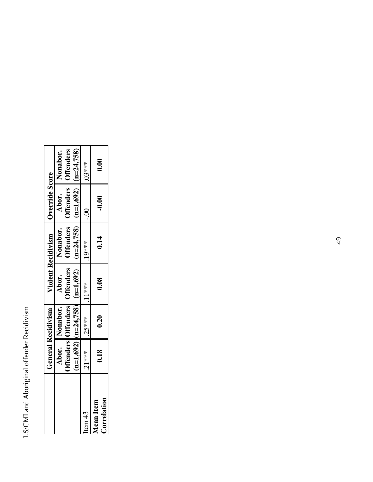|                                 |         | <b>General Recidivism</b> | <b>Violent Recidivism</b>                     |                                                                                                                    | Override Score |                                       |
|---------------------------------|---------|---------------------------|-----------------------------------------------|--------------------------------------------------------------------------------------------------------------------|----------------|---------------------------------------|
|                                 |         | Abor. Nonabor.            | <b>Offenders Offenders</b> Offenders<br>Abor. | <b>Offenders</b><br>Nonabor.                                                                                       |                | Abor. Nonabor.<br>Offenders Offenders |
|                                 |         |                           | $(n=1,692)$ $(n=24,758)$ $(n=1,692)$          | $\left  \begin{array}{c} \text{(n=24,758)} \\ \text{(n=1,692)} \end{array} \right  \left( \text{n=24,758} \right)$ |                |                                       |
| Item 43                         | $21***$ | $.25***$                  | $1.11***$                                     | $***19*$                                                                                                           | $\frac{1}{2}$  | $03***$                               |
| Correlation<br><b>Mean Item</b> | 0.18    | 0.20                      | 0.08                                          | 0.14                                                                                                               | $-0.00$        | 0.00                                  |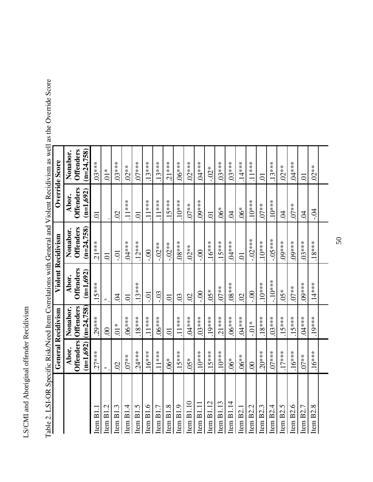|                       | <b>General Recidivism</b>                                                                                        |                                  | <b>Violent Recidivism</b>       |                                  |                                 | Override Score                   |
|-----------------------|------------------------------------------------------------------------------------------------------------------|----------------------------------|---------------------------------|----------------------------------|---------------------------------|----------------------------------|
|                       | Abor.                                                                                                            | Nonabor.                         | Abor.                           | Nonabor.                         | Abor.                           | Nonabor.                         |
|                       | <b>Offenders</b><br>$(n=1,692)$                                                                                  | <b>Offenders</b><br>$(n=24,758)$ | <b>Offenders</b><br>$(n=1,692)$ | <b>Offenders</b><br>$(n=24,758)$ | <b>Offenders</b><br>$(n=1,692)$ | $(n=24,758)$<br><b>Offenders</b> |
| Item B1.              | $.27***$                                                                                                         | $.29***$                         | $.15***$                        | $21***$                          | ā                               | 03****                           |
| Ċ<br>Item B1          | $\mathfrak{a}% _{T}=\mathfrak{a}_{T}\!\left( a,b\right) ,\mathfrak{a}_{T}=\mathfrak{a}_{T}\!\left( a,b\right) ,$ | $\infty$                         | $\approx$                       | $\overline{C}$                   |                                 | $\sum_{i=1}^{n}$                 |
| Item B1.3             | $\Omega$                                                                                                         | $\sum_{i=1}^{n}$                 | S.                              | .<br>Ci                          | $\Omega$                        | $.03***$                         |
| Item $B1.4$           | $.07**$                                                                                                          | $-6***$                          | 5.                              | $.04***$                         | $.11***$                        | $.02**$                          |
| Item B1.5             | $.24***$                                                                                                         | $.18***$                         | $.13***$                        | $.12***$                         | ā                               | $0.07***$                        |
| Item $B1.6$           | $16***$                                                                                                          | $.11***$                         | $-0.0$                          | $-0$ .                           | $.11***$                        | $13***$                          |
| Item $B1.7$           | $.11***$                                                                                                         | $.06***$                         | $-0$                            | $-0.02**$                        | $.11***$                        | $13***$                          |
| Item B1.8             | $6*$                                                                                                             | $\overline{C}$                   | $\overline{C}$                  | $-02**$                          | $.15***$                        | $21***$                          |
| Item B1.9             | $.15***$                                                                                                         | $11***$                          | $\overline{0}$                  | $.08***$                         | $.10***$                        | $06***$                          |
| Item $B1.10$          | $05*$                                                                                                            | $0.4***$                         | $\Omega$                        | $.02**$                          | $.07**$                         | $02***$                          |
| Item B1.11            | $.10***$                                                                                                         | $.03***$                         | $\frac{1}{2}$                   | $\frac{1}{2}$                    | $.09***$                        | $.04***$                         |
| Item $B1.12$          | $.15***$                                                                                                         | $.19***$                         | $0.05*$                         | $.16***$                         | $\overline{C}$                  | $-0.02*$                         |
| Item $B1.13$          | $.10***$                                                                                                         | $.21***$                         | $.07**$                         | $.15***$                         | $.06*$                          | $03***$                          |
| Item $B1.14$          | $.06*$                                                                                                           | $-06***$                         | $.08***$                        | $0.04***$                        | $\widetilde{S}$                 | $.03***$                         |
| Item B2.1             | $.06**$                                                                                                          | $04***$                          | $\mathcal{S}$                   | $\overline{C}$                   | $6*$                            | $.14***$                         |
| Item B <sub>2.2</sub> | $\infty$                                                                                                         | $-0.01*$                         | $\frac{1}{2}$                   | $-02***$                         | $.10***$                        | $.11***$                         |
| Item B2.3             | $.20***$                                                                                                         | $.18***$                         | $.10***$                        | $.10***$                         | $.07**$                         | ā                                |
| Item $B2.4$           | $.07***$                                                                                                         | $.03***$                         | $-10***$                        | $-05***$                         | $.10***$                        | $.13***$                         |
| Item B2.5             | $.17***$                                                                                                         | $.15***$                         | $0.05*$                         | $.09***$                         | S.                              | $.02**$                          |
| Item B <sub>2.6</sub> | $.16***$                                                                                                         | $.15***$                         | $.07**$                         | $.09***$                         | $.07**$                         | $.04***$                         |
| Item B2.7             | $.07**$                                                                                                          | $.04***$                         | $.09***$                        | $03***$                          | $\widetilde{C}$                 | ā                                |
| Item $B2.8$           | $.16***$                                                                                                         | $.19***$                         | $.14***$                        | $.18***$                         | гġ-                             | $.02**$                          |
|                       |                                                                                                                  |                                  |                                 |                                  |                                 |                                  |

Table 2. LSI-OR Specific Risk/Need Item Correlations with General and Violent Recidivism as well as the Override Score Table 2. LSI-OR Specific Risk/Need Item Correlations with General and Violent Recidivism as well as the Override Score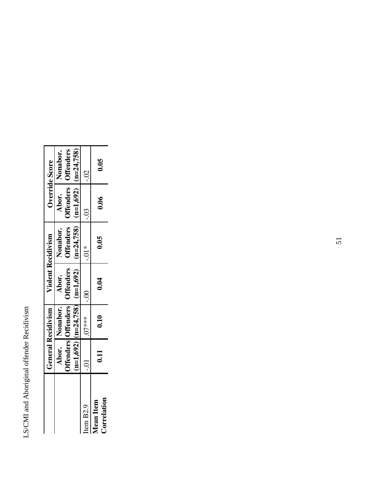|                                 |      | <b>General Recidivism</b> | Violent Recidivism                            |                                                                                               |         | Override Score                          |
|---------------------------------|------|---------------------------|-----------------------------------------------|-----------------------------------------------------------------------------------------------|---------|-----------------------------------------|
|                                 |      | Abor. Nonabor.            | <b>Offenders</b> Offenders Offenders<br>Abor. | <b>Offenders</b><br>Nonabor.                                                                  |         | Abor.   Nonabor.<br>Offenders Offenders |
|                                 |      |                           | $(n=1,692)$ $(n=24,758)$ $(n=1,692)$          | $\left( \text{n=24,758} \right) \left( \text{n=1,692} \right) \left( \text{n=24,758} \right)$ |         |                                         |
| Item B2.9                       | io-  | $07***$                   | $\frac{1}{2}$                                 | $-0.01*$                                                                                      | $-0.03$ | $-0.2$                                  |
| Correlation<br><b>Mean</b> Item | 0.11 | 0.10                      | 0.04                                          | 0.05                                                                                          | 0.06    | 0.05                                    |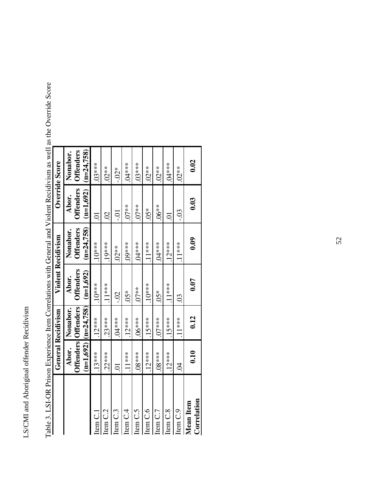|                                 | Abor.          |                                                        |                                          |                                              |                                          |                                              |
|---------------------------------|----------------|--------------------------------------------------------|------------------------------------------|----------------------------------------------|------------------------------------------|----------------------------------------------|
|                                 | $n=1,692$      | <b>Offenders</b> Offenders<br>$(n=24.758)$<br>Nonabor. | <b>Offenders</b><br>$(n=1,692)$<br>Abor. | <b>Offenders</b><br>$(n=24,758)$<br>Nonabor. | <b>Offenders</b><br>$(m=1.692)$<br>Abor. | <b>Offenders</b><br>$(n=24.758)$<br>Nonabor. |
| Item C.1                        | $13***$        | $.12***$                                               | $10***$                                  | $10***$                                      | ਠ                                        | $.03***$                                     |
| Item C.2                        | $22***$        | $.23***$                                               | $11***$                                  | $19***$                                      | $\mathcal{S}$                            | $02**$                                       |
| Item C.3                        | $\overline{C}$ | $****10.$                                              | $-0$ .                                   | $02**$                                       | Ξ.                                       | $-0.02*$                                     |
| Item C.4                        | $11***$        | $12***$                                                | $05*$                                    | 09***                                        | $07**$                                   | 04***                                        |
| Item C.5                        | $08***$        | $06***$                                                | $07**$                                   | $.04***$                                     | $07**$                                   | 03****                                       |
| Item C.6                        | $12***$        | $15***$                                                | $10***$                                  | $11***$                                      | $05*$                                    | $.02**$                                      |
| Item C.7                        | $08***$        | $.07***$                                               | $05*$                                    | $04***$                                      | $.06**$                                  | $02**$                                       |
| Item C.8                        | $12***$        | $.15***$                                               | $11***$                                  | $.12***$                                     | $\overline{C}$                           | 04***                                        |
| Item C.9                        | Z<br>Z         | $11***$                                                | $\mathbb{S}^1$                           | $11***$                                      | $-0.03$                                  | $02**$                                       |
| Correlation<br><b>Mean</b> Item | 0.10           | 0.12                                                   | 0.07                                     | 0.09                                         | 0.03                                     | 0.02                                         |
|                                 |                |                                                        |                                          |                                              |                                          |                                              |

Table 3. LSI-OR Prison Experience Item Correlations with General and Violent Recidivism as well as the Override Score Table 3. LSI-OR Prison Experience Item Correlations with General and Violent Recidivism as well as the Override Score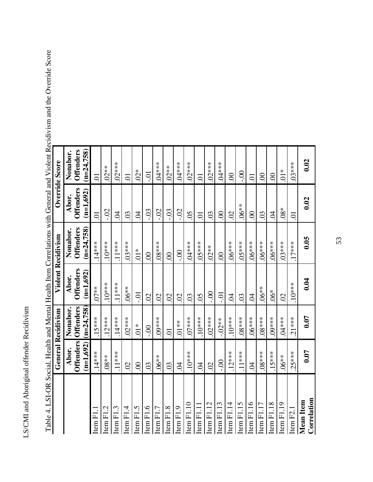| ֧֧֦֧֦֧֧֧֧֧֧֧֧֪֧֚֚֚֚֚֚֚֚֚֚֚֚֚֚֚֚֚֚֚֚֚֚֚֚֚֬֡֓֡֓֡֟֓֡֓֡֓֡֓֓֓֓֓֓֓֡֬<br>l |
|---------------------------------------------------------------------|
| i<br>くうくー                                                           |
| へんきょう<br>$\overline{a}$                                             |
| 1                                                                   |
|                                                                     |

|                          |                | <b>General Recidivism</b>           |                                 | <b>Violent Recidivism</b>        | Override Score                  |                                  |
|--------------------------|----------------|-------------------------------------|---------------------------------|----------------------------------|---------------------------------|----------------------------------|
|                          | Abor.          | Nonabor.                            | Abor.                           | Nonabor.                         | Abor.                           | Nonabor.                         |
|                          | $(n=1,692)$    | $(n=24,758)$<br>Offenders Offenders | <b>Offenders</b><br>$(n=1,692)$ | <b>Offenders</b><br>$(n=24,758)$ | <b>Offenders</b><br>$(n=1,692)$ | <b>Offenders</b><br>$(m=24,758)$ |
| Item F1.1                | $.14***$       | $.15***$                            | $.07**$                         | $.14***$                         | $\overline{C}$                  | $\overline{C}$                   |
| Item F1.2                | $.08**$        | $.12***$                            | $.10***$                        | $.10***$                         | $-0$                            | $.02**$                          |
| Item F1.3                | $.11***$       | $.14***$                            | $.11***$                        | $.11***$                         | S,                              | $.02***$                         |
| Item F1.4                | $\overline{0}$ | $.02***$                            | $.06**$                         | $.03***$                         | $\mathcal{S}$                   | $\overline{C}$                   |
| Item F1.5                | $\infty$       | $\frac{1}{2}$                       | io-                             | $\sum_{i=1}^{n}$                 | $\beta$                         | $02*$                            |
| Item F1.6                | $\overline{0}$ | $\frac{1}{2}$                       | $\Omega$                        | $\infty$                         | $-0.5$                          | io-                              |
| Item F1.7                | $0.06**$       | $.09***$                            | $\mathcal{S}$                   | $.08***$                         | $-0.2$                          | $.04***$                         |
| Item F1.8                | $\overline{0}$ | $\overline{0}$                      | $\mathcal{O}$                   | $\infty$                         | $-0.3$                          | $.02**$                          |
| Item F1.9                | $\overline{6}$ | $.01**$                             | $\overline{0}$                  | $-0.00$                          | $-0$                            | $04***$                          |
| Item F1.10               | $10***$        | $.07***$                            | $\overline{0}$                  | $.04***$                         | 05                              | $02***$                          |
| Item F1.11               | S.             | $.10***$                            | $\overline{0}$                  | $05***$                          | $\overline{C}$                  | $\overline{O}$                   |
| Item $F1.12$             | $\Omega$       | $.02***$                            | $\frac{1}{2}$                   | $.02**$                          | .03                             | $.02***$                         |
| Item $F1.13$             | $\frac{1}{2}$  | $-0.02**$                           | io-                             | $\infty$                         | $\infty$                        | $.04***$                         |
| Item $F1.14$             | $12***$        | $.10***$                            | $\widetilde{C}$                 | $.06***$                         | $\Omega$                        | $\infty$                         |
| Item F1.15               | $.11***$       | $.08***$                            | .03                             | $55***$                          | $.06**$                         | S.                               |
| Item F1.16               | S.             | $.06***$                            | S.                              | $.06***$                         | $\odot$                         | S                                |
| Item $F1.17$             | $.08***$       | $.08***$                            | $.06**$                         | $-6***$                          | $\overline{0}$                  | 8                                |
| Item $F1.18$             | $.15***$       | $.09***$                            | $-6*$                           | $.06***$                         | S.                              | $\odot$                          |
| Item F1.19               | $.06**$        | $.04***$                            | $\mathcal{S}$                   | $.03***$                         | $08*$                           | $\overline{0}$                   |
| Item F2.1                | $.25***$       | $.21***$                            | $.10***$                        | $.17***$                         | $\overline{O}$                  | $03***$                          |
| Correlation<br>Mean Item | 0.07           | 0.07                                | 0.04                            | 0.05                             | 0.02                            | 0.02                             |
|                          |                |                                     |                                 |                                  |                                 |                                  |

Table 4. LSI-OR Social, Health and Mental Health Item Correlations with General and Violent Recidivism and the Override Score Table 4. LSI-OR Social, Health and Mental Health Item Correlations with General and Violent Recidivism and the Override Score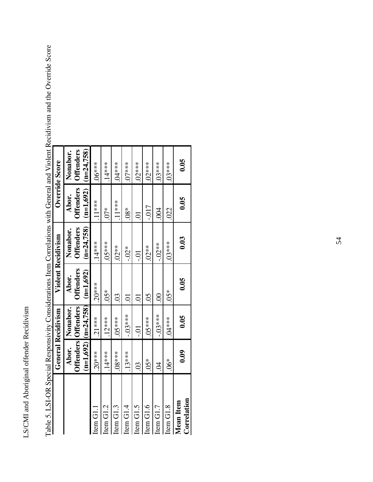|                          | <b>General Recidivism</b> |                                                                     |                                          | <b>Violent Recidivism</b>                    |                                          | Override Score                                        |
|--------------------------|---------------------------|---------------------------------------------------------------------|------------------------------------------|----------------------------------------------|------------------------------------------|-------------------------------------------------------|
|                          | Abor.                     | $(n=1,692)$ $(n=24,758)$<br><b>Example 15 Offenders</b><br>Nonabor. | <b>Offenders</b><br>$(n=1,692)$<br>Abor. | $(n=24.758)$<br><b>Offenders</b><br>Nonabor. | <b>Offenders</b><br>$(n=1,692)$<br>Abor. | <b>Offenders</b><br>$\frac{(m=24.758)}{}$<br>Nonabor. |
| Item G1.1                | $20***$                   | $.21***$                                                            | $20***$                                  | $.14***$                                     | $11***$                                  | $06***$                                               |
| Item G1.2                | $.14***$                  | $12***$                                                             | $05*$                                    | $5 + 10$                                     | $\tilde{0}^*$                            | $.14***$                                              |
| Item G1.3                | $08***$                   | $05***$                                                             | S.                                       | $.02**$                                      | $11***$                                  | 04****                                                |
| Item G1.4                | $13***$                   | $-03***$                                                            | $\overline{C}$                           | $-0.01*$                                     | $.08*$                                   | $07***$                                               |
| Item G1.5                | $\overline{0}$            | $-0.01$                                                             | 5.                                       | $\Xi$                                        | Ξ.                                       | 02****                                                |
| Item G1.6                | $05*$                     | $05***$                                                             | $\overline{0}$                           | 02**                                         | $-0.017$                                 | $02***$                                               |
| Item G1.7                | Z                         | $-.03***$                                                           | S                                        | $-0.02**$                                    | $\overline{6}$                           | 5.66                                                  |
| Item G1.8                | $6*$                      | $04***$                                                             | $05*$                                    | $03***$                                      | 022                                      | 03****                                                |
| Correlation<br>Mean Item | 0.09                      | 0.05                                                                | 0.05                                     | 0.03                                         | 0.05                                     | 0.05                                                  |

Table 5. LSI-OR Special Responsivity Considerations Item Correlations with General and Violent Recidivism and the Override Score Table 5. LSI-OR Special Responsivity Considerations Item Correlations with General and Violent Recidivism and the Override Score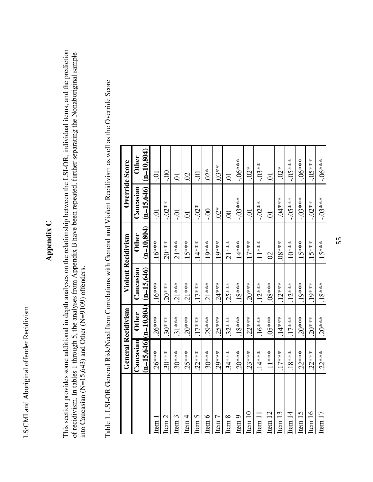# **Appendix C**  Appendix C

This section provides some additional in depth analyses on the relationship between the LSI-OR, individual items, and the prediction This section provides some additional in depth analyses on the relationship between the LSI-OR, individual items, and the prediction of recidivism. In tables 1 through 5, the analyses from Appendix B have been repeated, further separating the Nonaboriginal sample of recidivism. In tables 1 through 5, the analyses from Appendix B have been repeated, further separating the Nonaboriginal sample into Caucasian (N=15,643) and Other (N=9109) offenders. into Caucasian (N=15,643) and Other (N=9109) offenders.

|                    | <b>General Recidivism</b> |              |              | <b>Violent Recidivism</b> | Override Score |               |
|--------------------|---------------------------|--------------|--------------|---------------------------|----------------|---------------|
|                    | Caucasian                 | <b>Other</b> | Caucasian    | <b>Other</b>              | Caucasian      | Other         |
|                    | $(m=15,646)$              | $(n=10.804)$ | $(n=15,646)$ | $(n=10.804)$              | $(n=15,646)$   | $(m=10.804)$  |
| ltem 1             | $.26***$                  | $.26***$     | $.16***$     | $.16***$                  | iÒ-            | ລຸ            |
| $t$ em 2           | $.30***$                  | $.30***$     | $.20***$     | $.20***$                  | $-.02**$       | S.            |
| Item <sub>3</sub>  | $.30***$                  | $.31***$     | $.21***$     | $.21***$                  | io-            | $\sum$        |
| Item $4$           | $.25***$                  | $.20***$     | $.21***$     | $.15***$                  | $\Xi$          | $\mathcal{S}$ |
| Item $5$           | $22***$                   | $.17***$     | $17***$      | $.14***$                  | $-0.04*$       | Ξ.            |
| tem 6              | $30***$                   | 29****       | $.21***$     | $.19***$                  | $00 -$         | $02*$         |
| Item <sub>7</sub>  | $.29***$                  | $25***$      | $.24***$     | $.19***$                  | $02*$          | $.03**$       |
| Item $8$           | $.34***$                  | $.32***$     | $25***$      | $21***$                   | $\odot$        | ਠ             |
| Item $9$           | $.20***$                  | $.18***$     | $.18***$     | $.14***$                  | $-.03***$      | $-.06***$     |
| Item 10            | $.23***$                  | $22***$      | $.20***$     | $.17***$                  | io-            | $-0.02*$      |
| Item 11            | $.14***$                  | $.16***$     | $.12***$     | $.11***$                  | $-02**$        | $-03**$       |
| Item <sub>12</sub> | $11***$                   | $05***$      | $.08***$     | $\overline{\mathcal{S}}$  | Ξ.             | $\Xi$         |
| Item <sub>13</sub> | $.17***$                  | $.14***$     | $.12***$     | $08***$                   | $-0.04**$      | $-0.04*$      |
| Item 14            | $.18***$                  | $.17***$     | $.12***$     | $10***$                   | $-05***$       | $-.05***$     |
| Item <sub>15</sub> | $.22***$                  | $.20***$     | $.19***$     | $.15***$                  | $-0.03***$     | $-.06***$     |
| Item <sub>16</sub> | $.22***$                  | $.20***$     | $.19***$     | $15***$                   | $-02**$        | $-05***$      |
| Item 17            | $.22***$                  | $.20***$     | $.18***$     | $.15***$                  | $-0.03***$     | $-06***$      |

Table 1. LSI-OR General Risk/Need Item Correlations with General and Violent Recidivism as well as the Override Score Table 1. LSI-OR General Risk/Need Item Correlations with General and Violent Recidivism as well as the Override Score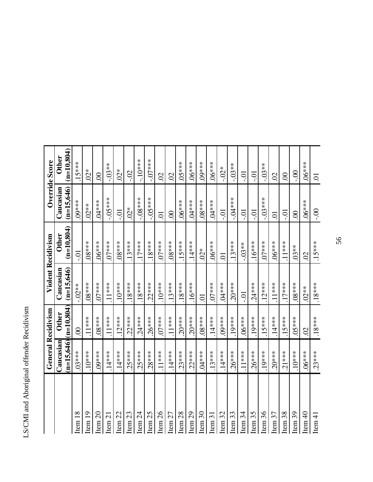|                    | <b>General Recidivism</b> |              | <b>Violent Recidivism</b> |                  | Override Score |                |
|--------------------|---------------------------|--------------|---------------------------|------------------|----------------|----------------|
|                    | Caucasian                 | <b>Other</b> | Caucasian                 | <b>Other</b>     | Caucasian      | <b>Other</b>   |
|                    | $(n=15,646)[n=10,804)$    |              | $(n=15,646)$              | $(n=10,804)$     | $(n=15,646)$   | $(n=10.804)$   |
| Item 18            | $.03***$                  | $\odot$      | $-0.02**$                 | Ξ.               | $.09***$       | $.15***$       |
| Item <sub>19</sub> | $.10***$                  | $.11***$     | $8***$                    | $-8***$          | $.02**$        | $02*$          |
| Item <sub>20</sub> | $.09***$                  | $.08***$     | $.07***$                  | 5.18             | $.04***$       | $\odot$        |
| Item <sub>21</sub> | $.14***$                  | $.11***$     | $.11***$                  | $07***$          | $-.05***$      | $-0.03**$      |
| Item $22$          | $.14***$                  | $12***$      | $10***$                   | $58****$         | iÖ-            | $02*$          |
| Item <sub>23</sub> | $.25***$                  | $.22***$     | $18***$                   | $.13***$         | $02*$          | $-02$          |
| Item $24$          | $.25***$                  | $.24***$     | $18***$                   | $.17***$         | $-.08***$      | $-10***$       |
| Item <sub>25</sub> | $.28***$                  | $.26***$     | $22***$                   | $.18***$         | $-05***$       | $-07***$       |
| Item <sub>26</sub> | $.11***$                  | $.07***$     | $.10***$                  | $.07***$         | $\overline{C}$ | $\overline{S}$ |
| Item $27$          | $.14***$                  | $.11***$     | $.13***$                  | $.08***$         | $\odot$        | $\overline{0}$ |
| Item <sub>28</sub> | $.23***$                  | $.20***$     | $.18***$                  | $.15***$         | $-06***$       | 5.183          |
| Item <sub>29</sub> | $.22***$                  | $.20***$     | $.16***$                  | $.14***$         | $.04***$       | $.06***$       |
| Item <sub>30</sub> | $.04***$                  | $.08***$     | $\overline{C}$            | $.02*$           | $8***$         | $.09***$       |
| Item $31$          | $.13***$                  | $.14***$     | $.07***$                  | $-06***$         | $.04***$       | $06***$        |
| Item <sub>32</sub> | $.14***$                  | $.09***$     | $04***$                   | $\sum_{i=1}^{n}$ | $-0.1$         | $-0.04*$       |
| Item <sub>33</sub> | $.26***$                  | $.19***$     | $.20***$                  | $.13***$         | $-0.04***$     | $-0.03**$      |
| Item $34$          | $.11***$                  | $.06***$     | iO-                       | $-0.03**$        | iÒ-            | io-            |
| Item 35            | $.26***$                  | $.19***$     | $.24***$                  | $.16***$         | iÒ-            | iÒ-            |
| Item $36$          | $.19***$                  | $.15***$     | $.12***$                  | $.07***$         | $-0.03***$     | $-.03**$       |
| Item 37            | $.20***$                  | $.14***$     | $11***$                   | $***00.*$        | $\overline{0}$ | SÖ             |
| Item $38$          | $.21***$                  | $.15***$     | $.17***$                  | $.11***$         | iÖ-            | $\odot$        |
| Item 39            | $.10***$                  | $05***$      | $.08***$                  | $.03**$          | $\odot$        | $-0$           |
| Item <sub>40</sub> | $.06***$                  | $\odot$      | $.02**$                   | $\mathcal{S}$    | $.06***$       | $-06***$       |
| Item $41$          | $.23***$                  | $.18***$     | $.18***$                  | $.15***$         | $00 -$         | 5.             |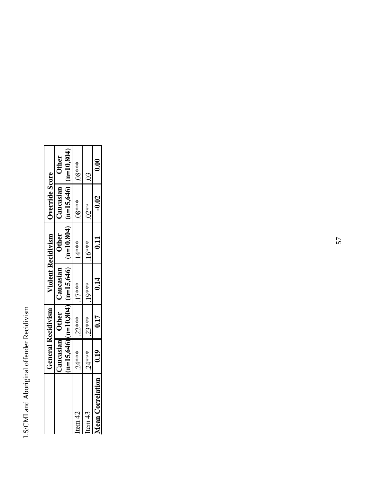|                         |                 | <b>General Recidivism</b> |                                                                                                                                                    | <b>Violent Recidivism</b> | Override Score |              |
|-------------------------|-----------------|---------------------------|----------------------------------------------------------------------------------------------------------------------------------------------------|---------------------------|----------------|--------------|
|                         | Caucasian Other |                           | $\frac{15,646}{\ln 15,646}$ $\left  \frac{0.804}{\ln 15,646} \right $ (n=15,646) $\left  \frac{0.804}{\ln 15,646} \right $ (n=15,646)<br>Caucasian | <b>Other</b>              | Caucasian      | <b>Other</b> |
| Item 42                 | 24****          | $22***$                   | $17***$                                                                                                                                            | $.14***$                  | $-8***$        | $8***$       |
| Item 43                 | $24***$         | $23***$                   | $19***$                                                                                                                                            | $16***$                   | $.02**$        |              |
| <b>Mean Correlation</b> | 0.19            | 0.17                      | 0.14                                                                                                                                               | 0.11                      | $-0.02$        | 0.00         |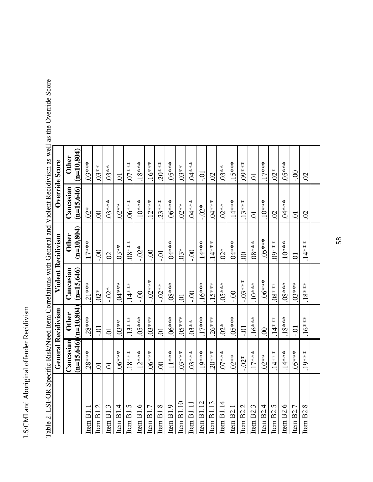|                       | <b>General Recidivism</b> |                               | <b>Violent Recidivism</b> |                              | Override Score            |                               |
|-----------------------|---------------------------|-------------------------------|---------------------------|------------------------------|---------------------------|-------------------------------|
|                       | $(n=15,646)$<br>Caucasian | $(n=10, 804)$<br><b>Other</b> | Caucasian<br>$(n=15,646)$ | $(n=10,804)$<br><b>Other</b> | Caucasian<br>$(n=15,646)$ | $(n=10, 804)$<br><b>Other</b> |
| Item B1.              | $.28***$                  | $.28***$                      | $.21***$                  | $17***$                      | $02*$                     | $.03***$                      |
| Item $B1.2$           | Ξ.                        | iÒ-                           | $.02*$                    | $\frac{1}{2}$                | $\odot$                   | $.03**$                       |
| Item $B1.3$           | Ξ.                        | ā                             | $-0.02*$                  | $\overline{S}$               | $.03***$                  | $.03**$                       |
| Item $B1.4$           | $-6***$                   | $.03**$                       | $.04***$                  | $.03**$                      | $.02**$                   | Ξ.                            |
| Item B1.5             | $.18***$                  | $.13***$                      | $.14***$                  | $.08***$                     | $.06***$                  | $07***$                       |
| Item $B1.6$           | $.12***$                  | $.05***$                      | $\frac{1}{2}$             | $-0.02*$                     | $.10***$                  | $.18***$                      |
| Item B1.7             | $-6***$                   | $03***$                       | $-.02***$                 | S.                           | $.12***$                  | $.16***$                      |
| Item $B1.8$           | $\odot$                   | Ξ.                            | $-0.02**$                 | iĊ-                          | $.23***$                  | $.20***$                      |
| Item B1.9             | $.11***$                  | $06***$                       | $08***$                   | $.04***$                     | 5.18                      | $05***$                       |
| Item B1.10            | $.03***$                  | $05***$                       | $\Xi$                     | $03*$                        | $.02**$                   | $.03**$                       |
| Item B1.11            | $.03***$                  | $.03**$                       | $\frac{1}{2}$             | $\frac{1}{2}$                | $.04***$                  | $.04***$                      |
| Item $B1.12$          | $.19***$                  | $.17***$                      | $.16***$                  | $.14***$                     | $-0.02*$                  | Ξ.                            |
| Item $B1.13$          | $.20***$                  | $.26***$                      | $.15***$                  | $.14***$                     | $****$                    | $\overline{S}$                |
| Item $B1.14$          | $.07***$                  | $02*$                         | $5.84**$                  | $02*$                        | $.02**$                   | $.03**$                       |
| Item B2.1             | $.02**$                   | $05***$                       | $\frac{1}{2}$             | $.04***$                     | $.14***$                  | $.15***$                      |
| Item B <sub>2.2</sub> | $-0.02*$                  | io-                           | $-.03***$                 | $\infty$                     | $.13***$                  | $.09***$                      |
| Item B2.3             | $.17***$                  | $.16***$                      | $.10***$                  | $.08***$                     | 5.                        | ā                             |
| Item $B2.4$           | $.02**$                   | $\odot$                       | $-06***$                  | $-05***$                     | $.10***$                  | $.17***$                      |
| Item B2.5             | $.14***$                  | $.14***$                      | $-8***$                   | $.09***$                     | $\mathcal{S}$             | $02*$                         |
| Item B2.6             | $.14***$                  | $.18***$                      | $-8***$                   | $.10***$                     | $.04***$                  | 5.183                         |
| Item B2.7             | $5***05$                  | $-0$                          | $.03***$                  | $\overline{C}$               | $\overline{0}$            | $00$ .                        |
| Item $B2.8$           | $.19***$                  | $.16***$                      | $.18***$                  | $.14***$                     | $\Omega$                  | $\overline{0}$                |
|                       |                           |                               |                           |                              |                           |                               |

Table 2. LSI-OR Specific Risk/Need Item Correlations with General and Violent Recidivism as well as the Override Score Table 2. LSI-OR Specific Risk/Need Item Correlations with General and Violent Recidivism as well as the Override Score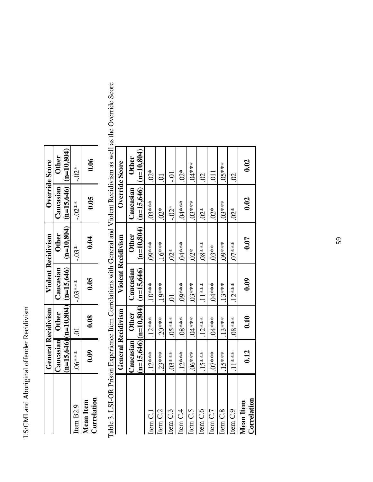|                                        |          |                | General Recidivism Violent Recidivism |                                                                                                                                                                         |           | Override Score |
|----------------------------------------|----------|----------------|---------------------------------------|-------------------------------------------------------------------------------------------------------------------------------------------------------------------------|-----------|----------------|
|                                        |          | aucasian Other | Caucasian                             | <b>Other</b>                                                                                                                                                            | Caucasian | <b>Other</b>   |
|                                        |          |                |                                       | $\frac{\text{m=15,646}}{\text{m=15,646}}$ $\frac{\text{m=10,804}}{\text{m=15,646}}$ $\frac{\text{m=15,646}}{\text{m=15,646}}$ $\frac{\text{m=15,646}}{\text{m=10,804}}$ |           |                |
| Item B2.9                              | $^{***}$ |                | $-.03***$                             | $-0.03*$                                                                                                                                                                | $-0.02**$ | $-0.02*$       |
| <b>Correlation</b><br><b>Aean</b> Item | 0.09     | 0.08           | 0.05                                  | 0.04                                                                                                                                                                    | 0.05      | 0.06           |

Table 3. LSI-OR Prison Experience Item Correlations with General and Violent Recidivism as well as the Override Score Table 3. LSI-OR Prison Experience Item Correlations with General and Violent Recidivism as well as the Override Score

|                                 | <b>General Recidivism</b> |              |                                                   | Violent Recidivism | Override Score            |                  |
|---------------------------------|---------------------------|--------------|---------------------------------------------------|--------------------|---------------------------|------------------|
|                                 | Caucasian                 | <b>Other</b> | Caucasian                                         | <b>Other</b>       | Caucasian                 | <b>Other</b>     |
|                                 |                           |              | $\frac{15,646}{\ln 10,606}$ (n=10,804) (n=15,646) | $(n=10.804)$       | $(n=15,646)$ $(n=10,804)$ |                  |
| tem C.1                         | $.12***$                  | $.12***$     | $10***$                                           | $09***$            | $03***$                   | $02*$            |
| Item C.2                        | $.23***$                  | $20***$      | $19***$                                           | $.16***$           | $.02*$                    | $\overline{C}$   |
| tem C.3                         | $.03***$                  | $05***$      | Ξ.                                                | $\sum_{i=1}^{n}$   | $-0.01*$                  | Ξ.               |
| ltem C.4                        | $.12***$                  | $08***$      | 09***                                             | $04***$            | $.04***$                  | $.02*$           |
| Item <sub>C.5</sub>             | $06***$                   | $04***$      | 03****                                            | $.02*$             | 03****                    | 04***            |
| ltem C.6                        | $.15***$                  | $12***$      | $11***$                                           | 08****             | $02*$                     | $\mathcal{S}$    |
| tem C.7                         | $07***$                   | $04***$      | $04***$                                           | $.03**$            | $.02*$                    | $\overline{011}$ |
| Item C.8                        | $.15***$                  | $13***$      | $13***$                                           | $***00.*$          | $03***$                   | $05***$          |
| Item <sub>C.9</sub>             | $11***$                   | $08***$      | $.12***$                                          | $.07***$           | $.02*$                    | SÖ               |
| Correlation<br><b>Mean</b> Item | 0.12                      | 0.10         | 0.09                                              | 0.07               | 0.02                      | 0.02             |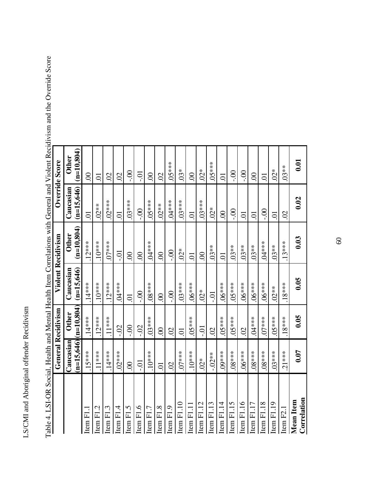| Ì<br>$-10$<br>i<br>くらすこと<br>j<br>۱,<br>ー・マ | l<br>l |
|--------------------------------------------|--------|
|                                            |        |
|                                            |        |
|                                            |        |
|                                            |        |
|                                            |        |
|                                            |        |
|                                            |        |
|                                            |        |

|                          | <b>General Recidivism</b> |                              | <b>Violent Recidivism</b> |                              | Override Score            |                              |
|--------------------------|---------------------------|------------------------------|---------------------------|------------------------------|---------------------------|------------------------------|
|                          | $(n=15,646)$<br>Caucasian | $(n=10,804)$<br><b>Other</b> | $(n=15,646)$<br>Caucasian | $(n=10,804)$<br><b>Other</b> | $(n=15,646)$<br>Caucasian | $(m=10.804)$<br><b>Other</b> |
| tem F1.1                 | $.15***$                  | $.14***$                     | $.14***$                  | $.12***$                     | $\overline{C}$            | $\odot$                      |
| temF1.2                  | $.11***$                  | $.12***$                     | $10***$                   | $.10***$                     | $.02**$                   | S                            |
| Item $F1.3$              | $.14***$                  | $.11***$                     | $.12***$                  | $.07***$                     | $.02***$                  | $\overline{0}$               |
| tem F1.4                 | $.02***$                  | $-02$                        | $.04***$                  | iĊ-                          | $\overline{C}$            | $\overline{0}$               |
| $Item$ F1.5              | $\mathcal{S}$             | $\frac{1}{2}$                | $\ddot{\circ}$            | $\mathcal{S}$                | $.03***$                  | $\frac{1}{2}$                |
| $Item$ F1.6              | iÒ-                       | $-0$                         | $\frac{1}{2}$             | $\odot$                      | $\frac{1}{2}$             | iÒ-                          |
| $t$ tem $F1.7$           | $.10***$                  | $03***$                      | $.08***$                  | $.04***$                     | 5.18                      | $\odot$                      |
| $Item$ $F1.8$            | S                         | S.                           | $\odot$                   | $\infty$                     | $.02**$                   | $\mathcal{S}$                |
| Item F1.9                | $\overline{0}$            | $\odot$                      | $-0.00$                   | $\frac{1}{2}$                | $.04***$                  | $05***$                      |
| Item F1.10               | $.07***$                  | $\sum$                       | $.03***$                  | $02*$                        | $.03***$                  | $03*$                        |
| $Item$ $F1.11$           | $-10***$                  | $****60$                     | $****90.$                 | $\overline{C}$               | $\overline{C}$            | $\odot$                      |
| Item $F1.12$             | $.02*$                    | iÒ-                          | $.02*$                    | $\infty$                     | $.03***$                  | $02*$                        |
| Item $F1.13$             | $-0.02**$                 | $\overline{S}$               | iÒ-                       | $.03**$                      | $.02*$                    | $05***$                      |
| Item $F1.14$             | $.09***$                  | $05***$                      | $06***$                   | $\overline{C}$               | $\odot$                   | 5.                           |
| Item F1.15               | $.08***$                  | $05***$                      | $05***$                   | $.03**$                      | $\frac{1}{2}$             | $\frac{1}{2}$                |
| Item F1.16               | $06***$                   | $\overline{0}$               | $****90.$                 | $.03**$                      | $\overline{C}$            | $\frac{1}{2}$                |
| Item $F1.17$             | $58***$                   | $.04***$                     | $06***$                   | $.03**$                      | $\overline{C}$            | $\odot$                      |
| Item F1.18               | $08***$                   | $.07***$                     | $.06***$                  | $.04***$                     | $\frac{1}{2}$             | S                            |
| Item $F1.19$             | $03***$                   | $05***$                      | $.02**$                   | $.03**$                      | Ξ.                        | $02*$                        |
| Item F2.1                | $.21***$                  | $.18***$                     | $.18***$                  | $.13***$                     | $\Omega$                  | $.03**$                      |
| Correlation<br>Mean Item | 0.07                      | 0.05                         | 0.05                      | 0.03                         | 0.02                      | 0.01                         |

Table 4. LSI-OR Social, Health and Mental Health Item Correlations with General and Violent Recidivism and the Override Score Table 4. LSI-OR Social, Health and Mental Health Item Correlations with General and Violent Recidivism and the Override Score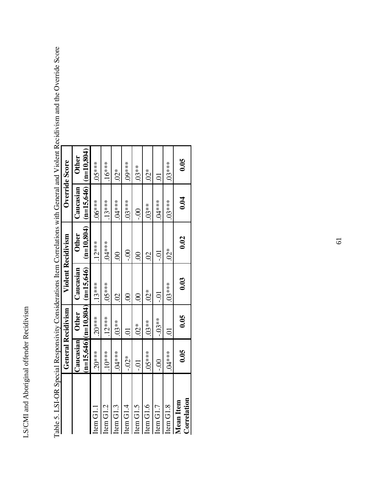|                                 | <b>General Recidivism</b> |                |                                                    | <b>Violent Recidivism</b>    |                                        | Override Score         |
|---------------------------------|---------------------------|----------------|----------------------------------------------------|------------------------------|----------------------------------------|------------------------|
|                                 | Caucasian                 | <b>Other</b>   | $(n=15,646)[(n=10,804)]$ $(n=15,646)$<br>Caucasian | $(m=10.804)$<br><b>Other</b> | $(n=15,646)$ $(n=10,804)$<br>Caucasian | <b>Other</b>           |
| Item G1.1                       | $.20***$                  | $20***$        | $.13***$                                           | $12***$                      | $.06***$                               | $05***$                |
| Item G1.2                       | $10***$                   | $12***$        | $05***$                                            | $04***$                      | $13***$                                | $16***$                |
| Item G1.3                       | 04***                     | $03**$         | $\mathcal{S}$                                      | $\odot$                      | 04****                                 | $\stackrel{*}{\infty}$ |
| Item G1.4                       | $-0.02*$                  | $\overline{O}$ | $\odot$                                            |                              | $03***$                                | 19***                  |
| Item G1.5                       | iÒ-                       | $02*$          | $\mathcal{S}$                                      | $\infty$                     | $00$ .                                 | $03***$                |
| Item G1.6                       | 05****                    | $03**$         | $02*$                                              | S                            | $.03**$                                | $\stackrel{*}{\infty}$ |
| Item G1.7                       | $-0.0$                    | $-.03**$       | iÒ-                                                | $-0.0$                       | 04***                                  | ៍                      |
| Item G1.8                       | 04***                     | ਠ              | 03****                                             | $02*$                        | $03***$                                | $03***$                |
| Correlation<br><b>Mean</b> Item | 0.05                      | 0.05           | 0.03                                               | 0.02                         | 0.04                                   | 0.05                   |
|                                 |                           |                |                                                    |                              |                                        |                        |

Table 5. LSI-OR Special Responsivity Considerations Item Correlations with General and Violent Recidivism and the Override Score Table 5. LSI-OR Special Responsivity Considerations Item Correlations with General and Violent Recidivism and the Override Score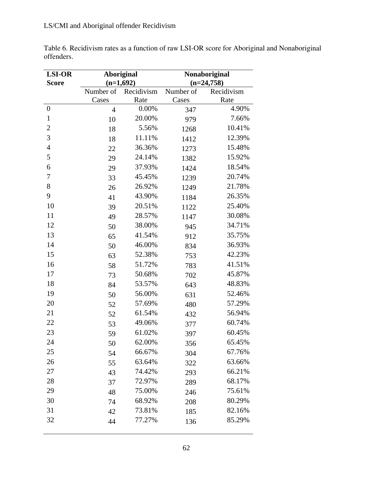| Table 6. Recidivism rates as a function of raw LSI-OR score for Aboriginal and Nonaboriginal |  |
|----------------------------------------------------------------------------------------------|--|
| offenders.                                                                                   |  |

| <b>LSI-OR</b>    | <b>Aboriginal</b> |             | Nonaboriginal |              |  |
|------------------|-------------------|-------------|---------------|--------------|--|
| <b>Score</b>     |                   | $(n=1,692)$ |               | $(n=24,758)$ |  |
|                  | Number of         | Recidivism  | Number of     | Recidivism   |  |
|                  | Cases             | Rate        | Cases         | Rate         |  |
| $\boldsymbol{0}$ | $\overline{4}$    | 0.00%       | 347           | 4.90%        |  |
| $\mathbf{1}$     | 10                | 20.00%      | 979           | 7.66%        |  |
| $\overline{c}$   | 18                | 5.56%       | 1268          | 10.41%       |  |
| 3                | 18                | 11.11%      | 1412          | 12.39%       |  |
| $\overline{4}$   | 22                | 36.36%      | 1273          | 15.48%       |  |
| 5                | 29                | 24.14%      | 1382          | 15.92%       |  |
| 6                | 29                | 37.93%      | 1424          | 18.54%       |  |
| 7                | 33                | 45.45%      | 1239          | 20.74%       |  |
| 8                | 26                | 26.92%      | 1249          | 21.78%       |  |
| 9                | 41                | 43.90%      | 1184          | 26.35%       |  |
| 10               | 39                | 20.51%      | 1122          | 25.40%       |  |
| 11               | 49                | 28.57%      | 1147          | 30.08%       |  |
| 12               | 50                | 38.00%      | 945           | 34.71%       |  |
| 13               | 65                | 41.54%      | 912           | 35.75%       |  |
| 14               | 50                | 46.00%      | 834           | 36.93%       |  |
| 15               | 63                | 52.38%      | 753           | 42.23%       |  |
| 16               | 58                | 51.72%      | 783           | 41.51%       |  |
| 17               | 73                | 50.68%      | 702           | 45.87%       |  |
| 18               | 84                | 53.57%      | 643           | 48.83%       |  |
| 19               | 50                | 56.00%      | 631           | 52.46%       |  |
| 20               | 52                | 57.69%      | 480           | 57.29%       |  |
| 21               | 52                | 61.54%      | 432           | 56.94%       |  |
| 22               | 53                | 49.06%      | 377           | 60.74%       |  |
| 23               | 59                | 61.02%      | 397           | 60.45%       |  |
| 24               | 50                | 62.00%      | 356           | 65.45%       |  |
| 25               | 54                | 66.67%      | 304           | 67.76%       |  |
| 26               | 55                | 63.64%      | 322           | 63.66%       |  |
| 27               | 43                | 74.42%      | 293           | 66.21%       |  |
| 28               | 37                | 72.97%      | 289           | 68.17%       |  |
| 29               | 48                | 75.00%      | 246           | 75.61%       |  |
| 30               | 74                | 68.92%      | 208           | 80.29%       |  |
| 31               | 42                | 73.81%      | 185           | 82.16%       |  |
| 32               | 44                | 77.27%      | 136           | 85.29%       |  |
|                  |                   |             |               |              |  |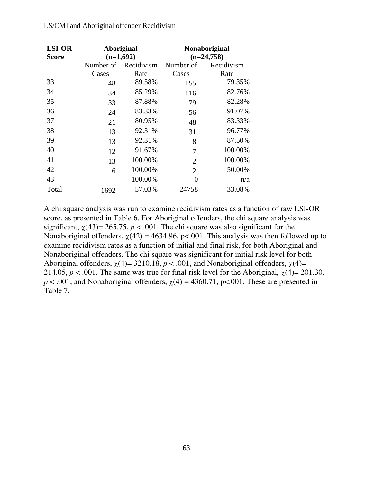| <b>LSI-OR</b> | <b>Aboriginal</b> |                      |                | Nonaboriginal |  |
|---------------|-------------------|----------------------|----------------|---------------|--|
| <b>Score</b>  | $(n=1,692)$       |                      |                | $(n=24,758)$  |  |
|               |                   | Number of Recidivism | Number of      | Recidivism    |  |
|               | Cases             | Rate                 | Cases          | Rate          |  |
| 33            | 48                | 89.58%               | 155            | 79.35%        |  |
| 34            | 34                | 85.29%               | 116            | 82.76%        |  |
| 35            | 33                | 87.88%               | 79             | 82.28%        |  |
| 36            | 24                | 83.33%               | 56             | 91.07%        |  |
| 37            | 21                | 80.95%               | 48             | 83.33%        |  |
| 38            | 13                | 92.31%               | 31             | 96.77%        |  |
| 39            | 13                | 92.31%               | 8              | 87.50%        |  |
| 40            | 12                | 91.67%               | 7              | 100.00%       |  |
| 41            | 13                | 100.00%              | $\overline{2}$ | 100.00%       |  |
| 42            | 6                 | 100.00%              | $\overline{2}$ | 50.00%        |  |
| 43            | 1                 | 100.00%              | 0              | n/a           |  |
| Total         | 1692              | 57.03%               | 24758          | 33.08%        |  |

A chi square analysis was run to examine recidivism rates as a function of raw LSI-OR score, as presented in Table 6. For Aboriginal offenders, the chi square analysis was significant,  $\chi$ (43) = 265.75, *p* < .001. The chi square was also significant for the Nonaboriginal offenders,  $\chi(42) = 4634.96$ , p<.001. This analysis was then followed up to examine recidivism rates as a function of initial and final risk, for both Aboriginal and Nonaboriginal offenders. The chi square was significant for initial risk level for both Aboriginal offenders,  $\chi$ (4)= 3210.18, *p* < .001, and Nonaboriginal offenders,  $\chi$ (4)= 214.05,  $p < .001$ . The same was true for final risk level for the Aboriginal,  $\chi(4) = 201.30$ ,  $p < .001$ , and Nonaboriginal offenders,  $\chi(4) = 4360.71$ , p<.001. These are presented in Table 7.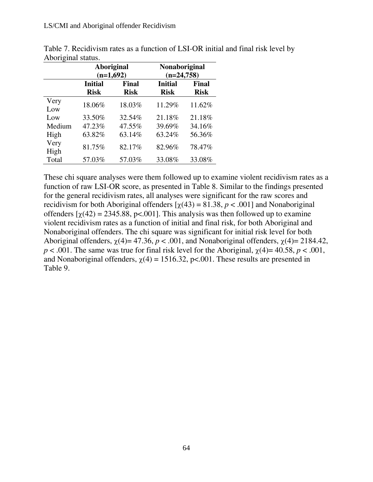|              | <b>Aboriginal</b><br>$(n=1,692)$ |                      | <b>Nonaboriginal</b><br>$(n=24,758)$ |                      |
|--------------|----------------------------------|----------------------|--------------------------------------|----------------------|
|              | <b>Initial</b><br><b>Risk</b>    | Final<br><b>Risk</b> | <b>Initial</b><br><b>Risk</b>        | Final<br><b>Risk</b> |
| Very<br>Low  | 18.06%                           | 18.03%               | 11.29%                               | 11.62%               |
| Low          | 33.50%                           | 32.54%               | 21.18%                               | 21.18%               |
| Medium       | 47.23%                           | 47.55%               | 39.69%                               | 34.16%               |
| High         | 63.82%                           | 63.14%               | 63.24%                               | 56.36%               |
| Very<br>High | 81.75%                           | 82.17%               | 82.96%                               | 78.47%               |
| Total        | 57.03%                           | 57.03%               | 33.08%                               | 33.08%               |

Table 7. Recidivism rates as a function of LSI-OR initial and final risk level by Aboriginal status.

These chi square analyses were them followed up to examine violent recidivism rates as a function of raw LSI-OR score, as presented in Table 8. Similar to the findings presented for the general recidivism rates, all analyses were significant for the raw scores and recidivism for both Aboriginal offenders  $[\gamma(43) = 81.38, p < .001]$  and Nonaboriginal offenders  $[\chi(42) = 2345.88, \text{p} < .001]$ . This analysis was then followed up to examine violent recidivism rates as a function of initial and final risk, for both Aboriginal and Nonaboriginal offenders. The chi square was significant for initial risk level for both Aboriginal offenders,  $\chi$ (4)= 47.36, *p* < .001, and Nonaboriginal offenders,  $\chi$ (4)= 2184.42,  $p < .001$ . The same was true for final risk level for the Aboriginal,  $\chi(4) = 40.58$ ,  $p < .001$ , and Nonaboriginal offenders,  $\chi(4) = 1516.32$ , p<.001. These results are presented in Table 9.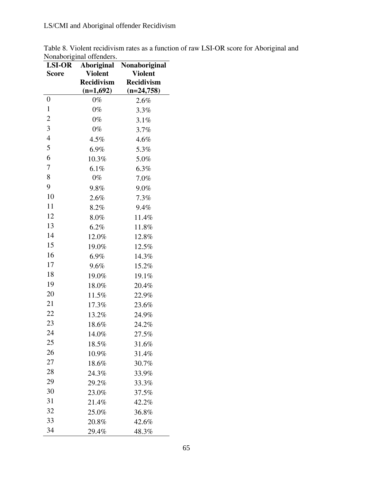|                          | Table 8. Violent recidivism rates as a function of raw LSI-OR score for Aboriginal and |
|--------------------------|----------------------------------------------------------------------------------------|
| Nonaboriginal offenders. |                                                                                        |

| <b>LSI-OR</b>  | Aboriginal        | Nonaboriginal     |  |
|----------------|-------------------|-------------------|--|
| Score          | <b>Violent</b>    | <b>Violent</b>    |  |
|                | <b>Recidivism</b> | <b>Recidivism</b> |  |
|                | $(n=1,692)$       | $(n=24,758)$      |  |
| 0              | $0\%$             | 2.6%              |  |
| $\mathbf{1}$   | $0\%$             | 3.3%              |  |
| $\overline{2}$ | $0\%$             | 3.1%              |  |
| 3              | $0\%$             | 3.7%              |  |
| $\overline{4}$ | 4.5%              | 4.6%              |  |
| 5              | 6.9%              | 5.3%              |  |
| 6              | 10.3%             | 5.0%              |  |
| $\overline{7}$ | 6.1%              | 6.3%              |  |
| 8              | 0%                | 7.0%              |  |
| 9              | 9.8%              | 9.0%              |  |
| 10             | 2.6%              | 7.3%              |  |
| 11             | 8.2%              | 9.4%              |  |
| 12             | 8.0%              | 11.4%             |  |
| 13             | $6.2\%$           | 11.8%             |  |
| 14             | 12.0%             | 12.8%             |  |
| 15             | 19.0%             | 12.5%             |  |
| 16             | 6.9%              | 14.3%             |  |
| 17             | 9.6%              | 15.2%             |  |
| 18             | 19.0%             | 19.1%             |  |
| 19             | 18.0%             | 20.4%             |  |
| 20             | 11.5%             | 22.9%             |  |
| 21             | 17.3%             | 23.6%             |  |
| 22             | 13.2%             | 24.9%             |  |
| 23             | 18.6%             | 24.2%             |  |
| 24             | 14.0%             | 27.5%             |  |
| 25             | 18.5%             | 31.6%             |  |
| 26             | 10.9%             | 31.4%             |  |
| 27             | 18.6%             | 30.7%             |  |
| 28             | 24.3%             | 33.9%             |  |
| 29             | 29.2%             | 33.3%             |  |
| 30             | 23.0%             | 37.5%             |  |
| 31             | 21.4%             | 42.2%             |  |
| 32             | 25.0%             | 36.8%             |  |
| 33             | 20.8%             | 42.6%             |  |
| 34             | 29.4%             | 48.3%             |  |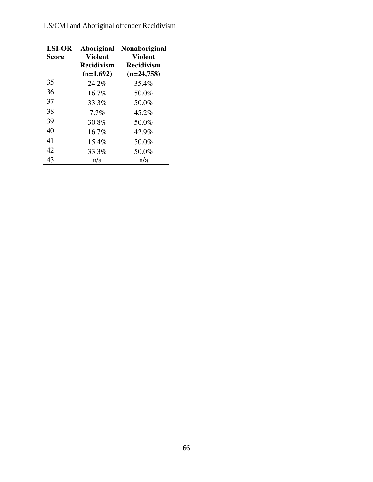| <b>LSI-OR</b><br><b>Score</b> | <b>Aboriginal</b><br><b>Violent</b> | <b>Nonaboriginal</b><br><b>Violent</b> |
|-------------------------------|-------------------------------------|----------------------------------------|
|                               | <b>Recidivism</b>                   | <b>Recidivism</b>                      |
|                               | $(n=1,692)$                         | $(n=24,758)$                           |
| 35                            | 24.2%                               | 35.4%                                  |
| 36                            | $16.7\%$                            | 50.0%                                  |
| 37                            | 33.3%                               | 50.0%                                  |
| 38                            | $7.7\%$                             | 45.2%                                  |
| 39                            | 30.8%                               | 50.0%                                  |
| 40                            | $16.7\%$                            | 42.9%                                  |
| 41                            | 15.4%                               | 50.0%                                  |
| 42                            | 33.3%                               | 50.0%                                  |
| 43                            | n/a                                 | n/a                                    |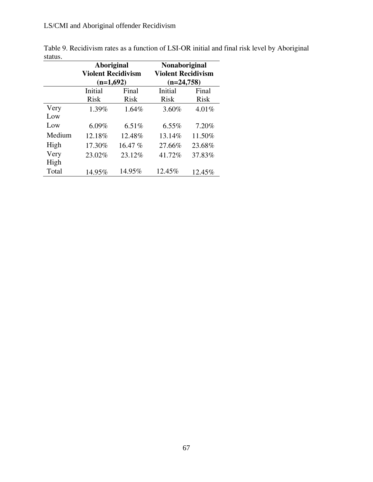|        | <b>Aboriginal</b><br><b>Violent Recidivism</b><br>$(n=1,692)$ |             | Nonaboriginal<br><b>Violent Recidivism</b><br>$(n=24,758)$ |             |
|--------|---------------------------------------------------------------|-------------|------------------------------------------------------------|-------------|
|        | Initial                                                       | Final       | Initial                                                    | Final       |
|        | <b>Risk</b>                                                   | <b>Risk</b> | <b>Risk</b>                                                | <b>Risk</b> |
| Very   | 1.39%                                                         | 1.64%       | 3.60%                                                      | 4.01%       |
| Low    |                                                               |             |                                                            |             |
| Low    | $6.09\%$                                                      | 6.51%       | $6.55\%$                                                   | 7.20%       |
| Medium | 12.18%                                                        | 12.48%      | 13.14%                                                     | 11.50%      |
| High   | 17.30%                                                        | 16.47%      | 27.66%                                                     | 23.68%      |
| Very   | 23.02%                                                        | 23.12%      | 41.72%                                                     | 37.83%      |
| High   |                                                               |             |                                                            |             |
| Total  | 14.95%                                                        | 14.95%      | 12.45%                                                     | 12.45%      |

Table 9. Recidivism rates as a function of LSI-OR initial and final risk level by Aboriginal status.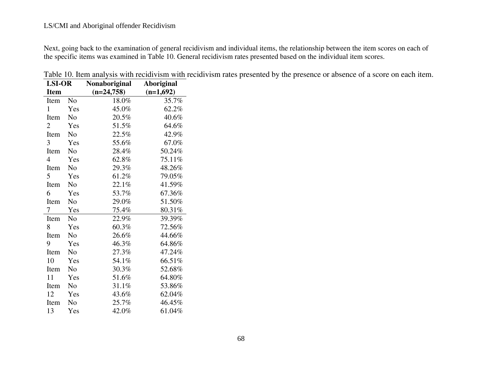Next, going back to the examination of general recidivism and individual items, the relationship between the item scores on each of the specific items was examined in Table 10. General recidivism rates presented based on the individual item scores.

| <b>LSI-OR</b>  |                | <b>Nonaboriginal</b> | Aboriginal  |  |
|----------------|----------------|----------------------|-------------|--|
| <b>Item</b>    |                | $(n=24,758)$         | $(n=1,692)$ |  |
| Item           | No.            | 18.0%                | 35.7%       |  |
| $\mathbf{1}$   | Yes            | 45.0%                | 62.2%       |  |
| Item           | No             | 20.5%                | 40.6%       |  |
| $\overline{2}$ | Yes            | 51.5%                | 64.6%       |  |
| Item           | N <sub>0</sub> | 22.5%                | 42.9%       |  |
| 3              | Yes            | 55.6%                | 67.0%       |  |
| Item           | N <sub>0</sub> | 28.4%                | 50.24%      |  |
| 4              | Yes            | 62.8%                | 75.11%      |  |
| Item           | N <sub>o</sub> | 29.3%                | 48.26%      |  |
| 5              | Yes            | 61.2%                | 79.05%      |  |
| Item           | N <sub>0</sub> | 22.1%                | 41.59%      |  |
| 6              | Yes            | 53.7%                | 67.36%      |  |
| Item           | No             | 29.0%                | 51.50%      |  |
| 7              | Yes            | 75.4%                | 80.31%      |  |
| Item           | N <sub>o</sub> | 22.9%                | 39.39%      |  |
| 8              | Yes            | 60.3%                | 72.56%      |  |
| Item           | N <sub>0</sub> | 26.6%                | 44.66%      |  |
| 9              | Yes            | 46.3%                | 64.86%      |  |
| Item           | N <sub>o</sub> | 27.3%                | 47.24%      |  |
| 10             | Yes            | 54.1%                | 66.51%      |  |
| Item           | N <sub>0</sub> | 30.3%                | 52.68%      |  |
| 11             | Yes            | 51.6%                | 64.80%      |  |
| Item           | N <sub>0</sub> | 31.1%                | 53.86%      |  |
| 12             | Yes            | 43.6%                | 62.04%      |  |
| Item           | No             | 25.7%                | 46.45%      |  |
| 13             | Yes            | 42.0%                | 61.04%      |  |

Table 10. Item analysis with recidivism with recidivism rates presented by the presence or absence of a score on each item.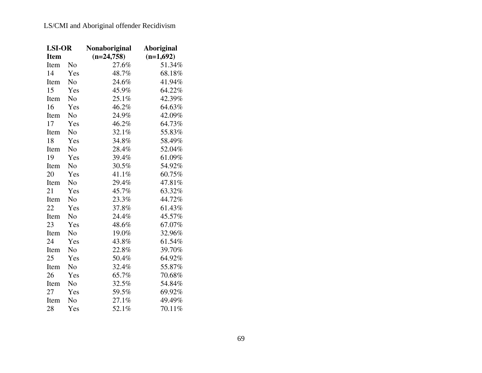| <b>LSI-OR</b> |                | Nonaboriginal | Aboriginal  |
|---------------|----------------|---------------|-------------|
| <b>Item</b>   |                | $(n=24,758)$  | $(n=1,692)$ |
| Item          | No             | 27.6%         | 51.34%      |
| 14            | Yes            | 48.7%         | 68.18%      |
| Item          | No             | 24.6%         | 41.94%      |
| 15            | Yes            | 45.9%         | 64.22%      |
| Item          | N <sub>0</sub> | 25.1%         | 42.39%      |
| 16            | Yes            | 46.2%         | 64.63%      |
| Item          | N <sub>o</sub> | 24.9%         | 42.09%      |
| 17            | Yes            | 46.2%         | 64.73%      |
| Item          | No             | 32.1%         | 55.83%      |
| 18            | Yes            | 34.8%         | 58.49%      |
| Item          | No             | 28.4%         | 52.04%      |
| 19            | Yes            | 39.4%         | 61.09%      |
| Item          | N <sub>o</sub> | 30.5%         | 54.92%      |
| 20            | Yes            | 41.1%         | 60.75%      |
| Item          | No             | 29.4%         | 47.81%      |
| 21            | Yes            | 45.7%         | 63.32%      |
| Item          | No             | 23.3%         | 44.72%      |
| 22            | Yes            | 37.8%         | 61.43%      |
| Item          | No             | 24.4%         | 45.57%      |
| 23            | Yes            | 48.6%         | 67.07%      |
| Item          | No             | 19.0%         | 32.96%      |
| 24            | Yes            | 43.8%         | 61.54%      |
| Item          | N <sub>o</sub> | 22.8%         | 39.70%      |
| 25            | Yes            | 50.4%         | 64.92%      |
| Item          | No             | 32.4%         | 55.87%      |
| 26            | Yes            | 65.7%         | 70.68%      |
| Item          | No             | 32.5%         | 54.84%      |
| 27            | Yes            | 59.5%         | 69.92%      |
| Item          | No             | 27.1%         | 49.49%      |
| 28            | Yes            | 52.1%         | 70.11%      |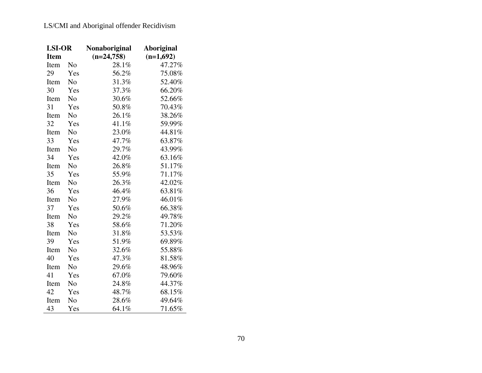| <b>LSI-OR</b> |                | Nonaboriginal | Aboriginal  |  |
|---------------|----------------|---------------|-------------|--|
| <b>Item</b>   |                | $(n=24,758)$  | $(n=1,692)$ |  |
| Item          | N <sub>o</sub> | 28.1%         | 47.27%      |  |
| 29            | Yes            | 56.2%         | 75.08%      |  |
| Item          | No             | 31.3%         | 52.40%      |  |
| 30            | Yes            | 37.3%         | 66.20%      |  |
| Item          | N <sub>0</sub> | 30.6%         | 52.66%      |  |
| 31            | Yes            | 50.8%         | 70.43%      |  |
| Item          | No             | 26.1%         | 38.26%      |  |
| 32            | Yes            | 41.1%         | 59.99%      |  |
| Item          | N <sub>0</sub> | 23.0%         | 44.81%      |  |
| 33            | Yes            | 47.7%         | 63.87%      |  |
| Item          | No             | 29.7%         | 43.99%      |  |
| 34            | Yes            | 42.0%         | 63.16%      |  |
| Item          | No             | 26.8%         | 51.17%      |  |
| 35            | Yes            | 55.9%         | 71.17%      |  |
| Item          | N <sub>o</sub> | 26.3%         | 42.02%      |  |
| 36            | Yes            | 46.4%         | 63.81%      |  |
| Item          | No             | 27.9%         | 46.01%      |  |
| 37            | Yes            | 50.6%         | 66.38%      |  |
| Item          | No             | 29.2%         | 49.78%      |  |
| 38            | Yes            | 58.6%         | 71.20%      |  |
| Item          | No             | 31.8%         | 53.53%      |  |
| 39            | Yes            | 51.9%         | 69.89%      |  |
| Item          | No             | 32.6%         | 55.88%      |  |
| 40            | Yes            | 47.3%         | 81.58%      |  |
| Item          | No             | 29.6%         | 48.96%      |  |
| 41            | Yes            | 67.0%         | 79.60%      |  |
| Item          | No             | 24.8%         | 44.37%      |  |
| 42            | Yes            | 48.7%         | 68.15%      |  |
| Item          | No             | 28.6%         | 49.64%      |  |
| 43            | Yes            | 64.1%         | 71.65%      |  |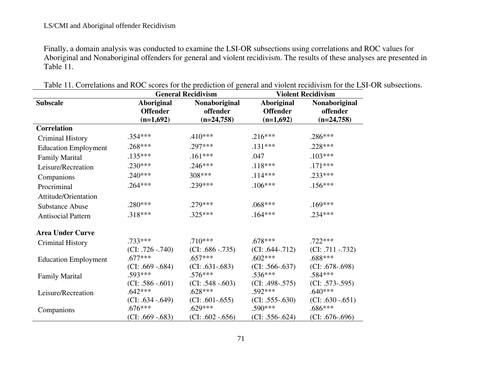Finally, a domain analysis was conducted to examine the LSI-OR subsections using correlations and ROC values for Aboriginal and Nonaboriginal offenders for general and violent recidivism. The results of these analyses are presented in Table 11.

|                             | <b>General Recidivism</b>                           |                                           | <b>Violent Recidivism</b>                           |                                           |
|-----------------------------|-----------------------------------------------------|-------------------------------------------|-----------------------------------------------------|-------------------------------------------|
| <b>Subscale</b>             | <b>Aboriginal</b><br><b>Offender</b><br>$(n=1,692)$ | Nonaboriginal<br>offender<br>$(n=24,758)$ | <b>Aboriginal</b><br><b>Offender</b><br>$(n=1,692)$ | Nonaboriginal<br>offender<br>$(n=24,758)$ |
| <b>Correlation</b>          |                                                     |                                           |                                                     |                                           |
| <b>Criminal History</b>     | .354***                                             | $.410***$                                 | $.216***$                                           | $.286***$                                 |
| <b>Education Employment</b> | $.268***$                                           | .297***                                   | $.131***$                                           | $.228***$                                 |
| <b>Family Marital</b>       | $.135***$                                           | $.161***$                                 | .047                                                | $.103***$                                 |
| Leisure/Recreation          | $.230***$                                           | $.246***$                                 | $.118***$                                           | $.171***$                                 |
| Companions                  | $.240***$                                           | 308***                                    | $.114***$                                           | $.233***$                                 |
| Procriminal                 | $.264***$                                           | .239***                                   | $.106***$                                           | $.156***$                                 |
| Attitude/Orientation        |                                                     |                                           |                                                     |                                           |
| <b>Substance Abuse</b>      | .280***                                             | .279 ***                                  | $.068***$                                           | $.169***$                                 |
| <b>Antisocial Pattern</b>   | $.318***$                                           | $.325***$                                 | $.164***$                                           | $.234***$                                 |
| <b>Area Under Curve</b>     |                                                     |                                           |                                                     |                                           |
| <b>Criminal History</b>     | $.733***$                                           | $.710***$                                 | $.678***$                                           | $.722***$                                 |
| <b>Education Employment</b> | $(CI: .726-.740)$<br>$.677***$                      | $(CI: .686-.735)$<br>$.657***$            | $(CI: .644-.712)$<br>$.602***$                      | $(CI: .711-.732)$<br>.688***              |
| <b>Family Marital</b>       | $(CI: .669-.684)$<br>.593***                        | $(CI: .631-.683)$<br>.576***              | $(CI: .566-.637)$<br>$.536***$                      | $(CI: .678-.698)$<br>.584***              |
| Leisure/Recreation          | $(CI: .586-.601)$<br>$.642***$                      | $(CI: .548-.603)$<br>$.628***$            | $(CI: .498-.575)$<br>$.592***$                      | $(CI: .573-.595)$<br>$.640***$            |
| Companions                  | $(CI: .634-.649)$<br>$.676***$                      | $(CI: .601-.655)$<br>$.629***$            | $(CI: .555-.630)$<br>$.590***$                      | $(CI: .630-.651)$<br>.686***              |
|                             | $(CI: .669 - .683)$                                 | $(CI: .602 - .656)$                       | $(CI: .556-.624)$                                   | $(CI: .676-.696)$                         |

Table 11. Correlations and ROC scores for the prediction of general and violent recidivism for the LSI-OR subsections.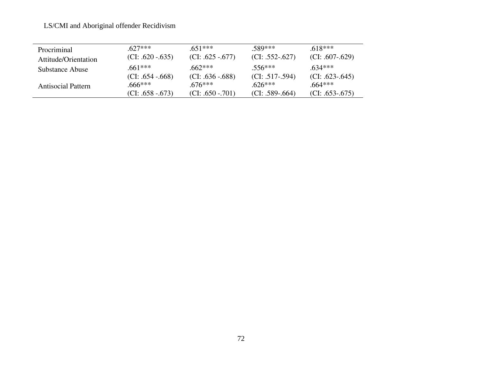## LS/CMI and Aboriginal offender Recidivism

| Procriminal               | $627***$                | $651***$          | $.589***$         | 618***            |
|---------------------------|-------------------------|-------------------|-------------------|-------------------|
| Attitude/Orientation      | $(CI: .620-.635)$       | $(CI: .625-.677)$ | $(CI: .552-.627)$ | $(CI: .607-.629)$ |
| Substance Abuse           | $.661***$               | $.662***$         | 556***            | 634***            |
|                           | $ CI: .654-.668\rangle$ | $(CI: .636-.688)$ | $(CI: .517-.594)$ | $(CI: .623-.645)$ |
| <b>Antisocial Pattern</b> | $.666***$               | $676***$          | $.626***$         | .664***           |
|                           | $(CI: .658-.673)$       | $(CI: .650-.701)$ | $(CI: .589-.664)$ | $(CI: .653-.675)$ |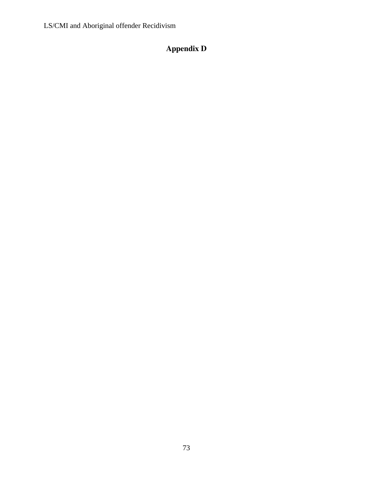LS/CMI and Aboriginal offender Recidivism

## **Appendix D**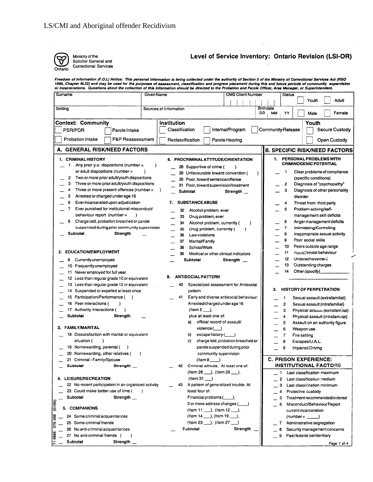

 $\hat{f}$ 

Ministry of the Solicitor General and Correctional Services

## Level of Service Inventory: Ontario Revision (LSI-OR)

Freedom of Information (F.O.I.) Notice: This personal information is being collected under the authority of Section 5 of the Ministry of Correctional Services Act (RSO<br>1990, Chapter M.22) and may be used for the purposes o

| Sumame                                                                                                                                                                                                                                                                                                     | Given Name                                                                                                                                                               | <b>OMS Client Number</b>                                                                                                                                                    | Status<br>Adult<br>Youth                                                                                                                                                                                                                                     |
|------------------------------------------------------------------------------------------------------------------------------------------------------------------------------------------------------------------------------------------------------------------------------------------------------------|--------------------------------------------------------------------------------------------------------------------------------------------------------------------------|-----------------------------------------------------------------------------------------------------------------------------------------------------------------------------|--------------------------------------------------------------------------------------------------------------------------------------------------------------------------------------------------------------------------------------------------------------|
| Setting                                                                                                                                                                                                                                                                                                    | Sources of Information                                                                                                                                                   | DD                                                                                                                                                                          | <b>Birthdate</b><br>YY<br>Female<br><b>MM</b><br>Male                                                                                                                                                                                                        |
| <b>Context: Community</b>                                                                                                                                                                                                                                                                                  | Institution                                                                                                                                                              |                                                                                                                                                                             | Youth                                                                                                                                                                                                                                                        |
| <b>PSR/PDR</b><br>Parole Intake                                                                                                                                                                                                                                                                            | Classification                                                                                                                                                           | Internal/Program                                                                                                                                                            | <b>Community-Release</b><br><b>Secure Custody</b>                                                                                                                                                                                                            |
| <b>Probation Intake</b><br>P&P Reassessment                                                                                                                                                                                                                                                                | Reclassification                                                                                                                                                         | Parole Hearing                                                                                                                                                              | Open Custody                                                                                                                                                                                                                                                 |
| A. GENERAL RISK/NEED FACTORS                                                                                                                                                                                                                                                                               |                                                                                                                                                                          |                                                                                                                                                                             | <b>B. SPECIFIC RISK/NEED FACTORS</b>                                                                                                                                                                                                                         |
| 1. CRIMINAL HISTORY<br>Any prior y.o. dispositions (number $=$<br>1<br>or adult dispositions (number =<br>Two or more prior adult/youth dispositions<br>2<br>з<br>Three or more prior adult/youth dispositions<br>Three or more present offences (number $=$<br>4<br>Arrested or charged under age 16<br>5 | 6. PROCRIMINAL ATTITUDE/ORIENTATION<br>)<br>28 Supportive of crime (<br>30 Poor, toward sentence/offence<br>Subtotal                                                     | 29 Unfavourable toward convention (<br>31 Poor, toward supervision/treatment<br>Strength __                                                                                 | PERSONAL PROBLEMS WITH<br>1.<br><b>CRIMINOGENIC POTENTIAL</b><br>Clear problems of compliance<br>1<br>(specific conditions)<br>Diagnosis of "psychopathy"<br>2<br>3<br>Diagnosis of other personality<br>disorder                                            |
| 6<br>Ever incarcerated upon adjudication<br>$\overline{7}$<br>Ever punished for institutional misconduct/<br>behaviour report (number =<br>8<br>Charge laid, probation breached or parole<br>suspended during prior community supervision<br>Subtotal<br>Strength                                          | <b>SUBSTANCE ABUSE</b><br>7.<br>32<br>Alcohol problem, ever<br>33<br>Drug problem, ever<br>34<br>35<br>36<br>Law violations<br>37<br>Marital/Family<br>38<br>School/Work | Alcohol problem, currently (<br>Drug problem, currently (<br>)                                                                                                              | Threat from third party<br>4<br>5<br>Problem-solving/self-<br>management skill deficits<br>6<br>Anger management deficits<br>7<br>Intimidating/Controlling<br>8<br>Inappropriate sexual activity<br>9<br>Poor social skills<br>10<br>Peers outside age range |
| 2. EDUCATION/EMPLOYMENT<br>Currently unemployed<br>9<br>10 Frequently unemployed<br>11 Never employed for full year                                                                                                                                                                                        | 39<br>Subtotal                                                                                                                                                           | Medical or other clinical indicators<br>Strength                                                                                                                            | 11<br>Racist/sexist behaviour<br>12 <sup>°</sup><br>Underachievement<br>13<br>Outstanding charges<br>14<br>Other (specify)_                                                                                                                                  |
| 12 Less than regular grade 10 or equivalent<br>13 Less than regular grade 12 or equivalent<br>14 Suspended or expelled at least once<br>15<br>Participation/Performance (<br>$\rightarrow$<br>Peer interactions (<br>16<br>17 Authority interactions (<br><b>Subtotal</b><br>Strength                      | <b>ANTISOCIAL PATTERN</b><br>8.<br>40<br>pattern<br>41<br>$($ ltem 5 $\qquad$ ,<br>plus at least one of:                                                                 | Specialized assessment for Antisocial<br>Early and diverse antisocial behaviour:<br>Arrested/charged under age 16                                                           | <b>HISTORY OF PERPETRATION</b><br>2.<br>1<br>Sexual assault (extrafamilial)<br>2<br>Sexual assault (intrafamilial)<br>3<br>Physical assauri (extrafam.lial)<br>Physical assault (intrafamaial)<br>4                                                          |
| 3. FAMILY/MARITAL<br>18 Dissatisfaction with marital or equivalent<br>situation (<br>19 Nonrewarding, parental (<br>20 Nonrewarding, other relatives (<br>21 Criminal - Family/Spouse                                                                                                                      | a)<br>$violet(\_\_)$<br>b)<br>c)<br>$($ ltem 8 $)$                                                                                                                       | official record of assault/<br>escape history (____)<br>charge laid, probation breached or<br>parole suspended during prior<br>community supervision                        | 5<br>Assault on an authority figure<br>6<br>Weapon use<br>7<br>Fire setting<br>8<br>Escapes/U.A.L.<br>9<br>Impaired Driving<br><b>C. PRISON EXPERIENCE:</b>                                                                                                  |
| Subtotal<br>Strength<br>4. LEISURE/RECREATION<br>22 No recent participation in an organized activity<br>23 Could make better use of time (<br>Subtotal<br>Strength $\_$<br>(01/96)                                                                                                                         | 42<br>$($ ltem 31 $\qquad$<br>43<br>least four of:                                                                                                                       | Criminal attitude. At least one of:<br>(Item 28 ___ ), (Item 29 ___ ),<br>A pattern of generalized trouble. At<br>Financial problems (____),<br>3 or more address changes ( | <b>INSTITUTIONAL FACTORS</b><br>Last classification maximum<br>1.<br>Last classification medium<br>2<br>Last classification minimum<br>з<br>Protective custody<br>Treatment recommended/ordered<br>Misconduct/Behaviour Report<br>6                          |
| 5. COMPANIONS<br>388<br>Some criminal acquaintances<br>24<br>25 Some criminal friends<br>έć<br>26 No anti-criminal acquaintances<br>71-9866<br>27 No anti-criminal friends (<br>Subtotal<br>Strength                                                                                                       | Subtotal                                                                                                                                                                 | (Item 14 ___), (Item 19 ___),<br>(Item 23 ___ ), (Item 27 ___ )<br>Strength                                                                                                 | current incarceration<br>$(number = \_\_])$<br>Administrative segregation<br>7<br>Security management concerns<br>8<br>Past federal penitentiary<br>9<br>Page 1 of 4                                                                                         |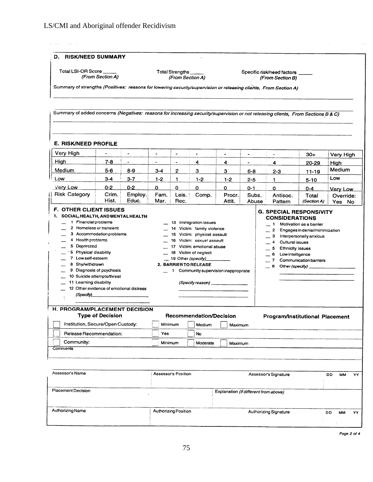| D. RISK/NEED SUMMARY                                                                                                                                                                                                                                                                                                                                                                     |                         |                                                                                                                                                                                                                                                               |                      |                                     |                                                                                                                                                                                                                                                                                                    |                  |                |                                                |                      |                     |
|------------------------------------------------------------------------------------------------------------------------------------------------------------------------------------------------------------------------------------------------------------------------------------------------------------------------------------------------------------------------------------------|-------------------------|---------------------------------------------------------------------------------------------------------------------------------------------------------------------------------------------------------------------------------------------------------------|----------------------|-------------------------------------|----------------------------------------------------------------------------------------------------------------------------------------------------------------------------------------------------------------------------------------------------------------------------------------------------|------------------|----------------|------------------------------------------------|----------------------|---------------------|
| <b>Total LSI-OR Score</b>                                                                                                                                                                                                                                                                                                                                                                | (From Section A)        |                                                                                                                                                                                                                                                               |                      | Total Strengths<br>(From Section A) |                                                                                                                                                                                                                                                                                                    |                  |                | Specific risk/need factors<br>(From Section B) |                      |                     |
| Summary of strengths (Positives: reasons for lowering security/supervision or releasing clients, From Section A)                                                                                                                                                                                                                                                                         |                         |                                                                                                                                                                                                                                                               |                      |                                     |                                                                                                                                                                                                                                                                                                    |                  |                |                                                |                      |                     |
| Summary of added concerns (Negatives: reasons for increasing security/supervision or not releasing clients, From Sections B & C)                                                                                                                                                                                                                                                         |                         |                                                                                                                                                                                                                                                               |                      |                                     |                                                                                                                                                                                                                                                                                                    |                  |                |                                                |                      |                     |
|                                                                                                                                                                                                                                                                                                                                                                                          |                         |                                                                                                                                                                                                                                                               |                      |                                     |                                                                                                                                                                                                                                                                                                    |                  |                |                                                |                      |                     |
| <b>E. RISK/NEED PROFILE</b>                                                                                                                                                                                                                                                                                                                                                              |                         |                                                                                                                                                                                                                                                               |                      |                                     |                                                                                                                                                                                                                                                                                                    |                  |                |                                                |                      |                     |
| Very High                                                                                                                                                                                                                                                                                                                                                                                |                         |                                                                                                                                                                                                                                                               | ٠                    | $\overline{\phantom{a}}$            | $\bullet$                                                                                                                                                                                                                                                                                          | $\blacksquare$   |                | $\tilde{\phantom{a}}$                          | $30+$                | Very High           |
| <b>High</b>                                                                                                                                                                                                                                                                                                                                                                              | $7 - 8$                 |                                                                                                                                                                                                                                                               | $\ddot{\phantom{0}}$ | $\blacksquare$                      | 4                                                                                                                                                                                                                                                                                                  | 4                | $\blacksquare$ | 4                                              | 20-29                | High                |
| Medium                                                                                                                                                                                                                                                                                                                                                                                   | $5 - 6$                 | $8 - 9$                                                                                                                                                                                                                                                       | $3 - 4$              | $\mathbf{2}$                        | 3                                                                                                                                                                                                                                                                                                  | 3                | $6 - 8$        | $2 - 3$                                        | $11 - 19$            | Medium              |
| Low                                                                                                                                                                                                                                                                                                                                                                                      | $3 - 4$                 | $3 - 7$                                                                                                                                                                                                                                                       | $1-2$                | 1.                                  | $1 - 2$                                                                                                                                                                                                                                                                                            | $1-2$            | $2 - 5$        | 1.                                             | $5 - 10$             | Low                 |
| Very Low                                                                                                                                                                                                                                                                                                                                                                                 | $0 - 2$                 | $0 - 2$                                                                                                                                                                                                                                                       | 0                    | 0                                   | $\Omega$                                                                                                                                                                                                                                                                                           | 0                | 0-1            | 0                                              | $0 - 4$              | Very Low            |
| <b>Risk Category</b>                                                                                                                                                                                                                                                                                                                                                                     | Crim.<br>Hist.          | Employ.<br>Educ.                                                                                                                                                                                                                                              | Fam.<br>Mar.         | Leis.<br>Rec.                       | Comp.                                                                                                                                                                                                                                                                                              | Procr.<br>Attit. | Subs.<br>Abuse | Antisoc.<br>Pattern                            | Total<br>(Section A) | Override:<br>Yes No |
| 1. SOCIAL, HEALTH, AND MENTAL HEALTH<br>1 Financial problems<br>2 Homeless or transient<br>3 Accommodation problems<br>4 Health problems<br>5 Depressed<br>6 Physical disability<br>7 Low self-esteem<br>8 Shy/withdrawn<br>9 Diagnosis of psychosis<br>10 Suicide attempts/threat<br>11 Learning disability<br>12 Other evidence of emotional distress<br>(Specify)____________________ |                         | 13 Immigration issues<br>14 Victim: family violence<br>15 Victim: physical assault<br>16 Victim: sexual assault<br>17 Victim: emotional abuse<br>18 Victim of neglect<br>19 Other (specify)<br>2. BARRIER TO RELEASE<br>1 Community supervision inappropriate |                      |                                     | 1 Motivation as a barrier<br>$\overline{2}$<br>Engages in denial/minimization<br>з<br>Interpersonally anxious<br>$\blacktriangleleft$<br>Cultural issues<br>5<br><b>Ethnicity issues</b><br>Low intelligence<br>6<br>7 <sup>7</sup><br>Communication barriers<br>8 Other (specify) _______________ |                  |                |                                                |                      |                     |
| H.<br><b>PROGRAM/PLACEMENT DECISION</b><br>Institution, Secure/Open Custody:<br>Release Recommendation:                                                                                                                                                                                                                                                                                  | <b>Type of Decision</b> |                                                                                                                                                                                                                                                               | Minimum<br>Yes       |                                     | <b>Recommendation/Decision</b><br>Medium<br>No                                                                                                                                                                                                                                                     | Maximum          |                | <b>Program/Institutional Placement</b>         |                      |                     |
|                                                                                                                                                                                                                                                                                                                                                                                          |                         |                                                                                                                                                                                                                                                               | Minimum              |                                     | Moderate                                                                                                                                                                                                                                                                                           | Maximum          |                |                                                |                      |                     |
| Community:<br><b>Comments</b>                                                                                                                                                                                                                                                                                                                                                            |                         |                                                                                                                                                                                                                                                               |                      |                                     |                                                                                                                                                                                                                                                                                                    |                  |                |                                                |                      |                     |

| .                |                             | Explaination in american home above. |    |    |    |  |
|------------------|-----------------------------|--------------------------------------|----|----|----|--|
| Authorizing Name | <b>Authorizing Position</b> | <b>Authorizing Signature</b>         | DD | MМ | YY |  |
|                  |                             |                                      |    |    |    |  |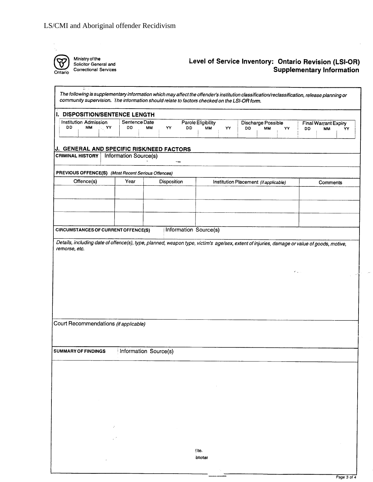

Ministry of the<br>Solicitor General and<br>Correctional Services

## Level of Service Inventory: Ontario Revision (LSI-OR)<br>Supplementary Information

 $\sim$ 

| <b>Institution Admission</b><br>DD<br><b>MM</b><br>∴ YY              | I. DISPOSITION/SENTENCE LENGTH |                              |                                |                                       |                                                                                                                                            |
|----------------------------------------------------------------------|--------------------------------|------------------------------|--------------------------------|---------------------------------------|--------------------------------------------------------------------------------------------------------------------------------------------|
|                                                                      | Sentence Date<br>DD<br>MМ      | YY<br>DD                     | Parole Eligibility<br>MМ<br>YY | Discharge Possible<br>DD<br><b>MM</b> | <b>Final Warrant Expiry</b><br>YY<br>DD<br><b>MM</b><br>YY.                                                                                |
|                                                                      |                                |                              |                                |                                       |                                                                                                                                            |
| J. GENERAL AND SPECIFIC RISK/NEED FACTORS<br><b>CRIMINAL HISTORY</b> | Information Source(s)          |                              |                                |                                       |                                                                                                                                            |
|                                                                      |                                |                              |                                |                                       |                                                                                                                                            |
| PREVIOUS OFFENCE(S) (Most Recent Serious Offences)                   |                                |                              |                                |                                       |                                                                                                                                            |
| Offence(s)                                                           | Year                           | Disposition                  |                                | Institution Placement (if applicable) | Comments                                                                                                                                   |
|                                                                      |                                |                              |                                |                                       |                                                                                                                                            |
|                                                                      |                                |                              |                                |                                       |                                                                                                                                            |
|                                                                      |                                |                              |                                |                                       |                                                                                                                                            |
| CIRCUMSTANCES OF CURRENT OFFENCE(S)                                  |                                | <b>Information Source(s)</b> |                                |                                       |                                                                                                                                            |
|                                                                      |                                |                              |                                |                                       | Details, including date of offence(s), type, planned, weapon type, victim's age/sex, extent of injuries, damage or value of goods, motive, |
|                                                                      |                                |                              |                                |                                       |                                                                                                                                            |
|                                                                      |                                |                              |                                |                                       |                                                                                                                                            |
|                                                                      | Information Source(s)          |                              |                                |                                       |                                                                                                                                            |
|                                                                      |                                |                              |                                |                                       |                                                                                                                                            |
|                                                                      |                                |                              |                                |                                       |                                                                                                                                            |
| Court Recommendations (if applicable)<br>SUMMARY OF FINDINGS         |                                |                              |                                |                                       |                                                                                                                                            |
|                                                                      |                                |                              |                                |                                       |                                                                                                                                            |
|                                                                      |                                |                              |                                |                                       |                                                                                                                                            |
|                                                                      |                                |                              |                                |                                       |                                                                                                                                            |
|                                                                      |                                |                              |                                |                                       |                                                                                                                                            |
|                                                                      |                                |                              | (Ite.                          |                                       |                                                                                                                                            |